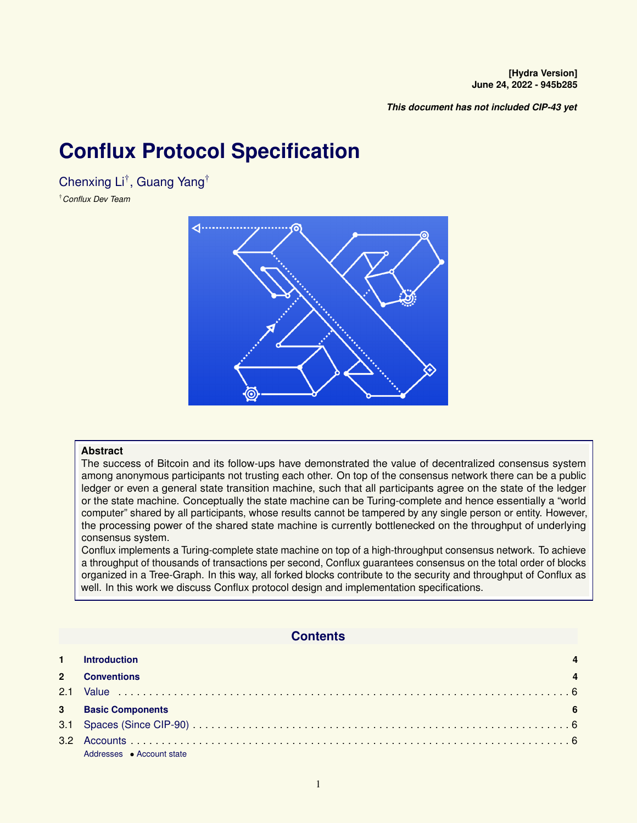*This document has not included CIP-43 yet*

# <span id="page-0-0"></span>**Conflux Protocol Specification**

Chenxing Li† , Guang Yang†

†*Conflux Dev Team*



### **Abstract**

The success of Bitcoin and its follow-ups have demonstrated the value of decentralized consensus system among anonymous participants not trusting each other. On top of the consensus network there can be a public ledger or even a general state transition machine, such that all participants agree on the state of the ledger or the state machine. Conceptually the state machine can be Turing-complete and hence essentially a "world computer" shared by all participants, whose results cannot be tampered by any single person or entity. However, the processing power of the shared state machine is currently bottlenecked on the throughput of underlying consensus system.

Conflux implements a Turing-complete state machine on top of a high-throughput consensus network. To achieve a throughput of thousands of transactions per second, Conflux guarantees consensus on the total order of blocks organized in a Tree-Graph. In this way, all forked blocks contribute to the security and throughput of Conflux as well. In this work we discuss Conflux protocol design and implementation specifications.

### **Contents**

|               | <b>Introduction</b>       |  |
|---------------|---------------------------|--|
|               | <b>Conventions</b>        |  |
| 2.1           |                           |  |
| $\mathbf{3}$  | <b>Basic Components</b>   |  |
|               |                           |  |
| $3.2^{\circ}$ |                           |  |
|               | Addresses • Account state |  |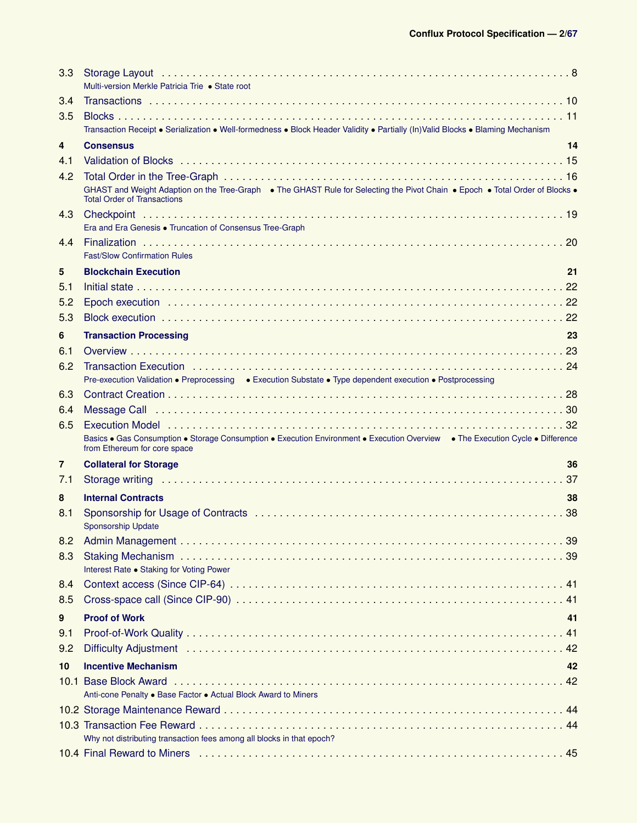| 3.3            | Multi-version Merkle Patricia Trie · State root                                                                                                                                                                                |
|----------------|--------------------------------------------------------------------------------------------------------------------------------------------------------------------------------------------------------------------------------|
| 3.4            |                                                                                                                                                                                                                                |
| 3.5            | Transaction Receipt • Serialization • Well-formedness • Block Header Validity • Partially (In)Valid Blocks • Blaming Mechanism                                                                                                 |
| 4              | 14<br><b>Consensus</b>                                                                                                                                                                                                         |
| 4.1            |                                                                                                                                                                                                                                |
| 4.2            |                                                                                                                                                                                                                                |
|                | GHAST and Weight Adaption on the Tree-Graph . The GHAST Rule for Selecting the Pivot Chain . Epoch . Total Order of Blocks .<br><b>Total Order of Transactions</b>                                                             |
| 4.3            | Era and Era Genesis . Truncation of Consensus Tree-Graph                                                                                                                                                                       |
| 4.4            | <b>Fast/Slow Confirmation Rules</b>                                                                                                                                                                                            |
| 5              | <b>Blockchain Execution</b><br>21                                                                                                                                                                                              |
| 5.1            |                                                                                                                                                                                                                                |
| 5.2            |                                                                                                                                                                                                                                |
| 5.3            |                                                                                                                                                                                                                                |
| 6              | <b>Transaction Processing</b><br>23                                                                                                                                                                                            |
| 6.1            |                                                                                                                                                                                                                                |
| 6.2            |                                                                                                                                                                                                                                |
|                | Pre-execution Validation • Preprocessing • Execution Substate • Type dependent execution • Postprocessing                                                                                                                      |
| 6.3            |                                                                                                                                                                                                                                |
| 6.4            | Message Call in the contract of the contract of the Message Call in the contract of the contract of the Message Call in the Message Call in the contract of the contract of the Message Call in the contract of the contract o |
| 6.5            | Basics . Gas Consumption . Storage Consumption . Execution Environment . Execution Overview . The Execution Cycle . Difference<br>from Ethereum for core space                                                                 |
| $\overline{7}$ | <b>Collateral for Storage</b><br>36                                                                                                                                                                                            |
| 7.1            |                                                                                                                                                                                                                                |
| 8              | <b>Internal Contracts</b><br>38                                                                                                                                                                                                |
| 8.1            | <b>Sponsorship Update</b>                                                                                                                                                                                                      |
| 8.2            |                                                                                                                                                                                                                                |
| 8.3            | Interest Rate . Staking for Voting Power                                                                                                                                                                                       |
| 8.4            |                                                                                                                                                                                                                                |
| 8.5            |                                                                                                                                                                                                                                |
| 9              | <b>Proof of Work</b><br>41                                                                                                                                                                                                     |
| 9.1            |                                                                                                                                                                                                                                |
| 9.2            |                                                                                                                                                                                                                                |
| 10             | <b>Incentive Mechanism</b><br>42                                                                                                                                                                                               |
|                | Anti-cone Penalty . Base Factor . Actual Block Award to Miners                                                                                                                                                                 |
|                |                                                                                                                                                                                                                                |
|                | Why not distributing transaction fees among all blocks in that epoch?                                                                                                                                                          |
|                |                                                                                                                                                                                                                                |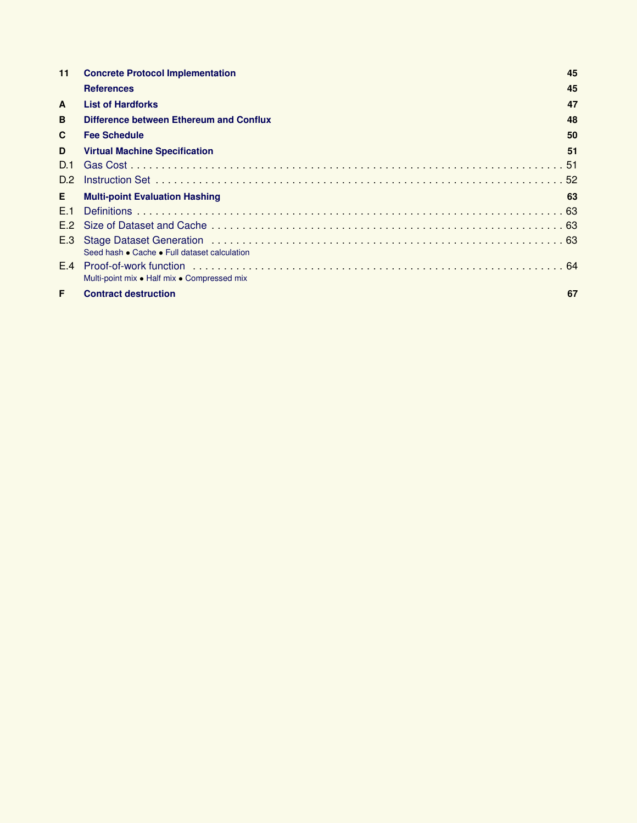| 11             | <b>Concrete Protocol Implementation</b>      | 45 |
|----------------|----------------------------------------------|----|
|                | <b>References</b>                            | 45 |
| $\mathbf{A}$   | <b>List of Hardforks</b>                     | 47 |
| B              | Difference between Ethereum and Conflux      | 48 |
| C              | <b>Fee Schedule</b>                          | 50 |
| D              | <b>Virtual Machine Specification</b>         | 51 |
| D.1            |                                              |    |
| D.2            |                                              |    |
| Е.             | <b>Multi-point Evaluation Hashing</b>        | 63 |
| F <sub>1</sub> |                                              |    |
| E.2            |                                              |    |
| E.3            | Seed hash • Cache • Full dataset calculation |    |
| E.4            | Multi-point mix • Half mix • Compressed mix  |    |
| F              | <b>Contract destruction</b>                  | 67 |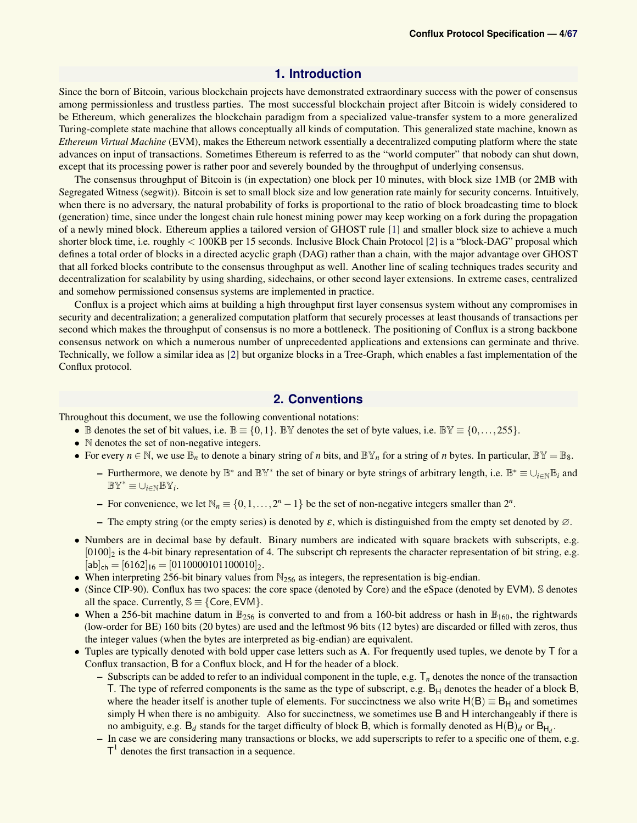### **1. Introduction**

<span id="page-3-0"></span>Since the born of Bitcoin, various blockchain projects have demonstrated extraordinary success with the power of consensus among permissionless and trustless parties. The most successful blockchain project after Bitcoin is widely considered to be Ethereum, which generalizes the blockchain paradigm from a specialized value-transfer system to a more generalized Turing-complete state machine that allows conceptually all kinds of computation. This generalized state machine, known as *Ethereum Virtual Machine* (EVM), makes the Ethereum network essentially a decentralized computing platform where the state advances on input of transactions. Sometimes Ethereum is referred to as the "world computer" that nobody can shut down, except that its processing power is rather poor and severely bounded by the throughput of underlying consensus.

The consensus throughput of Bitcoin is (in expectation) one block per 10 minutes, with block size 1MB (or 2MB with Segregated Witness (segwit)). Bitcoin is set to small block size and low generation rate mainly for security concerns. Intuitively, when there is no adversary, the natural probability of forks is proportional to the ratio of block broadcasting time to block (generation) time, since under the longest chain rule honest mining power may keep working on a fork during the propagation of a newly mined block. Ethereum applies a tailored version of GHOST rule [\[1\]](#page-44-2) and smaller block size to achieve a much shorter block time, i.e. roughly < 100KB per 15 seconds. Inclusive Block Chain Protocol [\[2\]](#page-45-0) is a "block-DAG" proposal which defines a total order of blocks in a directed acyclic graph (DAG) rather than a chain, with the major advantage over GHOST that all forked blocks contribute to the consensus throughput as well. Another line of scaling techniques trades security and decentralization for scalability by using sharding, sidechains, or other second layer extensions. In extreme cases, centralized and somehow permissioned consensus systems are implemented in practice.

Conflux is a project which aims at building a high throughput first layer consensus system without any compromises in security and decentralization; a generalized computation platform that securely processes at least thousands of transactions per second which makes the throughput of consensus is no more a bottleneck. The positioning of Conflux is a strong backbone consensus network on which a numerous number of unprecedented applications and extensions can germinate and thrive. Technically, we follow a similar idea as [\[2\]](#page-45-0) but organize blocks in a Tree-Graph, which enables a fast implementation of the Conflux protocol.

### **2. Conventions**

<span id="page-3-1"></span>Throughout this document, we use the following conventional notations:

- B denotes the set of bit values, i.e.  $\mathbb{B} \equiv \{0,1\}$ . BY denotes the set of byte values, i.e. BY  $\equiv \{0,\ldots,255\}$ .
- N denotes the set of non-negative integers.
- For every  $n \in \mathbb{N}$ , we use  $\mathbb{B}_n$  to denote a binary string of *n* bits, and  $\mathbb{B}_n^{\vee}$  for a string of *n* bytes. In particular,  $\mathbb{B}_n^{\vee} = \mathbb{B}_8$ .
	- Furthermore, we denote by B ∗ and BY<sup>∗</sup> the set of binary or byte strings of arbitrary length, i.e. B <sup>∗</sup> ≡ ∪*i*∈NB*<sup>i</sup>* and  $\mathbb{BY}^* \equiv \cup_{i \in \mathbb{N}} \mathbb{BY}_i.$
	- − For convenience, we let  $\mathbb{N}_n \equiv \{0, 1, ..., 2^n 1\}$  be the set of non-negative integers smaller than  $2^n$ .
	- The empty string (or the empty series) is denoted by  $\varepsilon$ , which is distinguished from the empty set denoted by  $\varnothing$ .
- Numbers are in decimal base by default. Binary numbers are indicated with square brackets with subscripts, e.g.  $[0100]_2$  is the 4-bit binary representation of 4. The subscript ch represents the character representation of bit string, e.g.  $[a\mathbf{b}]_{\mathsf{ch}} = [6162]_{16} = [0110000101100010]_{2}.$
- When interpreting 256-bit binary values from  $\mathbb{N}_{256}$  as integers, the representation is big-endian.
- (Since CIP-90). Conflux has two spaces: the core space (denoted by Core) and the eSpace (denoted by EVM). S denotes all the space. Currently,  $\mathbb{S} \equiv \{ \text{Core}, \text{EVM} \}.$
- When a 256-bit machine datum in  $\mathbb{B}_{256}$  is converted to and from a 160-bit address or hash in  $\mathbb{B}_{160}$ , the rightwards (low-order for BE) 160 bits (20 bytes) are used and the leftmost 96 bits (12 bytes) are discarded or filled with zeros, thus the integer values (when the bytes are interpreted as big-endian) are equivalent.
- Tuples are typically denoted with bold upper case letters such as  $A$ . For frequently used tuples, we denote by  $\overline{I}$  for a Conflux transaction, B for a Conflux block, and H for the header of a block.
	- $-$  Subscripts can be added to refer to an individual component in the tuple, e.g.  $T_n$  denotes the nonce of the transaction T. The type of referred components is the same as the type of subscript, e.g.  $B_H$  denotes the header of a block  $B$ , where the header itself is another tuple of elements. For succinctness we also write  $H(B) \equiv B_H$  and sometimes simply H when there is no ambiguity. Also for succinctness, we sometimes use B and H interchangeably if there is no ambiguity, e.g.  $B_d$  stands for the target difficulty of block B, which is formally denoted as  $H(B)_d$  or  $B_{H_d}$ .
	- In case we are considering many transactions or blocks, we add superscripts to refer to a specific one of them, e.g.  $T<sup>1</sup>$  denotes the first transaction in a sequence.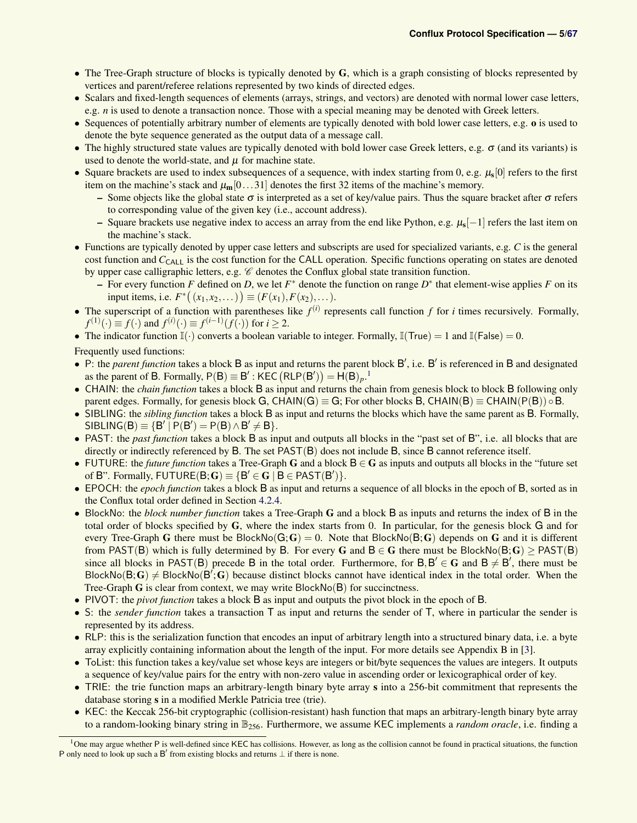- The Tree-Graph structure of blocks is typically denoted by G, which is a graph consisting of blocks represented by vertices and parent/referee relations represented by two kinds of directed edges.
- Scalars and fixed-length sequences of elements (arrays, strings, and vectors) are denoted with normal lower case letters, e.g. *n* is used to denote a transaction nonce. Those with a special meaning may be denoted with Greek letters.
- Sequences of potentially arbitrary number of elements are typically denoted with bold lower case letters, e.g. o is used to denote the byte sequence generated as the output data of a message call.
- The highly structured state values are typically denoted with bold lower case Greek letters, e.g.  $\sigma$  (and its variants) is used to denote the world-state, and  $\mu$  for machine state.
- Square brackets are used to index subsequences of a sequence, with index starting from 0, e.g.  $\mu_s[0]$  refers to the first item on the machine's stack and  $\mu_{m}[0...31]$  denotes the first 32 items of the machine's memory.
	- Some objects like the global state  $\sigma$  is interpreted as a set of key/value pairs. Thus the square bracket after  $\sigma$  refers to corresponding value of the given key (i.e., account address).
	- Square brackets use negative index to access an array from the end like Python, e.g.  $\mu_s[-1]$  refers the last item on the machine's stack.
- Functions are typically denoted by upper case letters and subscripts are used for specialized variants, e.g. *C* is the general cost function and *C*<sub>CALL</sub> is the cost function for the CALL operation. Specific functions operating on states are denoted by upper case calligraphic letters, e.g.  $\mathscr C$  denotes the Conflux global state transition function.
	- − For every function *F* defined on *D*, we let  $F^*$  denote the function on range  $D^*$  that element-wise applies *F* on its input items, i.e.  $F^*\big((x_1, x_2,...)\big) \equiv (F(x_1), F(x_2),...).$
- The superscript of a function with parentheses like  $f^{(i)}$  represents call function  $f$  for  $i$  times recursively. Formally,  $f^{(1)}(\cdot) \equiv f(\cdot)$  and  $f^{(i)}(\cdot) \equiv f^{(i-1)}(f(\cdot))$  for  $i \ge 2$ .
- The indicator function  $\mathbb{I}(\cdot)$  converts a boolean variable to integer. Formally,  $\mathbb{I}(\mathsf{True}) = 1$  and  $\mathbb{I}(\mathsf{False}) = 0$ .

Frequently used functions:

- P: the *parent function* takes a block B as input and returns the parent block B', i.e. B' is referenced in B and designated as the parent of B. Formally,  $P(B) \equiv B'$ : KEC  $(RLP(B')) = H(B)<sub>p</sub>$ .<sup>[1](#page-4-0)</sup>
- CHAIN: the *chain function* takes a block B as input and returns the chain from genesis block to block B following only parent edges. Formally, for genesis block G, CHAIN(G)  $\equiv$  G; For other blocks B, CHAIN(B)  $\equiv$  CHAIN(P(B))  $\circ$  B.
- SIBLING: the *sibling function* takes a block B as input and returns the blocks which have the same parent as B. Formally,  $SIBLING(B) \equiv {B' | P(B') = P(B) \land B' \neq B}.$
- PAST: the *past function* takes a block B as input and outputs all blocks in the "past set of B", i.e. all blocks that are directly or indirectly referenced by B. The set PAST(B) does not include B, since B cannot reference itself.
- FUTURE: the *future function* takes a Tree-Graph G and a block B ∈ G as inputs and outputs all blocks in the "future set of B". Formally,  $FUTURE(B; G) \equiv {B' \in G | B \in PAST(B')}.$
- EPOCH: the *epoch function* takes a block B as input and returns a sequence of all blocks in the epoch of B, sorted as in the Conflux total order defined in Section [4.2.4.](#page-17-1)
- <span id="page-4-1"></span>• BlockNo: the *block number function* takes a Tree-Graph G and a block B as inputs and returns the index of B in the total order of blocks specified by G, where the index starts from 0. In particular, for the genesis block G and for every Tree-Graph G there must be BlockNo $(G;G) = 0$ . Note that BlockNo $(B;G)$  depends on G and it is different from PAST(B) which is fully determined by B. For every G and  $B \in G$  there must be BlockNo(B; G)  $\geq$  PAST(B) since all blocks in PAST(B) precede B in the total order. Furthermore, for  $B, B' \in G$  and  $B \neq B'$ , there must be BlockNo(B; G)  $\neq$  BlockNo(B'; G) because distinct blocks cannot have identical index in the total order. When the Tree-Graph G is clear from context, we may write BlockNo(B) for succinctness.
- PIVOT: the *pivot function* takes a block B as input and outputs the pivot block in the epoch of B.
- S: the *sender function* takes a transaction T as input and returns the sender of T, where in particular the sender is represented by its address.
- RLP: this is the serialization function that encodes an input of arbitrary length into a structured binary data, i.e. a byte array explicitly containing information about the length of the input. For more details see Appendix B in [\[3\]](#page-45-1).
- ToList: this function takes a key/value set whose keys are integers or bit/byte sequences the values are integers. It outputs a sequence of key/value pairs for the entry with non-zero value in ascending order or lexicographical order of key.
- TRIE: the trie function maps an arbitrary-length binary byte array s into a 256-bit commitment that represents the database storing s in a modified Merkle Patricia tree (trie).
- KEC: the Keccak 256-bit cryptographic (collision-resistant) hash function that maps an arbitrary-length binary byte array to a random-looking binary string in B256. Furthermore, we assume KEC implements a *random oracle*, i.e. finding a

<span id="page-4-0"></span><sup>&</sup>lt;sup>1</sup>One may argue whether P is well-defined since KEC has collisions. However, as long as the collision cannot be found in practical situations, the function P only need to look up such a B' from existing blocks and returns  $\perp$  if there is none.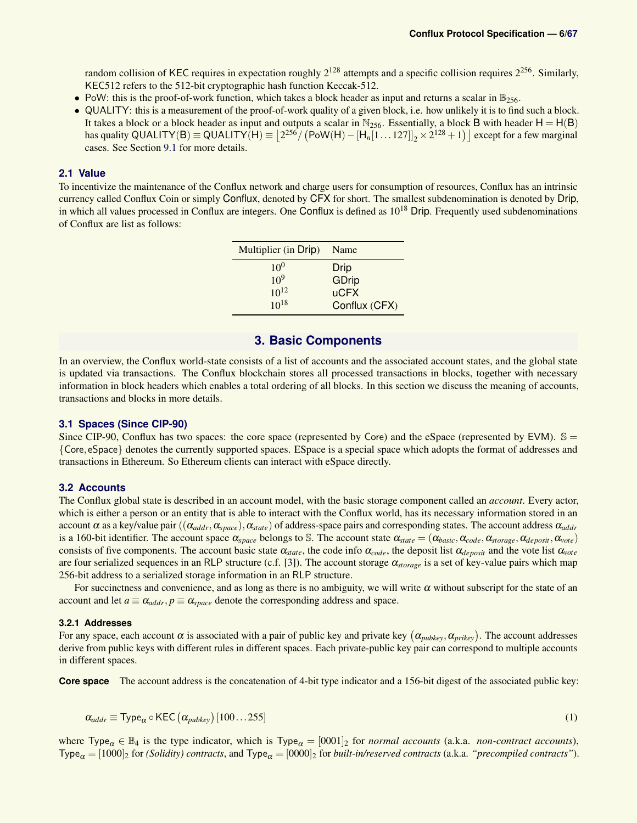random collision of KEC requires in expectation roughly  $2^{128}$  attempts and a specific collision requires  $2^{256}$ . Similarly, KEC512 refers to the 512-bit cryptographic hash function Keccak-512.

- PoW: this is the proof-of-work function, which takes a block header as input and returns a scalar in  $\mathbb{B}_{256}$ .
- QUALITY: this is a measurement of the proof-of-work quality of a given block, i.e. how unlikely it is to find such a block. It takes a block or a block header as input and outputs a scalar in  $N_{256}$ . Essentially, a block B with header  $H = H(B)$ has quality QUALITY(B)  $\equiv$  QUALITY(H)  $\equiv$   $\left[2^{256}/\left(\text{PoW(H)} - [\text{H}_n[1\ldots127]]_2 \times 2^{128} + 1\right)\right]$  except for a few marginal cases. See Section [9.1](#page-40-2) for more details.

### <span id="page-5-0"></span>**2.1 Value**

To incentivize the maintenance of the Conflux network and charge users for consumption of resources, Conflux has an intrinsic currency called Conflux Coin or simply Conflux, denoted by CFX for short. The smallest subdenomination is denoted by Drip, in which all values processed in Conflux are integers. One Conflux is defined as  $10^{18}$  Drip. Frequently used subdenominations of Conflux are list as follows:

| Multiplier (in Drip) | Name          |
|----------------------|---------------|
| $10^{0}$             | <b>Drip</b>   |
| $10^{9}$             | GDrip         |
| $10^{12}$            | <b>uCFX</b>   |
| $10^{18}$            | Conflux (CFX) |

### **3. Basic Components**

<span id="page-5-1"></span>In an overview, the Conflux world-state consists of a list of accounts and the associated account states, and the global state is updated via transactions. The Conflux blockchain stores all processed transactions in blocks, together with necessary information in block headers which enables a total ordering of all blocks. In this section we discuss the meaning of accounts, transactions and blocks in more details.

### <span id="page-5-2"></span>**3.1 Spaces (Since CIP-90)**

Since CIP-90, Conflux has two spaces: the core space (represented by Core) and the eSpace (represented by EVM).  $\mathbb{S} =$ {Core, eSpace} denotes the currently supported spaces. ESpace is a special space which adopts the format of addresses and transactions in Ethereum. So Ethereum clients can interact with eSpace directly.

### <span id="page-5-3"></span>**3.2 Accounts**

The Conflux global state is described in an account model, with the basic storage component called an *account*. Every actor, which is either a person or an entity that is able to interact with the Conflux world, has its necessary information stored in an account  $\alpha$  as a key/value pair (( $\alpha_{addr}, \alpha_{space}$ ),  $\alpha_{state}$ ) of address-space pairs and corresponding states. The account address  $\alpha_{addr}$ is a 160-bit identifier. The account space  $\alpha_{space}$  belongs to S. The account state  $\alpha_{state} = (\alpha_{basic}, \alpha_{code}, \alpha_{storage}, \alpha_{deposit}, \alpha_{vote})$ consists of five components. The account basic state  $\alpha_{state}$ , the code info  $\alpha_{code}$ , the deposit list  $\alpha_{deposit}$  and the vote list  $\alpha_{vote}$ are four serialized sequences in an RLP structure (c.f. [\[3\]](#page-45-1)). The account storage α*storage* is a set of key-value pairs which map 256-bit address to a serialized storage information in an RLP structure.

For succinctness and convenience, and as long as there is no ambiguity, we will write  $\alpha$  without subscript for the state of an account and let  $a \equiv \alpha_{addr}$ ,  $p \equiv \alpha_{space}$  denote the corresponding address and space.

### <span id="page-5-4"></span>**3.2.1 Addresses**

For any space, each account  $\alpha$  is associated with a pair of public key and private key  $(\alpha_{pubkey}, \alpha_{prikey})$ . The account addresses derive from public keys with different rules in different spaces. Each private-public key pair can correspond to multiple accounts in different spaces.

**Core space** The account address is the concatenation of 4-bit type indicator and a 156-bit digest of the associated public key:

$$
\alpha_{addr} \equiv \text{Type}_{\alpha} \circ \text{KEC} \left( \alpha_{pubkey} \right) [100...255] \tag{1}
$$

where Type<sub> $\alpha \in \mathbb{B}_4$  is the type indicator, which is Type<sub> $\alpha$ </sub> = [0001]<sub>2</sub> for *normal accounts* (a.k.a. *non-contract accounts*),</sub>  $Type_{\alpha} = [1000]_2$  for *(Solidity) contracts*, and  $Type_{\alpha} = [0000]_2$  for *built-in/reserved contracts* (a.k.a. *"precompiled contracts"*).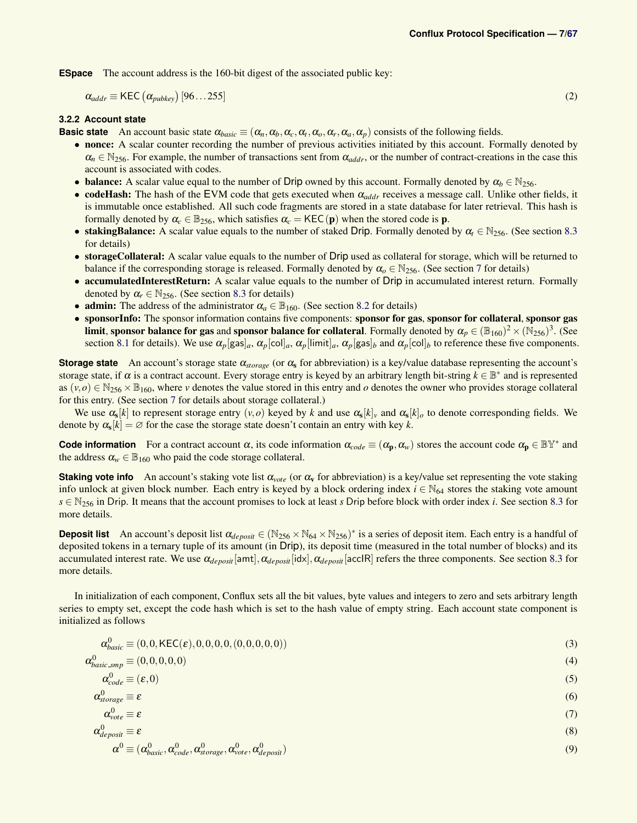**ESpace** The account address is the 160-bit digest of the associated public key:

$$
\alpha_{addr} \equiv \text{KEC} \left( \alpha_{pubkey} \right) [96...255] \tag{2}
$$

<span id="page-6-1"></span> $\overline{0}$   $\overline{0}$   $\overline{0}$   $\overline{0}$   $\overline{0}$   $\overline{0}$   $\overline{0}$   $\overline{0}$   $\overline{0}$   $\overline{0}$   $\overline{0}$   $\overline{0}$   $\overline{0}$   $\overline{0}$   $\overline{0}$   $\overline{0}$   $\overline{0}$   $\overline{0}$   $\overline{0}$   $\overline{0}$   $\overline{0}$   $\overline{0}$   $\overline{0}$   $\overline{0}$   $\overline{$ 

<span id="page-6-0"></span>**3.2.2 Account state**

**Basic state** An account basic state  $\alpha_{basic} \equiv (\alpha_n, \alpha_b, \alpha_c, \alpha_t, \alpha_o, \alpha_r, \alpha_a, \alpha_p)$  consists of the following fields.

- nonce: A scalar counter recording the number of previous activities initiated by this account. Formally denoted by  $\alpha_n \in \mathbb{N}_{256}$ . For example, the number of transactions sent from  $\alpha_{addr}$ , or the number of contract-creations in the case this account is associated with codes.
- **balance:** A scalar value equal to the number of Drip owned by this account. Formally denoted by  $\alpha_b \in \mathbb{N}_{256}$ .
- codeHash: The hash of the EVM code that gets executed when α*addr* receives a message call. Unlike other fields, it is immutable once established. All such code fragments are stored in a state database for later retrieval. This hash is formally denoted by  $\alpha_c \in \mathbb{B}_{256}$ , which satisfies  $\alpha_c = \text{KEC}(\mathbf{p})$  when the stored code is **p**.
- stakingBalance: A scalar value equals to the number of staked Drip. Formally denoted by  $\alpha_t \in \mathbb{N}_{256}$ . (See section [8.3](#page-38-1) for details)
- storageCollateral: A scalar value equals to the number of Drip used as collateral for storage, which will be returned to balance if the corresponding storage is released. Formally denoted by  $\alpha_0 \in N_{256}$ . (See section [7](#page-35-1) for details)
- accumulatedInterestReturn: A scalar value equals to the number of Drip in accumulated interest return. Formally denoted by  $\alpha_r \in \mathbb{N}_{256}$ . (See section [8.3](#page-38-1) for details)
- **admin:** The address of the administrator  $\alpha_a \in \mathbb{B}_{160}$ . (See section [8.2](#page-38-2) for details)
- sponsorInfo: The sponsor information contains five components: sponsor for gas, sponsor for collateral, sponsor gas **limit, sponsor balance for gas** and **sponsor balance for collateral**. Formally denoted by  $\alpha_p \in (\mathbb{B}_{160})^2 \times (\bar{N}_{256})^3$ . (See section [8.1](#page-37-1) for details). We use  $\alpha_p$ [gas] $_a$ ,  $\alpha_p$ [col] $_a$ ,  $\alpha_p$ [limit] $_a$ ,  $\alpha_p$ [gas] $_b$  and  $\alpha_p$ [col] $_b$  to reference these five components.

**Storage state** An account's storage state α*storage* (or α<sup>s</sup> for abbreviation) is a key/value database representing the account's storage state, if  $\alpha$  is a contract account. Every storage entry is keyed by an arbitrary length bit-string  $k \in \mathbb{B}^*$  and is represented as  $(v, o) \in N_{256} \times B_{160}$ , where *v* denotes the value stored in this entry and *o* denotes the owner who provides storage collateral for this entry. (See section [7](#page-35-1) for details about storage collateral.)

We use  $\alpha_s[k]$  to represent storage entry  $(v, o)$  keyed by  $k$  and use  $\alpha_s[k]_v$  and  $\alpha_s[k]_o$  to denote corresponding fields. We denote by  $\alpha_s[k] = \emptyset$  for the case the storage state doesn't contain an entry with key *k*.

**Code information** For a contract account  $\alpha$ , its code information  $\alpha_{code} \equiv (\alpha_p, \alpha_w)$  stores the account code  $\alpha_p \in \mathbb{BY}^*$  and the address  $\alpha_w \in \mathbb{B}_{160}$  who paid the code storage collateral.

**Staking vote info** An account's staking vote list  $\alpha_{\text{vote}}$  (or  $\alpha_{\text{v}}$  for abbreviation) is a key/value set representing the vote staking info unlock at given block number. Each entry is keyed by a block ordering index  $i \in \mathbb{N}_{64}$  stores the staking vote amount *s* ∈ N<sub>256</sub> in Drip. It means that the account promises to lock at least *s* Drip before block with order index *i*. See section [8.3](#page-38-1) for more details.

**Deposit list** An account's deposit list  $\alpha_{deposit} \in (\mathbb{N}_{256} \times \mathbb{N}_{64} \times \mathbb{N}_{256})^*$  is a series of deposit item. Each entry is a handful of deposited tokens in a ternary tuple of its amount (in Drip), its deposit time (measured in the total number of blocks) and its accumulated interest rate. We use α*deposit*[amt],α*deposit*[idx],α*deposit*[accIR] refers the three components. See section [8.3](#page-38-1) for more details.

In initialization of each component, Conflux sets all the bit values, byte values and integers to zero and sets arbitrary length series to empty set, except the code hash which is set to the hash value of empty string. Each account state component is initialized as follows

$$
\alpha_{basic}^{0} \equiv (0,0,\text{KEC}(\varepsilon),0,0,0,0,0,0,0,0,0))
$$
\n(3)

$$
\alpha_{basic, smp}^{0} \equiv (0, 0, 0, 0, 0) \tag{4}
$$

$$
\alpha_{code}^0 \equiv (\varepsilon, 0) \tag{5}
$$

$$
\alpha_{\text{storage}}^0 \equiv \varepsilon \tag{6}
$$

$$
\alpha_{\text{cpre}}^{0} \equiv \varepsilon \tag{7}
$$
\n
$$
\alpha_{\text{deposit}}^{0} \equiv \varepsilon \tag{8}
$$

$$
\alpha^0 \equiv (\alpha_{basic}^0, \alpha_{code}^0, \alpha_{storage}^0, \alpha_{vote}^0, \alpha_{deposit}^0)
$$
\n(9)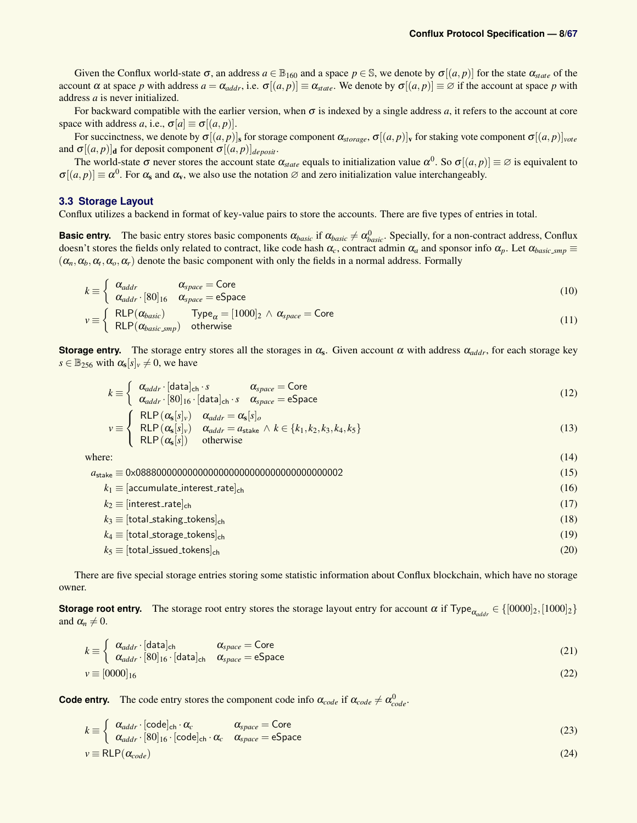Given the Conflux world-state  $\sigma$ , an address  $a \in \mathbb{B}_{160}$  and a space  $p \in \mathbb{S}$ , we denote by  $\sigma[(a, p)]$  for the state  $\alpha_{\text{state}}$  of the account  $\alpha$  at space *p* with address  $a = \alpha_{addr}$ , i.e.  $\sigma[(a, p)] \equiv \alpha_{state}$ . We denote by  $\sigma[(a, p)] \equiv \emptyset$  if the account at space *p* with address *a* is never initialized.

For backward compatible with the earlier version, when  $\sigma$  is indexed by a single address  $a$ , it refers to the account at core space with address *a*, i.e.,  $\sigma[a] \equiv \sigma[(a, p)]$ .

For succinctness, we denote by  $\sigma[(a, p)]_s$  for storage component  $\alpha_{storage}$ ,  $\sigma[(a, p)]_v$  for staking vote component  $\sigma[(a, p)]_{vote}$ and  $\sigma[(a, p)]_d$  for deposit component  $\sigma[(a, p)]_{de\,i}$ .

The world-state  $\sigma$  never stores the account state  $\alpha_{state}$  equals to initialization value  $\alpha^0$ . So  $\sigma[(a, p)] \equiv \emptyset$  is equivalent to  $\sigma[(a, p)] \equiv \alpha^0$ . For  $\alpha_s$  and  $\alpha_v$ , we also use the notation  $\varnothing$  and zero initialization value interchangeably.

### **3.3 Storage Layout**

Conflux utilizes a backend in format of key-value pairs to store the accounts. There are five types of entries in total.

**Basic entry.** The basic entry stores basic components  $\alpha_{basic}$  if  $\alpha_{basic} \neq \alpha_{basic}^0$ . Specially, for a non-contract address, Conflux doesn't stores the fields only related to contract, like code hash  $\alpha_c$ , contract admin  $\alpha_a$  and sponsor info  $\alpha_p$ . Let  $\alpha_{basic\_smp}$  $(\alpha_n, \alpha_b, \alpha_r, \alpha_o, \alpha_r)$  denote the basic component with only the fields in a normal address. Formally

$$
k \equiv \begin{cases} \alpha_{addr} & \alpha_{space} = \text{Core} \\ \alpha_{addr} \cdot [80]_{16} & \alpha_{space} = \text{eSpace} \end{cases}
$$
 (10)

$$
v \equiv \begin{cases} RLP(\alpha_{basic}) & \text{Type}_{\alpha} = [1000]_2 \land \alpha_{space} = \text{Core} \\ RLP(\alpha_{basic \, \text{amp})} & \text{otherwise} \end{cases} \tag{11}
$$

**Storage entry.** The storage entry stores all the storages in  $\alpha_s$ . Given account  $\alpha$  with address  $\alpha_{addr}$ , for each storage key  $s \in \mathbb{B}_{256}$  with  $\alpha_s[s]_v \neq 0$ , we have

$$
k \equiv \begin{cases} \alpha_{addr} \cdot [\text{data}]_{\text{ch}} \cdot s & \alpha_{space} = \text{Core} \\ \alpha_{addr} \cdot [80]_{16} \cdot [\text{data}]_{\text{ch}} \cdot s & \alpha_{space} = \text{eSpace} \end{cases}
$$
(12)

$$
v \equiv \begin{cases} \text{RLP}(\alpha_{s}[s]_{v}) & \alpha_{addr} = \alpha_{s}[s]_{o} \\ \text{RLP}(\alpha_{s}[s]_{v}) & \alpha_{addr} = a_{\text{stack}} \wedge k \in \{k_{1}, k_{2}, k_{3}, k_{4}, k_{5}\} \\ \text{RLP}(\alpha_{s}[s]) & \text{otherwise} \end{cases}
$$
(13)

where:  $(14)$ 

*a*stake ≡ 0x0888000000000000000000000000000000000002 (15)  $k_1 \equiv [\text{accumulate}.\text{interest}.\text{rate}]_{\text{ch}}$  (16)  $k_2 \equiv$  [interest\_rate]<sub>ch</sub> (17)  $k_3 \equiv$  [total\_staking\_tokens]<sub>ch</sub> (18)  $k_4 \equiv$  [total\_storage\_tokens]<sub>ch</sub> (19)  $k_5 \equiv$  [total\_issued\_tokens]<sub>ch</sub> (20)

There are five special storage entries storing some statistic information about Conflux blockchain, which have no storage owner.

**Storage root entry.** The storage root entry stores the storage layout entry for account  $\alpha$  if Type<sub> $\alpha_{\alpha d d r} \in \{[0000]_2, [1000]_2\}$ </sub> and  $\alpha_n \neq 0$ .

$$
k \equiv \begin{cases} \alpha_{addr} \cdot [\text{data}]_{\text{ch}} & \alpha_{space} = \text{Core} \\ \alpha_{addr} \cdot [80]_{16} \cdot [\text{data}]_{\text{ch}} & \alpha_{space} = \text{eSpace} \end{cases}
$$
 (21)

$$
v \equiv [0000]_{16} \tag{22}
$$

**Code entry.** The code entry stores the component code info  $\alpha_{code}$  if  $\alpha_{code} \neq \alpha_{code}^0$ .

$$
k \equiv \begin{cases} \alpha_{addr} \cdot [\text{code}]_{\text{ch}} \cdot \alpha_c & \alpha_{space} = \text{Core} \\ \alpha & [\text{sol}]_{\text{cond}} \end{cases}
$$
 (23)

$$
k \equiv \begin{cases} \alpha_{\text{adar}} & \text{csc} \neq 0 \\ \alpha_{\text{addr}} \cdot [80]_{16} \cdot [\text{code}]_{\text{ch}} \cdot \alpha_c & \alpha_{\text{space}} = \text{eSpace} \end{cases} \tag{23}
$$

$$
v \equiv RLP(\alpha_{code}) \tag{24}
$$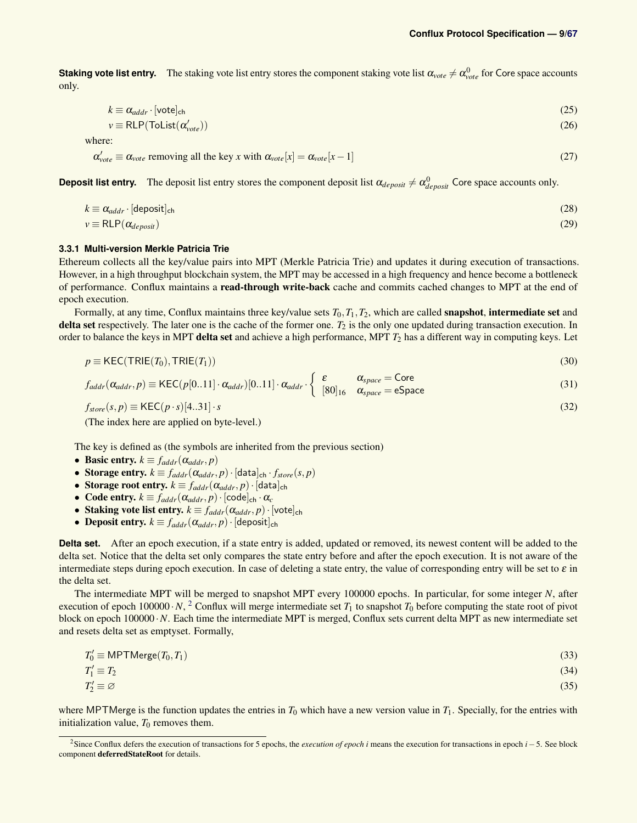**Staking vote list entry.** The staking vote list entry stores the component staking vote list  $\alpha_{vote}\neq\alpha_{vote}^0$  for Core space accounts only.

$$
k \equiv \alpha_{addr} \cdot [\text{vote}]_{\text{ch}} \tag{25}
$$

$$
v \equiv RLP(Tolist(\alpha_{vote}')) \tag{26}
$$

where:

$$
\alpha'_{\text{vote}} \equiv \alpha_{\text{vote}} \text{ removing all the key } x \text{ with } \alpha_{\text{vote}}[x] = \alpha_{\text{vote}}[x-1] \tag{27}
$$

**Deposit list entry.** The deposit list entry stores the component deposit list  $\alpha_{deposit} \neq \alpha_{deposit}^0$  Core space accounts only.

$$
k \equiv \alpha_{addr} \cdot [\text{deposit}]_{\text{ch}} \tag{28}
$$

$$
v \equiv \text{RLP}(\alpha_{deposit}) \tag{29}
$$

### <span id="page-8-0"></span>**3.3.1 Multi-version Merkle Patricia Trie**

Ethereum collects all the key/value pairs into MPT (Merkle Patricia Trie) and updates it during execution of transactions. However, in a high throughput blockchain system, the MPT may be accessed in a high frequency and hence become a bottleneck of performance. Conflux maintains a read-through write-back cache and commits cached changes to MPT at the end of epoch execution.

Formally, at any time, Conflux maintains three key/value sets  $T_0, T_1, T_2$ , which are called **snapshot**, **intermediate set** and delta set respectively. The later one is the cache of the former one.  $T_2$  is the only one updated during transaction execution. In order to balance the keys in MPT delta set and achieve a high performance, MPT *T*<sup>2</sup> has a different way in computing keys. Let

$$
p \equiv \text{KEC}(\text{TRIE}(T_0), \text{TRIE}(T_1)) \tag{30}
$$

$$
f_{addr}(\alpha_{addr}, p) \equiv \text{KEC}(p[0..11] \cdot \alpha_{addr})[0..11] \cdot \alpha_{addr} \cdot \begin{cases} \varepsilon & \alpha_{space} = \text{Core} \\ [80]_{16} & \alpha_{space} = \text{eSpace} \end{cases}
$$
(31)

 $f_{store}(s, p) \equiv \text{KEC}(p \cdot s)[4..31] \cdot s$  (32)

(The index here are applied on byte-level.)

The key is defined as (the symbols are inherited from the previous section)

- Basic entry.  $k \equiv f_{addr}(\alpha_{addr}, p)$
- Storage entry.  $k \equiv f_{addr}(\alpha_{addr}, p) \cdot [\text{data}]_{ch} \cdot f_{store}(s, p)$
- Storage root entry.  $k \equiv f_{addr}(\alpha_{addr}, p) \cdot [\text{data}]_{ch}$
- Code entry.  $k \equiv f_{addr}(\alpha_{addr}, p) \cdot [\text{code}]_{ch} \cdot \alpha_c$
- Staking vote list entry.  $k \equiv f_{addr}(\alpha_{addr}, p) \cdot [\text{vote}]_{ch}$
- Deposit entry.  $k \equiv f_{addr}(\alpha_{addr}, p) \cdot [\text{deposit}]_{\text{ch}}$

**Delta set.** After an epoch execution, if a state entry is added, updated or removed, its newest content will be added to the delta set. Notice that the delta set only compares the state entry before and after the epoch execution. It is not aware of the intermediate steps during epoch execution. In case of deleting a state entry, the value of corresponding entry will be set to  $\varepsilon$  in the delta set.

The intermediate MPT will be merged to snapshot MPT every 100000 epochs. In particular, for some integer *N*, after execution of epoch 100000  $\cdot$  *N*, <sup>[2](#page-8-1)</sup> Conflux will merge intermediate set  $T_1$  to snapshot  $T_0$  before computing the state root of pivot block on epoch 100000 · *N*. Each time the intermediate MPT is merged, Conflux sets current delta MPT as new intermediate set and resets delta set as emptyset. Formally,

$$
T_0' \equiv \text{MPTMerge}(T_0, T_1) \tag{33}
$$

$$
T_1' \equiv T_2 \tag{34}
$$
\n
$$
T_1' = \alpha \tag{35}
$$

$$
T_2' \equiv \varnothing \tag{35}
$$

where MPTMerge is the function updates the entries in  $T_0$  which have a new version value in  $T_1$ . Specially, for the entries with initialization value,  $T_0$  removes them.

<span id="page-8-1"></span><sup>2</sup>Since Conflux defers the execution of transactions for 5 epochs, the *execution of epoch i* means the execution for transactions in epoch *i*−5. See block component deferredStateRoot for details.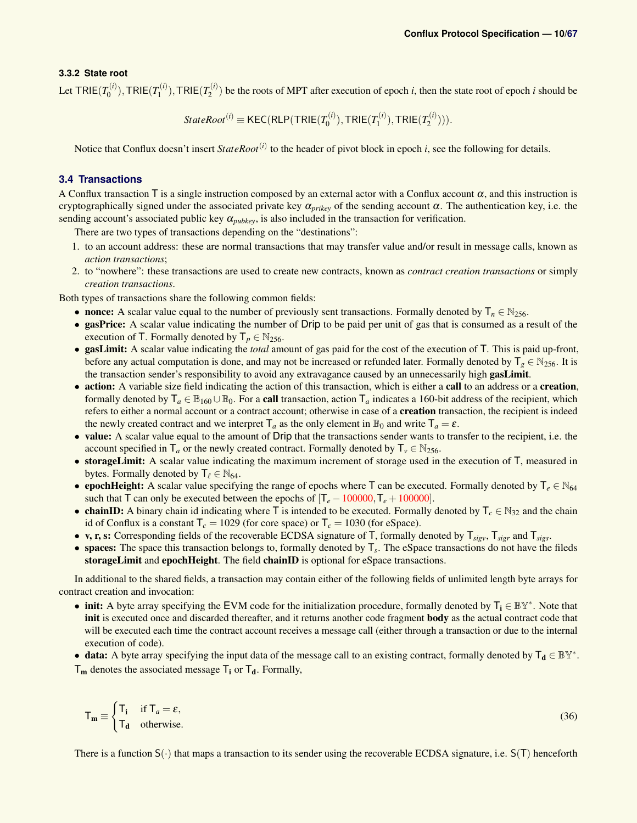### <span id="page-9-0"></span>**3.3.2 State root**

Let  $\mathsf{TRIE}(T_0^{(i)})$  $T_0^{(i)}$ ), TRIE $(T_1^{(i)}$  $T_1^{(i)}$ ), TRIE $(T_2^{(i)}$  $2^{(i)}$  be the roots of MPT after execution of epoch *i*, then the state root of epoch *i* should be

$$
StateRoot(i) \equiv \text{KEC}(\text{RLP}(\text{TRIE}(T_0^{(i)}), \text{TRIE}(T_1^{(i)}), \text{TRIE}(T_2^{(i)}))).
$$

Notice that Conflux doesn't insert *StateRoot*<sup>(*i*)</sup> to the header of pivot block in epoch *i*, see the following for details.

### <span id="page-9-1"></span>**3.4 Transactions**

A Conflux transaction  $\overline{T}$  is a single instruction composed by an external actor with a Conflux account  $\alpha$ , and this instruction is cryptographically signed under the associated private key α*prikey* of the sending account α. The authentication key, i.e. the sending account's associated public key  $\alpha_{\text{pubkey}}$ , is also included in the transaction for verification.

There are two types of transactions depending on the "destinations":

- 1. to an account address: these are normal transactions that may transfer value and/or result in message calls, known as *action transactions*;
- 2. to "nowhere": these transactions are used to create new contracts, known as *contract creation transactions* or simply *creation transactions*.

Both types of transactions share the following common fields:

- nonce: A scalar value equal to the number of previously sent transactions. Formally denoted by  $T_n \in N_{256}$ .
- gasPrice: A scalar value indicating the number of Drip to be paid per unit of gas that is consumed as a result of the execution of T. Formally denoted by  $T_p \in \mathbb{N}_{256}$ .
- gasLimit: A scalar value indicating the *total* amount of gas paid for the cost of the execution of T. This is paid up-front, before any actual computation is done, and may not be increased or refunded later. Formally denoted by  $T_g \in \mathbb{N}_{256}$ . It is the transaction sender's responsibility to avoid any extravagance caused by an unnecessarily high **gasLimit**.
- action: A variable size field indicating the action of this transaction, which is either a call to an address or a creation, formally denoted by  $T_a \in \mathbb{B}_{160} \cup \mathbb{B}_0$ . For a **call** transaction, action  $T_a$  indicates a 160-bit address of the recipient, which refers to either a normal account or a contract account; otherwise in case of a creation transaction, the recipient is indeed the newly created contract and we interpret  $T_a$  as the only element in  $\mathbb{B}_0$  and write  $T_a = \varepsilon$ .
- value: A scalar value equal to the amount of Drip that the transactions sender wants to transfer to the recipient, i.e. the account specified in  $T_a$  or the newly created contract. Formally denoted by  $T_v \in N_{256}$ .
- storageLimit: A scalar value indicating the maximum increment of storage used in the execution of T, measured in bytes. Formally denoted by  $\mathsf{T}_{\ell} \in \mathbb{N}_{64}$ .
- epochHeight: A scalar value specifying the range of epochs where T can be executed. Formally denoted by T<sub>e</sub> ∈ N<sub>64</sub> such that  $\overline{T}$  can only be executed between the epochs of  $[\overline{T}_e - 100000, \overline{T}_e + 100000]$ .
- chainID: A binary chain id indicating where T is intended to be executed. Formally denoted by  $T_c \in \mathbb{N}_{32}$  and the chain id of Conflux is a constant  $T_c = 1029$  (for core space) or  $T_c = 1030$  (for eSpace).
- v, r, s: Corresponding fields of the recoverable ECDSA signature of T, formally denoted by T*sigv*, T*sigr* and T*sigs*.
- spaces: The space this transaction belongs to, formally denoted by T*<sup>s</sup>* . The eSpace transactions do not have the fileds storageLimit and epochHeight. The field chainID is optional for eSpace transactions.

In additional to the shared fields, a transaction may contain either of the following fields of unlimited length byte arrays for contract creation and invocation:

- init: A byte array specifying the EVM code for the initialization procedure, formally denoted by  $T_i \in \mathbb{BY}^*$ . Note that init is executed once and discarded thereafter, and it returns another code fragment **body** as the actual contract code that will be executed each time the contract account receives a message call (either through a transaction or due to the internal execution of code).
- data: A byte array specifying the input data of the message call to an existing contract, formally denoted by  $T_d \in \mathbb{BY}^*$ .  $T_m$  denotes the associated message  $T_i$  or  $T_d$ . Formally,

$$
\mathsf{T}_{\mathbf{m}} \equiv \begin{cases} \mathsf{T}_{\mathbf{i}} & \text{if } \mathsf{T}_a = \varepsilon, \\ \mathsf{T}_{\mathbf{d}} & \text{otherwise.} \end{cases} \tag{36}
$$

There is a function  $S(\cdot)$  that maps a transaction to its sender using the recoverable ECDSA signature, i.e.  $S(T)$  henceforth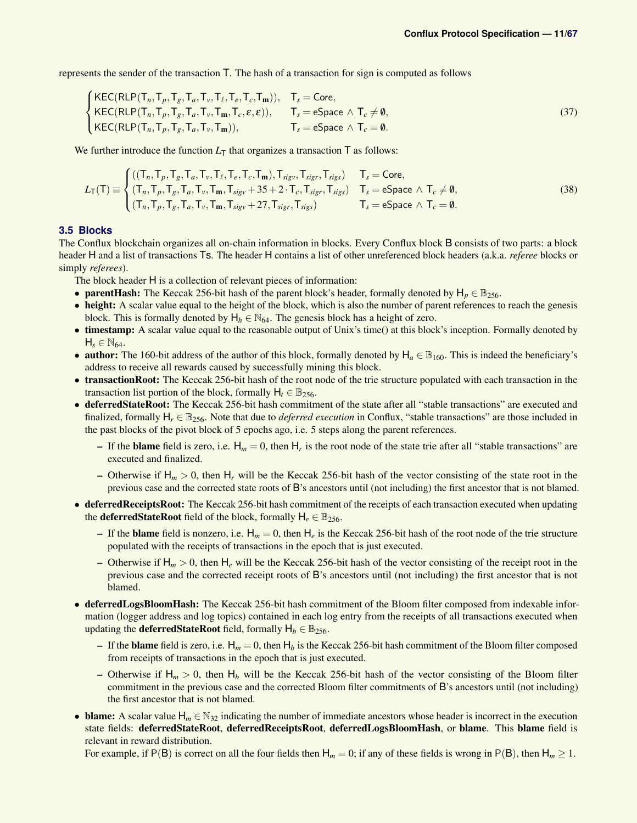represents the sender of the transaction T. The hash of a transaction for sign is computed as follows

$$
\begin{cases}\n\text{KEC(RLP}(T_n, T_p, T_g, T_a, T_v, T_\ell, T_e, T_c, T_m)), & T_s = \text{Core}, \\
\text{KEC(RLP}(T_n, T_p, T_g, T_a, T_v, T_m, T_c, \varepsilon, \varepsilon)), & T_s = \text{eSpace } \wedge T_c \neq \emptyset, \\
\text{KEC(RLP}(T_n, T_p, T_g, T_a, T_v, T_m)), & T_s = \text{eSpace } \wedge T_c = \emptyset.\n\end{cases}
$$
\n(37)

We further introduce the function  $L<sub>T</sub>$  that organizes a transaction  $T$  as follows:

<span id="page-10-1"></span>
$$
L_{\mathsf{T}}(\mathsf{T}) \equiv \begin{cases} ((\mathsf{T}_n, \mathsf{T}_p, \mathsf{T}_g, \mathsf{T}_a, \mathsf{T}_v, \mathsf{T}_\ell, \mathsf{T}_e, \mathsf{T}_c, \mathsf{T}_m), \mathsf{T}_{sigv}, \mathsf{T}_{sigr}, \mathsf{T}_{sigs}) & \mathsf{T}_s = \text{Core}, \\ (\mathsf{T}_n, \mathsf{T}_p, \mathsf{T}_g, \mathsf{T}_a, \mathsf{T}_v, \mathsf{T}_m, \mathsf{T}_{sigv} + 35 + 2 \cdot \mathsf{T}_c, \mathsf{T}_{sigr}, \mathsf{T}_{sigs}) & \mathsf{T}_s = \text{eSpace} \land \mathsf{T}_c \neq \emptyset, \\ (\mathsf{T}_n, \mathsf{T}_p, \mathsf{T}_g, \mathsf{T}_a, \mathsf{T}_v, \mathsf{T}_m, \mathsf{T}_{sigv} + 27, \mathsf{T}_{sigr}, \mathsf{T}_{sigs}) & \mathsf{T}_s = \text{eSpace} \land \mathsf{T}_c = \emptyset. \end{cases} \tag{38}
$$

### <span id="page-10-0"></span>**3.5 Blocks**

The Conflux blockchain organizes all on-chain information in blocks. Every Conflux block B consists of two parts: a block header H and a list of transactions Ts. The header H contains a list of other unreferenced block headers (a.k.a. *referee* blocks or simply *referees*).

The block header H is a collection of relevant pieces of information:

- **parentHash:** The Keccak 256-bit hash of the parent block's header, formally denoted by  $H_p \in \mathbb{B}_{256}$ .
- height: A scalar value equal to the height of the block, which is also the number of parent references to reach the genesis block. This is formally denoted by  $H_h \in \mathbb{N}_{64}$ . The genesis block has a height of zero.
- timestamp: A scalar value equal to the reasonable output of Unix's time() at this block's inception. Formally denoted by  $H_s \in \mathbb{N}_{64}$ .
- author: The 160-bit address of the author of this block, formally denoted by  $H_a \n\t\in \mathbb{B}_{160}$ . This is indeed the beneficiary's address to receive all rewards caused by successfully mining this block.
- transactionRoot: The Keccak 256-bit hash of the root node of the trie structure populated with each transaction in the transaction list portion of the block, formally  $H_t \in \mathbb{B}_{256}$ .
- deferredStateRoot: The Keccak 256-bit hash commitment of the state after all "stable transactions" are executed and finalized, formally  $H_r \in \mathbb{B}_{256}$ . Note that due to *deferred execution* in Conflux, "stable transactions" are those included in the past blocks of the pivot block of 5 epochs ago, i.e. 5 steps along the parent references.
	- If the **blame** field is zero, i.e.  $H_m = 0$ , then  $H_r$  is the root node of the state trie after all "stable transactions" are executed and finalized.
	- Otherwise if  $H_m > 0$ , then  $H_r$  will be the Keccak 256-bit hash of the vector consisting of the state root in the previous case and the corrected state roots of B's ancestors until (not including) the first ancestor that is not blamed.
- deferredReceiptsRoot: The Keccak 256-bit hash commitment of the receipts of each transaction executed when updating the **deferredStateRoot** field of the block, formally  $H_e \in \mathbb{B}_{256}$ .
	- If the **blame** field is nonzero, i.e.  $H_m = 0$ , then  $H_e$  is the Keccak 256-bit hash of the root node of the trie structure populated with the receipts of transactions in the epoch that is just executed.
	- Otherwise if  $H_m > 0$ , then  $H_e$  will be the Keccak 256-bit hash of the vector consisting of the receipt root in the previous case and the corrected receipt roots of B's ancestors until (not including) the first ancestor that is not blamed.
- deferredLogsBloomHash: The Keccak 256-bit hash commitment of the Bloom filter composed from indexable information (logger address and log topics) contained in each log entry from the receipts of all transactions executed when updating the **deferredStateRoot** field, formally  $H_b \in \mathbb{B}_{256}$ .
	- If the **blame** field is zero, i.e.  $H_m = 0$ , then  $H_b$  is the Keccak 256-bit hash commitment of the Bloom filter composed from receipts of transactions in the epoch that is just executed.
	- Otherwise if  $H_m > 0$ , then  $H_b$  will be the Keccak 256-bit hash of the vector consisting of the Bloom filter commitment in the previous case and the corrected Bloom filter commitments of B's ancestors until (not including) the first ancestor that is not blamed.
- **blame:** A scalar value  $H_m \n\t\in \mathbb{N}_{32}$  indicating the number of immediate ancestors whose header is incorrect in the execution state fields: deferredStateRoot, deferredReceiptsRoot, deferredLogsBloomHash, or blame. This blame field is relevant in reward distribution.

For example, if  $P(B)$  is correct on all the four fields then  $H_m = 0$ ; if any of these fields is wrong in  $P(B)$ , then  $H_m \ge 1$ .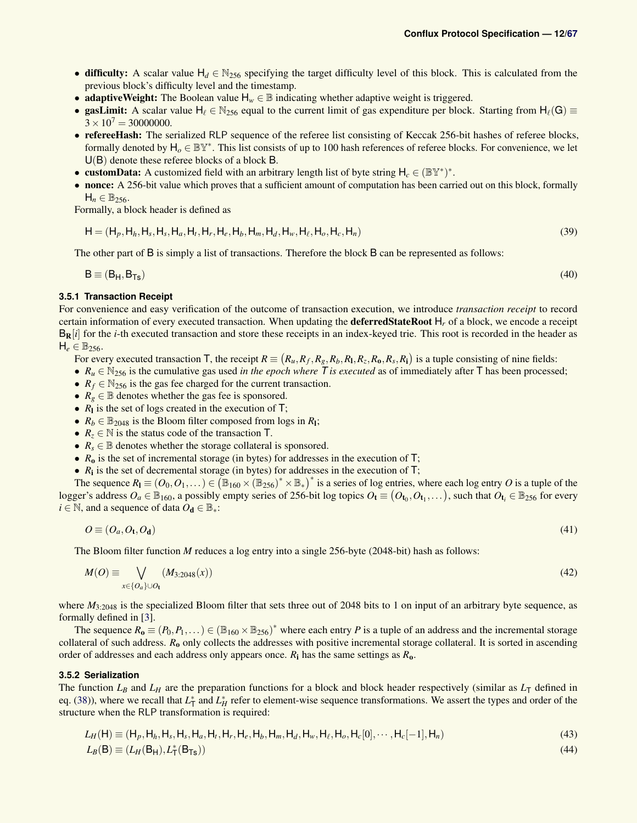- difficulty: A scalar value  $H_d \in N_{256}$  specifying the target difficulty level of this block. This is calculated from the previous block's difficulty level and the timestamp.
- **adaptiveWeight:** The Boolean value  $H_w \in \mathbb{B}$  indicating whether adaptive weight is triggered.
- gasLimit: A scalar value  $H_\ell \in N_{256}$  equal to the current limit of gas expenditure per block. Starting from  $H_\ell(G) \equiv$  $3 \times 10^7 = 30000000$ .
- refereeHash: The serialized RLP sequence of the referee list consisting of Keccak 256-bit hashes of referee blocks, formally denoted by  $H_0 \in \mathbb{BY}^*$ . This list consists of up to 100 hash references of referee blocks. For convenience, we let U(B) denote these referee blocks of a block B.
- customData: A customized field with an arbitrary length list of byte string  $H_c \in (\mathbb{BY}^*)^*$ .
- nonce: A 256-bit value which proves that a sufficient amount of computation has been carried out on this block, formally  $H_n \in \mathbb{B}_{256}$ .

Formally, a block header is defined as

$$
\mathsf{H} = (\mathsf{H}_p, \mathsf{H}_h, \mathsf{H}_s, \mathsf{H}_s, \mathsf{H}_a, \mathsf{H}_t, \mathsf{H}_r, \mathsf{H}_e, \mathsf{H}_b, \mathsf{H}_m, \mathsf{H}_d, \mathsf{H}_w, \mathsf{H}_e, \mathsf{H}_o, \mathsf{H}_c, \mathsf{H}_n)
$$
(39)

The other part of B is simply a list of transactions. Therefore the block B can be represented as follows:

 $B = (B_H, B_{Ts})$  (40)

### <span id="page-11-0"></span>**3.5.1 Transaction Receipt**

For convenience and easy verification of the outcome of transaction execution, we introduce *transaction receipt* to record certain information of every executed transaction. When updating the deferredStateRoot H*<sup>r</sup>* of a block, we encode a receipt  $B_R[i]$  for the *i*-th executed transaction and store these receipts in an index-keyed trie. This root is recorded in the header as  $H_e \in \mathbb{B}_{256}$ .

For every executed transaction T, the receipt  $R \equiv (R_u, R_f, R_g, R_b, R_1, R_z, R_0, R_s, R_i)$  is a tuple consisting of nine fields:

- $R_u \in \mathbb{N}_{256}$  is the cumulative gas used *in the epoch where T is executed* as of immediately after T has been processed;
- $R_f \in \mathbb{N}_{256}$  is the gas fee charged for the current transaction.
- $R_g \in \mathbb{B}$  denotes whether the gas fee is sponsored.
- $R_1$  is the set of logs created in the execution of T;
- $R_b \in \mathbb{B}_{2048}$  is the Bloom filter composed from logs in  $R_1$ ;
- $R_z \in \mathbb{N}$  is the status code of the transaction T.
- $R_s \in \mathbb{B}$  denotes whether the storage collateral is sponsored.
- $R_0$  is the set of incremental storage (in bytes) for addresses in the execution of  $\overline{T}$ ;
- $R_i$  is the set of decremental storage (in bytes) for addresses in the execution of  $T$ ;

The sequence  $R_1 \equiv (O_0, O_1, \dots) \in (\mathbb{B}_{160} \times (\mathbb{B}_{256})^* \times \mathbb{B}_*)^*$  is a series of log entries, where each log entry *O* is a tuple of the logger's address  $O_a \in \mathbb{B}_{160}$ , a possibly empty series of 256-bit log topics  $O_{\mathbf{t}} \equiv (O_{\mathbf{t}_0}, O_{\mathbf{t}_1}, \dots)$ , such that  $O_{\mathbf{t}_i} \in \mathbb{B}_{256}$  for every  $i \in \mathbb{N}$ , and a sequence of data  $O_d \in \mathbb{B}_*$ :

$$
O \equiv (O_a, O_t, O_d) \tag{41}
$$

The Bloom filter function *M* reduces a log entry into a single 256-byte (2048-bit) hash as follows:

$$
M(O) \equiv \bigvee_{x \in \{O_a\} \cup O_{\mathbf{t}}} (M_{3:2048}(x)) \tag{42}
$$

where  $M_{3:2048}$  is the specialized Bloom filter that sets three out of 2048 bits to 1 on input of an arbitrary byte sequence, as formally defined in [\[3\]](#page-45-1).

The sequence  $R_0 \equiv (P_0, P_1, \dots) \in (\mathbb{B}_{160} \times \mathbb{B}_{256})^*$  where each entry *P* is a tuple of an address and the incremental storage collateral of such address. *R*<sub>o</sub> only collects the addresses with positive incremental storage collateral. It is sorted in ascending order of addresses and each address only appears once. *R*<sup>i</sup> has the same settings as *R*o.

### <span id="page-11-1"></span>**3.5.2 Serialization**

The function  $L_B$  and  $L_H$  are the preparation functions for a block and block header respectively (similar as  $L_T$  defined in eq. [\(38\)](#page-10-1)), where we recall that  $L_T^*$  and  $L_H^*$  refer to element-wise sequence transformations. We assert the types and order of the structure when the RLP transformation is required:

$$
L_H(\mathsf{H}) \equiv (\mathsf{H}_p, \mathsf{H}_h, \mathsf{H}_s, \mathsf{H}_s, \mathsf{H}_a, \mathsf{H}_t, \mathsf{H}_r, \mathsf{H}_e, \mathsf{H}_b, \mathsf{H}_m, \mathsf{H}_d, \mathsf{H}_w, \mathsf{H}_e, \mathsf{H}_o, \mathsf{H}_c[0], \cdots, \mathsf{H}_c[-1], \mathsf{H}_n)
$$
\n
$$
\tag{43}
$$

$$
L_B(\mathsf{B}) \equiv (L_H(\mathsf{B}_{\mathsf{H}}), L_{\mathsf{T}}^*(\mathsf{B}_{\mathsf{Ts}}))
$$
\n<sup>(44)</sup>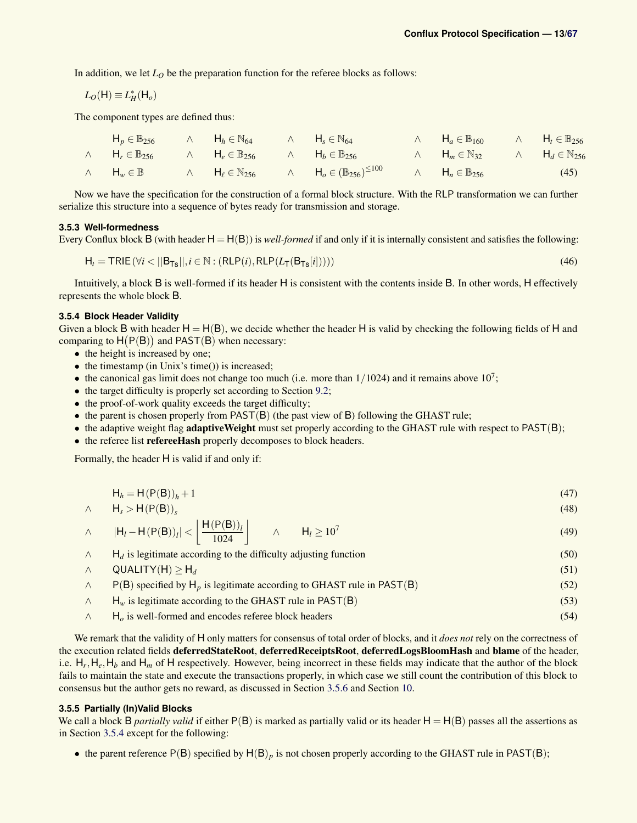In addition, we let  $L_0$  be the preparation function for the referee blocks as follows:

$$
L_O(H) \equiv L_H^*(H_o)
$$

The component types are defined thus:

| $H_p \in \mathbb{B}_{256}$ $\wedge$ $H_h \in \mathbb{N}_{64}$ $\wedge$ $H_s \in \mathbb{N}_{64}$            |  |                                                                                             | $\wedge$ $H_a \in \mathbb{B}_{160}$ $\wedge$ $H_t \in \mathbb{B}_{256}$ |      |
|-------------------------------------------------------------------------------------------------------------|--|---------------------------------------------------------------------------------------------|-------------------------------------------------------------------------|------|
| $\wedge$ $H_r \in \mathbb{B}_{256}$ $\wedge$ $H_e \in \mathbb{B}_{256}$ $\wedge$ $H_b \in \mathbb{B}_{256}$ |  |                                                                                             | $\wedge$ $H_m \in \mathbb{N}_{32}$ $\wedge$ $H_d \in \mathbb{N}_{256}$  |      |
| $\wedge$ $H_w \in \mathbb{B}$                                                                               |  | $\wedge$ $H_{\ell} \in \mathbb{N}_{256}$ $\wedge$ $H_{o} \in (\mathbb{B}_{256})^{\leq 100}$ | $\wedge$ $H_n \in \mathbb{B}_{256}$                                     | (45) |

Now we have the specification for the construction of a formal block structure. With the RLP transformation we can further serialize this structure into a sequence of bytes ready for transmission and storage.

### <span id="page-12-0"></span>**3.5.3 Well-formedness**

Every Conflux block B (with header  $H = H(B)$ ) is *well-formed* if and only if it is internally consistent and satisfies the following:

$$
\mathsf{H}_{t} = \mathsf{TRIE}(\forall i < ||\mathsf{B}_{\mathsf{Ts}}||, i \in \mathbb{N} : (\mathsf{RLP}(i), \mathsf{RLP}(L_{\mathsf{T}}(\mathsf{B}_{\mathsf{Ts}}[i]))) \tag{46}
$$

Intuitively, a block B is well-formed if its header H is consistent with the contents inside B. In other words, H effectively represents the whole block B.

### <span id="page-12-1"></span>**3.5.4 Block Header Validity**

Given a block B with header  $H = H(B)$ , we decide whether the header H is valid by checking the following fields of H and comparing to  $H(P(B))$  and PAST(B) when necessary:

- the height is increased by one;
- the timestamp (in Unix's time()) is increased;
- the canonical gas limit does not change too much (i.e. more than  $1/1024$ ) and it remains above  $10<sup>7</sup>$ ;
- the target difficulty is properly set according to Section [9.2;](#page-41-0)
- the proof-of-work quality exceeds the target difficulty;
- the parent is chosen properly from PAST(B) (the past view of B) following the GHAST rule;
- the adaptive weight flag adaptive Weight must set properly according to the GHAST rule with respect to PAST(B);
- the referee list refereeHash properly decomposes to block headers.

Formally, the header H is valid if and only if:

<span id="page-12-3"></span>
$$
\mathsf{H}_h = \mathsf{H}(\mathsf{P}(\mathsf{B}))_h + 1\tag{47}
$$

$$
\wedge \qquad \mathsf{H}_s > \mathsf{H}(\mathsf{P}(\mathsf{B}))_s \tag{48}
$$

$$
\wedge \qquad |\mathsf{H}_l - \mathsf{H}(\mathsf{P}(\mathsf{B}))_l| < \left\lfloor \frac{\mathsf{H}(\mathsf{P}(\mathsf{B}))_l}{1024} \right\rfloor \qquad \wedge \qquad \mathsf{H}_l \ge 10^7 \tag{49}
$$

- $\wedge$  H<sub>d</sub> is legitimate according to the difficulty adjusting function (50)
- $∧$  QUALITY(H) ≥ H<sub>d</sub> (51)
- $\wedge$  P(B) specified by H<sub>p</sub> is legitimate according to GHAST rule in PAST(B) (52)
- ∧ H*<sup>w</sup>* is legitimate according to the GHAST rule in PAST(B) (53)
- ∧ H*<sup>o</sup>* is well-formed and encodes referee block headers (54)

We remark that the validity of H only matters for consensus of total order of blocks, and it *does not* rely on the correctness of the execution related fields deferredStateRoot, deferredReceiptsRoot, deferredLogsBloomHash and blame of the header, i.e.  $H_r$ ,  $H_e$ ,  $H_b$  and  $H_m$  of H respectively. However, being incorrect in these fields may indicate that the author of the block fails to maintain the state and execute the transactions properly, in which case we still count the contribution of this block to consensus but the author gets no reward, as discussed in Section [3.5.6](#page-13-0) and Section [10.](#page-41-1)

#### <span id="page-12-2"></span>**3.5.5 Partially (In)Valid Blocks**

We call a block B *partially valid* if either  $P(B)$  is marked as partially valid or its header  $H = H(B)$  passes all the assertions as in Section [3.5.4](#page-12-1) except for the following:

• the parent reference  $P(B)$  specified by  $H(B)<sub>p</sub>$  is not chosen properly according to the GHAST rule in PAST(B);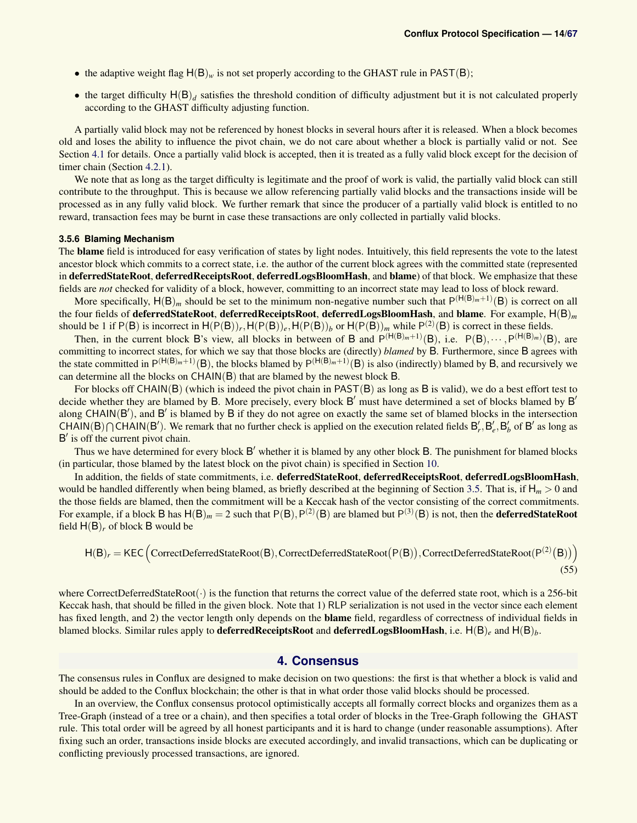- the adaptive weight flag  $H(B)_{w}$  is not set properly according to the GHAST rule in PAST(B);
- the target difficulty  $H(B)<sub>d</sub>$  satisfies the threshold condition of difficulty adjustment but it is not calculated properly according to the GHAST difficulty adjusting function.

A partially valid block may not be referenced by honest blocks in several hours after it is released. When a block becomes old and loses the ability to influence the pivot chain, we do not care about whether a block is partially valid or not. See Section [4.1](#page-14-0) for details. Once a partially valid block is accepted, then it is treated as a fully valid block except for the decision of timer chain (Section [4.2.1\)](#page-15-2).

We note that as long as the target difficulty is legitimate and the proof of work is valid, the partially valid block can still contribute to the throughput. This is because we allow referencing partially valid blocks and the transactions inside will be processed as in any fully valid block. We further remark that since the producer of a partially valid block is entitled to no reward, transaction fees may be burnt in case these transactions are only collected in partially valid blocks.

#### <span id="page-13-0"></span>**3.5.6 Blaming Mechanism**

The blame field is introduced for easy verification of states by light nodes. Intuitively, this field represents the vote to the latest ancestor block which commits to a correct state, i.e. the author of the current block agrees with the committed state (represented in deferredStateRoot, deferredReceiptsRoot, deferredLogsBloomHash, and blame) of that block. We emphasize that these fields are *not* checked for validity of a block, however, committing to an incorrect state may lead to loss of block reward.

More specifically,  $H(B)$ <sub>*m*</sub> should be set to the minimum non-negative number such that  $P^{(H(B)_{m}+1)}(B)$  is correct on all the four fields of deferredStateRoot, deferredReceiptsRoot, deferredLogsBloomHash, and blame. For example, H(B)*<sup>m</sup>* should be 1 if  $P(B)$  is incorrect in  $H(P(B))_r$ ,  $H(P(B))_e$ ,  $H(P(B))_b$  or  $H(P(B))_m$  while  $P^{(2)}(B)$  is correct in these fields.

Then, in the current block B's view, all blocks in between of B and  $P^{(H(B)<sub>m</sub>+1)}(B)$ , i.e.  $P(B)$ ,  $\cdots$ ,  $P^{(H(B)<sub>m</sub>)}(B)$ , are committing to incorrect states, for which we say that those blocks are (directly) *blamed* by B. Furthermore, since B agrees with the state committed in  $P^{(H(B)_{m}+1)}(B)$ , the blocks blamed by  $P^{(H(B)_{m}+1)}(B)$  is also (indirectly) blamed by B, and recursively we can determine all the blocks on CHAIN(B) that are blamed by the newest block B.

For blocks off CHAIN(B) (which is indeed the pivot chain in PAST(B) as long as B is valid), we do a best effort test to decide whether they are blamed by B. More precisely, every block B' must have determined a set of blocks blamed by B' along  $CHAIN(B')$ , and  $B'$  is blamed by  $B$  if they do not agree on exactly the same set of blamed blocks in the intersection CHAIN(B)  $\bigcap$  CHAIN(B'). We remark that no further check is applied on the execution related fields  $B'_r, B'_e, B'_b$  of B' as long as B' is off the current pivot chain.

Thus we have determined for every block B' whether it is blamed by any other block B. The punishment for blamed blocks (in particular, those blamed by the latest block on the pivot chain) is specified in Section [10.](#page-41-1)

In addition, the fields of state commitments, i.e. **deferredStateRoot**, deferredReceiptsRoot, deferredLogsBloomHash, would be handled differently when being blamed, as briefly described at the beginning of Section [3.5.](#page-10-0) That is, if  $H_m > 0$  and the those fields are blamed, then the commitment will be a Keccak hash of the vector consisting of the correct commitments. For example, if a block **B** has  $H(B)_m = 2$  such that  $P(B), P^{(2)}(B)$  are blamed but  $P^{(3)}(B)$  is not, then the **deferredStateRoot** field  $H(B)<sub>r</sub>$  of block B would be

$$
H(B)_r = KEC \left( CorrectDefer redStateRoot(B), CorrectDefer redStateRoot(P(B)), CorrectDefer redStateRoot(P^{(2)}(B))\right)
$$
\n(55)

where CorrectDeferredStateRoot $(\cdot)$  is the function that returns the correct value of the deferred state root, which is a 256-bit Keccak hash, that should be filled in the given block. Note that 1) RLP serialization is not used in the vector since each element has fixed length, and 2) the vector length only depends on the **blame** field, regardless of correctness of individual fields in blamed blocks. Similar rules apply to **deferredReceiptsRoot** and **deferredLogsBloomHash**, i.e. H(B)<sub>*e*</sub> and H(B)<sub>*b*</sub>.

### **4. Consensus**

The consensus rules in Conflux are designed to make decision on two questions: the first is that whether a block is valid and should be added to the Conflux blockchain; the other is that in what order those valid blocks should be processed.

In an overview, the Conflux consensus protocol optimistically accepts all formally correct blocks and organizes them as a Tree-Graph (instead of a tree or a chain), and then specifies a total order of blocks in the Tree-Graph following the GHAST rule. This total order will be agreed by all honest participants and it is hard to change (under reasonable assumptions). After fixing such an order, transactions inside blocks are executed accordingly, and invalid transactions, which can be duplicating or conflicting previously processed transactions, are ignored.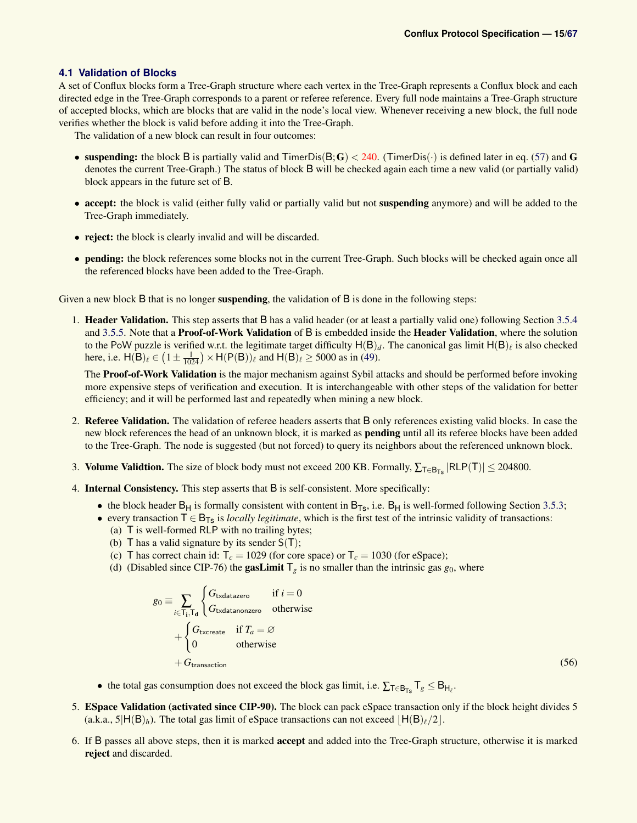### <span id="page-14-0"></span>**4.1 Validation of Blocks**

A set of Conflux blocks form a Tree-Graph structure where each vertex in the Tree-Graph represents a Conflux block and each directed edge in the Tree-Graph corresponds to a parent or referee reference. Every full node maintains a Tree-Graph structure of accepted blocks, which are blocks that are valid in the node's local view. Whenever receiving a new block, the full node verifies whether the block is valid before adding it into the Tree-Graph.

The validation of a new block can result in four outcomes:

- suspending: the block B is partially valid and TimerDis( $B$ ;  $G$ )  $<$  240. (TimerDis( $\cdot$ ) is defined later in eq. [\(57\)](#page-15-3) and G denotes the current Tree-Graph.) The status of block B will be checked again each time a new valid (or partially valid) block appears in the future set of B.
- accept: the block is valid (either fully valid or partially valid but not suspending anymore) and will be added to the Tree-Graph immediately.
- reject: the block is clearly invalid and will be discarded.
- pending: the block references some blocks not in the current Tree-Graph. Such blocks will be checked again once all the referenced blocks have been added to the Tree-Graph.

Given a new block B that is no longer **suspending**, the validation of B is done in the following steps:

1. Header Validation. This step asserts that B has a valid header (or at least a partially valid one) following Section [3.5.4](#page-12-1) and [3.5.5.](#page-12-2) Note that a **Proof-of-Work Validation** of B is embedded inside the **Header Validation**, where the solution to the PoW puzzle is verified w.r.t. the legitimate target difficulty  $H(B)_d$ . The canonical gas limit  $H(B)_\ell$  is also checked here, i.e.  $H(B)_{\ell} \in (1 \pm \frac{1}{1024}) \times H(P(B))_{\ell}$  and  $H(B)_{\ell} \ge 5000$  as in [\(49\)](#page-12-3).

The **Proof-of-Work Validation** is the major mechanism against Sybil attacks and should be performed before invoking more expensive steps of verification and execution. It is interchangeable with other steps of the validation for better efficiency; and it will be performed last and repeatedly when mining a new block.

- 2. Referee Validation. The validation of referee headers asserts that B only references existing valid blocks. In case the new block references the head of an unknown block, it is marked as **pending** until all its referee blocks have been added to the Tree-Graph. The node is suggested (but not forced) to query its neighbors about the referenced unknown block.
- 3. Volume Validtion. The size of block body must not exceed 200 KB. Formally,  $\sum_{T \in B_{Ts}} |RLP(T)| \le 204800$ .
- 4. Internal Consistency. This step asserts that B is self-consistent. More specifically:
	- the block header  $B_H$  is formally consistent with content in  $B_{T_S}$ , i.e.  $B_H$  is well-formed following Section [3.5.3;](#page-12-0)
	- every transaction  $T \in B_{Ts}$  is *locally legitimate*, which is the first test of the intrinsic validity of transactions:
		- (a) T is well-formed RLP with no trailing bytes;
		- (b)  $\overline{T}$  has a valid signature by its sender  $S(T)$ ;
		- (c) T has correct chain id:  $T_c = 1029$  (for core space) or  $T_c = 1030$  (for eSpace);
		- (d) (Disabled since CIP-76) the gasLimit  $T_g$  is no smaller than the intrinsic gas  $g_0$ , where

<span id="page-14-1"></span>
$$
g_0 \equiv \sum_{i \in T_i, T_d} \begin{cases} G_{\text{txdatazero}} & \text{if } i = 0 \\ G_{\text{txdatanonzero}} & \text{otherwise} \end{cases}
$$
\n
$$
+ \begin{cases} G_{\text{txcreated}} & \text{if } T_a = \varnothing \\ 0 & \text{otherwise} \end{cases}
$$
\n
$$
+ G_{\text{transaction}} \tag{56}
$$

- the total gas consumption does not exceed the block gas limit, i.e.  $\sum_{T \in B_{Ts}} T_g \leq B_{H_\ell}$ .
- 5. ESpace Validation (activated since CIP-90). The block can pack eSpace transaction only if the block height divides 5 (a.k.a.,  $5|H(B)_h$ ). The total gas limit of eSpace transactions can not exceed  $|H(B)_\ell/2|$ .
- 6. If B passes all above steps, then it is marked accept and added into the Tree-Graph structure, otherwise it is marked reject and discarded.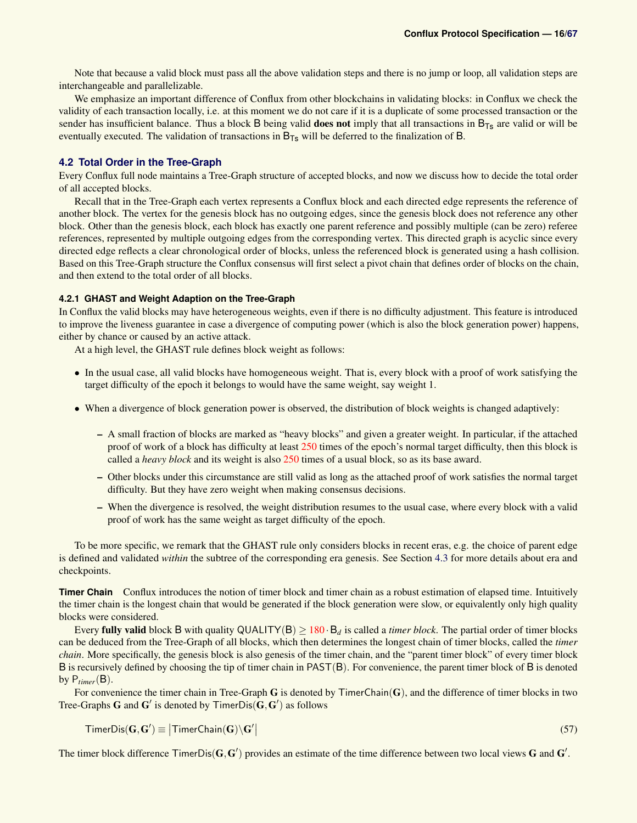<span id="page-15-3"></span>(57)

Note that because a valid block must pass all the above validation steps and there is no jump or loop, all validation steps are interchangeable and parallelizable.

We emphasize an important difference of Conflux from other blockchains in validating blocks: in Conflux we check the validity of each transaction locally, i.e. at this moment we do not care if it is a duplicate of some processed transaction or the sender has insufficient balance. Thus a block B being valid **does not** imply that all transactions in  $B_{Ts}$  are valid or will be eventually executed. The validation of transactions in  $B_{Ts}$  will be deferred to the finalization of B.

### <span id="page-15-0"></span>**4.2 Total Order in the Tree-Graph**

Every Conflux full node maintains a Tree-Graph structure of accepted blocks, and now we discuss how to decide the total order of all accepted blocks.

Recall that in the Tree-Graph each vertex represents a Conflux block and each directed edge represents the reference of another block. The vertex for the genesis block has no outgoing edges, since the genesis block does not reference any other block. Other than the genesis block, each block has exactly one parent reference and possibly multiple (can be zero) referee references, represented by multiple outgoing edges from the corresponding vertex. This directed graph is acyclic since every directed edge reflects a clear chronological order of blocks, unless the referenced block is generated using a hash collision. Based on this Tree-Graph structure the Conflux consensus will first select a pivot chain that defines order of blocks on the chain, and then extend to the total order of all blocks.

### <span id="page-15-1"></span>**4.2.1 GHAST and Weight Adaption on the Tree-Graph**

In Conflux the valid blocks may have heterogeneous weights, even if there is no difficulty adjustment. This feature is introduced to improve the liveness guarantee in case a divergence of computing power (which is also the block generation power) happens, either by chance or caused by an active attack.

At a high level, the GHAST rule defines block weight as follows:

- In the usual case, all valid blocks have homogeneous weight. That is, every block with a proof of work satisfying the target difficulty of the epoch it belongs to would have the same weight, say weight 1.
- When a divergence of block generation power is observed, the distribution of block weights is changed adaptively:
	- A small fraction of blocks are marked as "heavy blocks" and given a greater weight. In particular, if the attached proof of work of a block has difficulty at least 250 times of the epoch's normal target difficulty, then this block is called a *heavy block* and its weight is also 250 times of a usual block, so as its base award.
	- Other blocks under this circumstance are still valid as long as the attached proof of work satisfies the normal target difficulty. But they have zero weight when making consensus decisions.
	- When the divergence is resolved, the weight distribution resumes to the usual case, where every block with a valid proof of work has the same weight as target difficulty of the epoch.

To be more specific, we remark that the GHAST rule only considers blocks in recent eras, e.g. the choice of parent edge is defined and validated *within* the subtree of the corresponding era genesis. See Section [4.3](#page-18-3) for more details about era and checkpoints.

<span id="page-15-2"></span>**Timer Chain** Conflux introduces the notion of timer block and timer chain as a robust estimation of elapsed time. Intuitively the timer chain is the longest chain that would be generated if the block generation were slow, or equivalently only high quality blocks were considered.

Every **fully valid** block B with quality  $QUALITY(B) \geq 180 \cdot B_d$  is called a *timer block*. The partial order of timer blocks can be deduced from the Tree-Graph of all blocks, which then determines the longest chain of timer blocks, called the *timer chain*. More specifically, the genesis block is also genesis of the timer chain, and the "parent timer block" of every timer block B is recursively defined by choosing the tip of timer chain in PAST(B). For convenience, the parent timer block of B is denoted by  $P_{timer}(B)$ .

For convenience the timer chain in Tree-Graph  $G$  is denoted by TimerChain $(G)$ , and the difference of timer blocks in two Tree-Graphs G and G' is denoted by TimerDis $(G, G')$  as follows

$$
\mathsf{TimerDis}(\mathbf{G},\mathbf{G}')\equiv\big|\mathsf{TimerChain}(\mathbf{G})\backslash\mathbf{G}'\big|
$$

The timer block difference  $\text{TimerDis}(\mathbf{G}, \mathbf{G}')$  provides an estimate of the time difference between two local views G and  $\mathbf{G}'$ .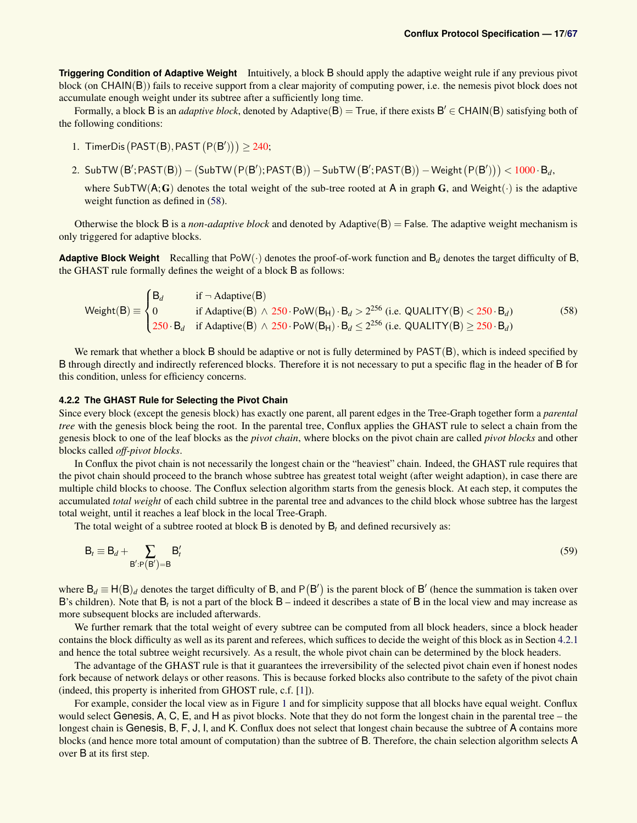**Triggering Condition of Adaptive Weight** Intuitively, a block B should apply the adaptive weight rule if any previous pivot block (on CHAIN(B)) fails to receive support from a clear majority of computing power, i.e. the nemesis pivot block does not accumulate enough weight under its subtree after a sufficiently long time.

Formally, a block B is an *adaptive block*, denoted by Adaptive(B) = True, if there exists  $B' \in CHAIN(B)$  satisfying both of the following conditions:

- 1. TimerDis  $(PAST(B), PAST(P(B'))) \ge 240$ ;
- 2. SubTW  $(B';\textsf{PAST}(B)) (\textsf{SubTW} (P(B');\textsf{PAST}(B)) \textsf{SubTW} (B';\textsf{PAST}(B)) \textsf{Weight} (P(B')))<1000\cdot \mathsf{B}_d,$

where SubTW( $A;G$ ) denotes the total weight of the sub-tree rooted at A in graph G, and Weight( $\cdot$ ) is the adaptive weight function as defined in  $(58)$ .

Otherwise the block B is a *non-adaptive block* and denoted by Adaptive( $B$ ) = False. The adaptive weight mechanism is only triggered for adaptive blocks.

**Adaptive Block Weight** Recalling that PoW( $\cdot$ ) denotes the proof-of-work function and  $B_d$  denotes the target difficulty of B, the GHAST rule formally defines the weight of a block B as follows:

<span id="page-16-1"></span>
$$
\text{Weight}(B) \equiv \begin{cases} B_d & \text{if } \neg \text{ Adaptive}(B) \\ 0 & \text{if } \text{Adaptive}(B) \land 250 \cdot \text{PoW}(B_H) \cdot B_d > 2^{256} \text{ (i.e. QUALITY}(B) < 250 \cdot B_d) \\ 250 \cdot B_d & \text{if } \text{Adaptive}(B) \land 250 \cdot \text{PoW}(B_H) \cdot B_d \le 2^{256} \text{ (i.e. QUALITY}(B) \ge 250 \cdot B_d) \end{cases} \tag{58}
$$

We remark that whether a block  $B$  should be adaptive or not is fully determined by  $PAST(B)$ , which is indeed specified by B through directly and indirectly referenced blocks. Therefore it is not necessary to put a specific flag in the header of B for this condition, unless for efficiency concerns.

### <span id="page-16-0"></span>**4.2.2 The GHAST Rule for Selecting the Pivot Chain**

Since every block (except the genesis block) has exactly one parent, all parent edges in the Tree-Graph together form a *parental tree* with the genesis block being the root. In the parental tree, Conflux applies the GHAST rule to select a chain from the genesis block to one of the leaf blocks as the *pivot chain*, where blocks on the pivot chain are called *pivot blocks* and other blocks called *off-pivot blocks*.

In Conflux the pivot chain is not necessarily the longest chain or the "heaviest" chain. Indeed, the GHAST rule requires that the pivot chain should proceed to the branch whose subtree has greatest total weight (after weight adaption), in case there are multiple child blocks to choose. The Conflux selection algorithm starts from the genesis block. At each step, it computes the accumulated *total weight* of each child subtree in the parental tree and advances to the child block whose subtree has the largest total weight, until it reaches a leaf block in the local Tree-Graph.

The total weight of a subtree rooted at block B is denoted by B*<sup>t</sup>* and defined recursively as:

$$
\mathsf{B}_t \equiv \mathsf{B}_d + \sum_{\mathsf{B}':\mathsf{P}(\mathsf{B}')=\mathsf{B}} \mathsf{B}'_t \tag{59}
$$

where  $B_d \equiv H(B)_d$  denotes the target difficulty of B, and P(B') is the parent block of B' (hence the summation is taken over B's children). Note that  $B_t$  is not a part of the block B – indeed it describes a state of B in the local view and may increase as more subsequent blocks are included afterwards.

We further remark that the total weight of every subtree can be computed from all block headers, since a block header contains the block difficulty as well as its parent and referees, which suffices to decide the weight of this block as in Section [4.2.1](#page-15-1) and hence the total subtree weight recursively. As a result, the whole pivot chain can be determined by the block headers.

The advantage of the GHAST rule is that it guarantees the irreversibility of the selected pivot chain even if honest nodes fork because of network delays or other reasons. This is because forked blocks also contribute to the safety of the pivot chain (indeed, this property is inherited from GHOST rule, c.f. [\[1\]](#page-44-2)).

For example, consider the local view as in Figure [1](#page-17-2) and for simplicity suppose that all blocks have equal weight. Conflux would select Genesis, A, C, E, and H as pivot blocks. Note that they do not form the longest chain in the parental tree – the longest chain is Genesis, B, F, J, I, and K. Conflux does not select that longest chain because the subtree of A contains more blocks (and hence more total amount of computation) than the subtree of B. Therefore, the chain selection algorithm selects A over B at its first step.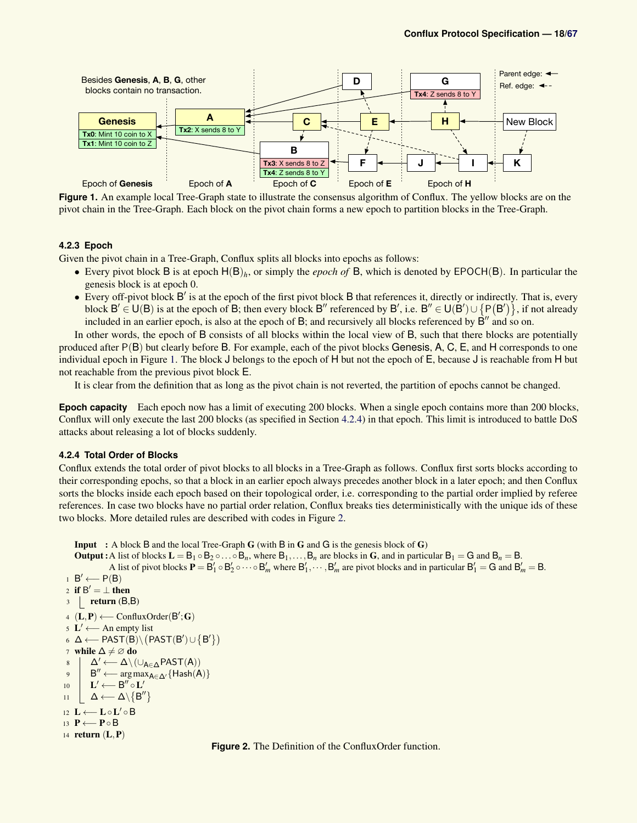<span id="page-17-2"></span>

**Figure 1.** An example local Tree-Graph state to illustrate the consensus algorithm of Conflux. The yellow blocks are on the pivot chain in the Tree-Graph. Each block on the pivot chain forms a new epoch to partition blocks in the Tree-Graph.

### <span id="page-17-0"></span>**4.2.3 Epoch**

Given the pivot chain in a Tree-Graph, Conflux splits all blocks into epochs as follows:

- Every pivot block B is at epoch H(B)*h*, or simply the *epoch of* B, which is denoted by EPOCH(B). In particular the genesis block is at epoch 0.
- Every off-pivot block  $B'$  is at the epoch of the first pivot block  $B$  that references it, directly or indirectly. That is, every block  $B' \in U(B)$  is at the epoch of B; then every block B'' referenced by B', i.e. B''  $\in U(B') \cup \{P(B')\}$ , if not already included in an earlier epoch, is also at the epoch of B; and recursively all blocks referenced by  $\dot{B}''$  and so on.

In other words, the epoch of B consists of all blocks within the local view of B, such that there blocks are potentially produced after P(B) but clearly before B. For example, each of the pivot blocks Genesis, A, C, E, and H corresponds to one individual epoch in Figure [1.](#page-17-2) The block J belongs to the epoch of H but not the epoch of E, because J is reachable from H but not reachable from the previous pivot block E.

It is clear from the definition that as long as the pivot chain is not reverted, the partition of epochs cannot be changed.

**Epoch capacity** Each epoch now has a limit of executing 200 blocks. When a single epoch contains more than 200 blocks, Conflux will only execute the last 200 blocks (as specified in Section [4.2.4\)](#page-17-1) in that epoch. This limit is introduced to battle DoS attacks about releasing a lot of blocks suddenly.

#### <span id="page-17-1"></span>**4.2.4 Total Order of Blocks**

Conflux extends the total order of pivot blocks to all blocks in a Tree-Graph as follows. Conflux first sorts blocks according to their corresponding epochs, so that a block in an earlier epoch always precedes another block in a later epoch; and then Conflux sorts the blocks inside each epoch based on their topological order, i.e. corresponding to the partial order implied by referee references. In case two blocks have no partial order relation, Conflux breaks ties deterministically with the unique ids of these two blocks. More detailed rules are described with codes in Figure [2.](#page-17-3)

<span id="page-17-3"></span>Input : A block B and the local Tree-Graph G (with B in G and G is the genesis block of G) **Output :** A list of blocks  $L = B_1 \circ B_2 \circ \ldots \circ B_n$ , where  $B_1, \ldots, B_n$  are blocks in G, and in particular  $B_1 = G$  and  $B_n = B$ . A list of pivot blocks  $P = B'_1 \circ B'_2 \circ \cdots \circ B'_m$  where  $B'_1, \cdots, B'_m$  are pivot blocks and in particular  $B'_1 = G$  and  $B'_m = B$ .  $1 \quad B' \longleftarrow P(B)$ 2 if  $B' = \perp$  then  $3$  return  $(B,B)$ 4 ( $L, P$ ) ← ConfluxOrder( $B$ '; G) 5  $\mathbf{L}' \longleftarrow$  An empty list 6 Δ ← PAST(B) \  $(PAST(B') \cup {B'})$ 7 while  $\Delta \neq \emptyset$  do 8  $\Delta' \longleftarrow \Delta \setminus (\cup_{A \in \Delta} PAST(A))$ 9 B" ← arg max $_{A \in \Delta'}$ {Hash(A)} 10  $\mathbf{L}' \longleftarrow \mathbf{B}'' \circ \mathbf{L}'$  $11$   $\Delta$  ←  $\Delta \setminus \{B''\}$ 12 L←L∘L'∘B 13 P ← P o B 14 return  $(L, P)$ 

**Figure 2.** The Definition of the ConfluxOrder function.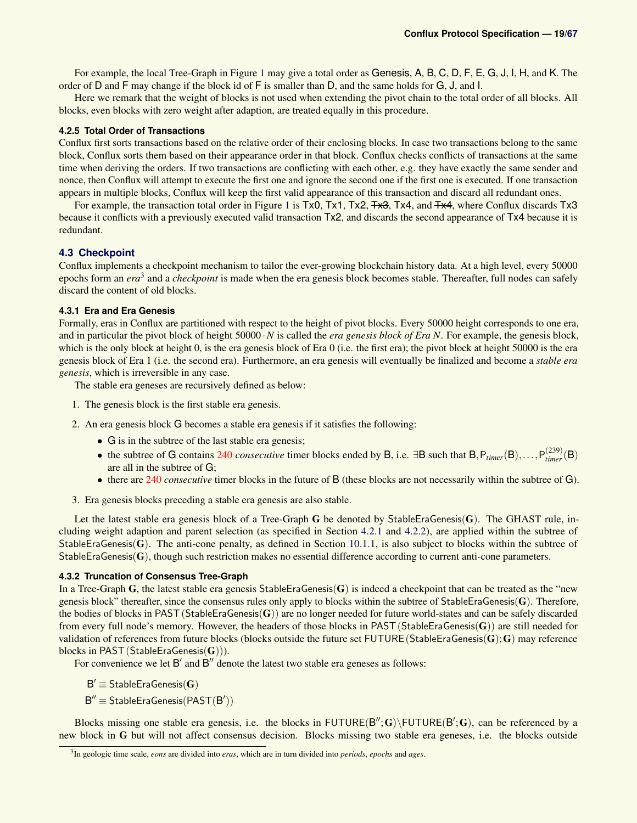For example, the local Tree-Graph in Figure [1](#page-17-2) may give a total order as Genesis, A, B, C, D, F, E, G, J, I, H, and K. The order of D and F may change if the block id of F is smaller than D, and the same holds for G, J, and I.

Here we remark that the weight of blocks is not used when extending the pivot chain to the total order of all blocks. All blocks, even blocks with zero weight after adaption, are treated equally in this procedure.

### <span id="page-18-0"></span>**4.2.5 Total Order of Transactions**

Conflux first sorts transactions based on the relative order of their enclosing blocks. In case two transactions belong to the same block, Conflux sorts them based on their appearance order in that block. Conflux checks conflicts of transactions at the same time when deriving the orders. If two transactions are conflicting with each other, e.g. they have exactly the same sender and nonce, then Conflux will attempt to execute the first one and ignore the second one if the first one is executed. If one transaction appears in multiple blocks, Conflux will keep the first valid appearance of this transaction and discard all redundant ones.

For example, the transaction total order in Figure [1](#page-17-2) is Tx0, Tx1, Tx2, Tx4, Tx4, and Tx4, where Conflux discards Tx3 because it conflicts with a previously executed valid transaction Tx2, and discards the second appearance of Tx4 because it is redundant.

### <span id="page-18-3"></span>**4.3 Checkpoint**

Conflux implements a checkpoint mechanism to tailor the ever-growing blockchain history data. At a high level, every 50000 epochs form an *era*<sup>[3](#page-18-4)</sup> and a *checkpoint* is made when the era genesis block becomes stable. Thereafter, full nodes can safely discard the content of old blocks.

### <span id="page-18-1"></span>**4.3.1 Era and Era Genesis**

Formally, eras in Conflux are partitioned with respect to the height of pivot blocks. Every 50000 height corresponds to one era, and in particular the pivot block of height 50000 ·*N* is called the *era genesis block of Era N*. For example, the genesis block, which is the only block at height 0, is the era genesis block of Era 0 (i.e. the first era); the pivot block at height 50000 is the era genesis block of Era 1 (i.e. the second era). Furthermore, an era genesis will eventually be finalized and become a *stable era genesis*, which is irreversible in any case.

The stable era geneses are recursively defined as below:

- 1. The genesis block is the first stable era genesis.
- 2. An era genesis block G becomes a stable era genesis if it satisfies the following:
	- G is in the subtree of the last stable era genesis;
	- the subtree of G contains 240 *consecutive* timer blocks ended by B, i.e.  $\exists B$  such that  $B, P_{timer}(B), \ldots, P_{timer}^{(239)}(B)$ are all in the subtree of G;
	- there are 240 *consecutive* timer blocks in the future of B (these blocks are not necessarily within the subtree of G).
- 3. Era genesis blocks preceding a stable era genesis are also stable.

Let the latest stable era genesis block of a Tree-Graph G be denoted by StableEraGenesis(G). The GHAST rule, including weight adaption and parent selection (as specified in Section [4.2.1](#page-15-1) and [4.2.2\)](#page-16-0), are applied within the subtree of StableEraGenesis(G). The anti-cone penalty, as defined in Section [10.1.1,](#page-42-0) is also subject to blocks within the subtree of StableEraGenesis( $\bf{G}$ ), though such restriction makes no essential difference according to current anti-cone parameters.

### <span id="page-18-2"></span>**4.3.2 Truncation of Consensus Tree-Graph**

In a Tree-Graph G, the latest stable era genesis StableEraGenesis( $G$ ) is indeed a checkpoint that can be treated as the "new genesis block" thereafter, since the consensus rules only apply to blocks within the subtree of StableEraGenesis( $\bf{G}$ ). Therefore, the bodies of blocks in PAST (StableEraGenesis( $\bf{G}$ )) are no longer needed for future world-states and can be safely discarded from every full node's memory. However, the headers of those blocks in PAST (StableEraGenesis( $\bf{G}$ )) are still needed for validation of references from future blocks (blocks outside the future set FUTURE (StableEraGenesis( $\bf{G}$ );  $\bf{G}$ ) may reference blocks in PAST (StableEraGenesis(G))).

For convenience we let  $B'$  and  $B''$  denote the latest two stable era geneses as follows:

 $B' \equiv$  Stable Era Genesis $(G)$ 

 $B'' \equiv$  Stable Era Genesis (PAST( $B'$ ))

Blocks missing one stable era genesis, i.e. the blocks in  $FUTURE(B''; G) \ FUTURE(B'; G)$ , can be referenced by a new block in G but will not affect consensus decision. Blocks missing two stable era geneses, i.e. the blocks outside

<span id="page-18-4"></span><sup>3</sup> In geologic time scale, *eons* are divided into *eras*, which are in turn divided into *periods*, *epochs* and *ages*.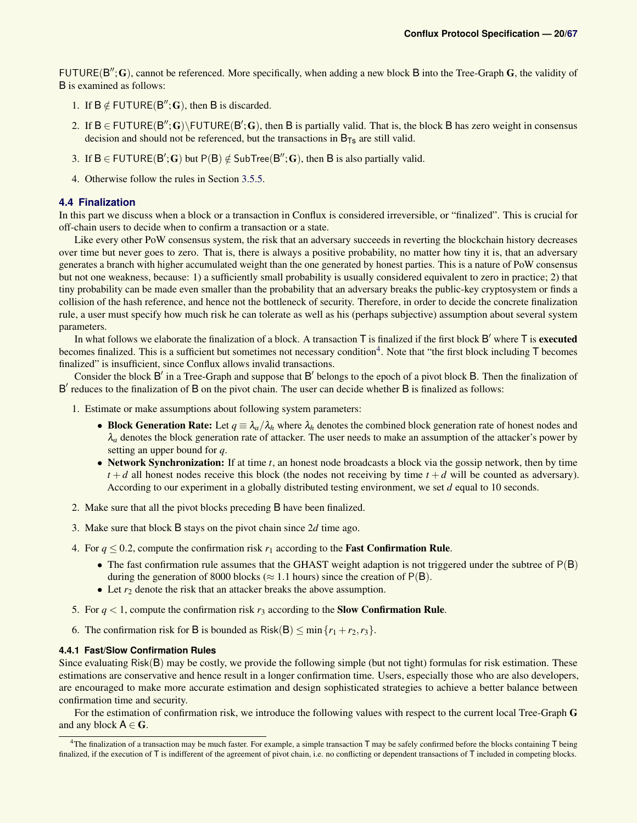FUTURE( $B''$ ; G), cannot be referenced. More specifically, when adding a new block B into the Tree-Graph G, the validity of B is examined as follows:

- 1. If  $B \notin FUTURE(B''; G)$ , then B is discarded.
- 2. If  $B \in FUTURE(B''; G) \setminus FUTURE(B'; G)$ , then B is partially valid. That is, the block B has zero weight in consensus decision and should not be referenced, but the transactions in  $B_{\text{Ts}}$  are still valid.
- 3. If  $B \in FUTURE(B'; G)$  but  $P(B) \notin SubTree(B''; G)$ , then B is also partially valid.
- 4. Otherwise follow the rules in Section [3.5.5.](#page-12-2)

### **4.4 Finalization**

In this part we discuss when a block or a transaction in Conflux is considered irreversible, or "finalized". This is crucial for off-chain users to decide when to confirm a transaction or a state.

Like every other PoW consensus system, the risk that an adversary succeeds in reverting the blockchain history decreases over time but never goes to zero. That is, there is always a positive probability, no matter how tiny it is, that an adversary generates a branch with higher accumulated weight than the one generated by honest parties. This is a nature of PoW consensus but not one weakness, because: 1) a sufficiently small probability is usually considered equivalent to zero in practice; 2) that tiny probability can be made even smaller than the probability that an adversary breaks the public-key cryptosystem or finds a collision of the hash reference, and hence not the bottleneck of security. Therefore, in order to decide the concrete finalization rule, a user must specify how much risk he can tolerate as well as his (perhaps subjective) assumption about several system parameters.

In what follows we elaborate the finalization of a block. A transaction  $T$  is finalized if the first block  $B'$  where  $T$  is executed becomes finalized. This is a sufficient but sometimes not necessary condition<sup>[4](#page-19-1)</sup>. Note that "the first block including T becomes finalized" is insufficient, since Conflux allows invalid transactions.

Consider the block  $B'$  in a Tree-Graph and suppose that  $B'$  belongs to the epoch of a pivot block  $B$ . Then the finalization of B' reduces to the finalization of B on the pivot chain. The user can decide whether B is finalized as follows:

- 1. Estimate or make assumptions about following system parameters:
	- Block Generation Rate: Let  $q \equiv \lambda_a/\lambda_h$  where  $\lambda_h$  denotes the combined block generation rate of honest nodes and  $\lambda_a$  denotes the block generation rate of attacker. The user needs to make an assumption of the attacker's power by setting an upper bound for *q*.
	- Network Synchronization: If at time *t*, an honest node broadcasts a block via the gossip network, then by time  $t + d$  all honest nodes receive this block (the nodes not receiving by time  $t + d$  will be counted as adversary). According to our experiment in a globally distributed testing environment, we set *d* equal to 10 seconds.
- 2. Make sure that all the pivot blocks preceding B have been finalized.
- 3. Make sure that block B stays on the pivot chain since 2*d* time ago.
- 4. For  $q \le 0.2$ , compute the confirmation risk  $r_1$  according to the **Fast Confirmation Rule**.
	- The fast confirmation rule assumes that the GHAST weight adaption is not triggered under the subtree of  $P(B)$ during the generation of 8000 blocks ( $\approx$  1.1 hours) since the creation of P(B).
	- Let  $r_2$  denote the risk that an attacker breaks the above assumption.
- 5. For  $q < 1$ , compute the confirmation risk  $r_3$  according to the **Slow Confirmation Rule**.
- 6. The confirmation risk for B is bounded as  $Risk(B) \leq min\{r_1 + r_2, r_3\}.$

### <span id="page-19-0"></span>**4.4.1 Fast/Slow Confirmation Rules**

Since evaluating Risk(B) may be costly, we provide the following simple (but not tight) formulas for risk estimation. These estimations are conservative and hence result in a longer confirmation time. Users, especially those who are also developers, are encouraged to make more accurate estimation and design sophisticated strategies to achieve a better balance between confirmation time and security.

For the estimation of confirmation risk, we introduce the following values with respect to the current local Tree-Graph G and any block  $A \in G$ .

<span id="page-19-1"></span><sup>&</sup>lt;sup>4</sup>The finalization of a transaction may be much faster. For example, a simple transaction  $T$  may be safely confirmed before the blocks containing  $T$  being finalized, if the execution of T is indifferent of the agreement of pivot chain, i.e. no conflicting or dependent transactions of T included in competing blocks.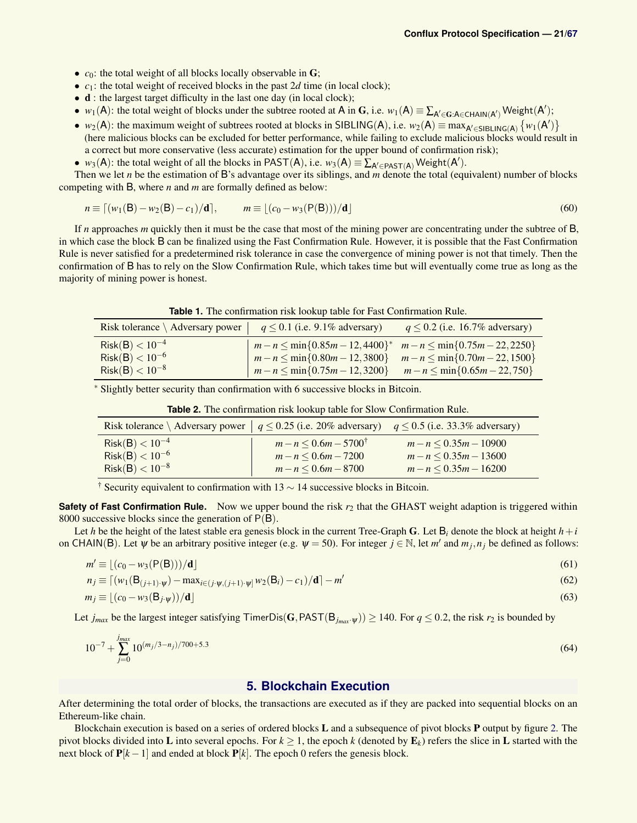- *c*<sub>0</sub>: the total weight of all blocks locally observable in **G**;
- $c_1$ : the total weight of received blocks in the past 2*d* time (in local clock);
- **d** : the largest target difficulty in the last one day (in local clock);
- *w*<sub>1</sub>(A): the total weight of blocks under the subtree rooted at A in G, i.e. *w*<sub>1</sub>(A)  $\equiv \sum_{A' \in G: A \in CHAIN(A')}$  Weight(A');
- *w*<sub>2</sub>(A): the maximum weight of subtrees rooted at blocks in SIBLING(A), i.e. *w*<sub>2</sub>(A)  $\equiv$  max<sub>A'∈SIBLING(A)</sub> {*w*<sub>1</sub>(A')} (here malicious blocks can be excluded for better performance, while failing to exclude malicious blocks would result in a correct but more conservative (less accurate) estimation for the upper bound of confirmation risk);
- *w*<sub>3</sub>(A): the total weight of all the blocks in PAST(A), i.e. *w*<sub>3</sub>(A)  $\equiv \sum_{A' \in PAST(A)}$  Weight(A').

Then we let *n* be the estimation of B's advantage over its siblings, and *m* denote the total (equivalent) number of blocks competing with B, where *n* and *m* are formally defined as below:

$$
n \equiv [(w_1(\mathsf{B}) - w_2(\mathsf{B}) - c_1)/\mathbf{d}], \qquad m \equiv [(c_0 - w_3(\mathsf{P}(\mathsf{B})))/\mathbf{d}] \tag{60}
$$

If *n* approaches *m* quickly then it must be the case that most of the mining power are concentrating under the subtree of B, in which case the block B can be finalized using the Fast Confirmation Rule. However, it is possible that the Fast Confirmation Rule is never satisfied for a predetermined risk tolerance in case the convergence of mining power is not that timely. Then the confirmation of B has to rely on the Slow Confirmation Rule, which takes time but will eventually come true as long as the majority of mining power is honest.

| <b>Table 1.</b> The confirmation risk lookup table for Fast Confirmation Rule. |  |
|--------------------------------------------------------------------------------|--|
|                                                                                |  |

| Risk tolerance $\setminus$ Adversary power $\Big $ $q \le 0.1$ (i.e. 9.1% adversary) $q \le 0.2$ (i.e. 16.7% adversary) |                                                                                                                                        |  |
|-------------------------------------------------------------------------------------------------------------------------|----------------------------------------------------------------------------------------------------------------------------------------|--|
| $Risk(B) < 10^{-4}$<br>$Risk(B) < 10^{-6}$                                                                              | $m-n \leq \min\{0.85m-12,4400\}^*$ $m-n \leq \min\{0.75m-22,2250\}$<br>$m-n \le \min\{0.80m-12,3800\}$ $m-n \le \min\{0.70m-22,1500\}$ |  |
| $Risk(B) < 10^{-8}$                                                                                                     | $\left  m-n \leq \min\{0.75m-12,3200\} \right $ $m-n \leq \min\{0.65m-22,750\}$                                                        |  |

<sup>∗</sup> Slightly better security than confirmation with 6 successive blocks in Bitcoin.

| Risk tolerance \ Adversary power   $q \le 0.25$ (i.e. 20% adversary) $q \le 0.5$ (i.e. 33.3% adversary) |                                                                             |                                                                   |  |  |  |
|---------------------------------------------------------------------------------------------------------|-----------------------------------------------------------------------------|-------------------------------------------------------------------|--|--|--|
| $Risk(B) < 10^{-4}$<br>$Risk(B) < 10^{-6}$<br>$Risk(B) < 10^{-8}$                                       | $m-n \leq 0.6m-5700^{\dagger}$<br>$m-n < 0.6m-7200$<br>$m-n \leq 0.6m-8700$ | $m-n < 0.35m-10900$<br>$m-n < 0.35m-13600$<br>$m-n < 0.35m-16200$ |  |  |  |

**Table 2.** The confirmation risk lookup table for Slow Confirmation Rule.

<sup>†</sup> Security equivalent to confirmation with  $13 \sim 14$  successive blocks in Bitcoin.

**Safety of Fast Confirmation Rule.** Now we upper bound the risk  $r_2$  that the GHAST weight adaption is triggered within 8000 successive blocks since the generation of  $P(B)$ .

Let *h* be the height of the latest stable era genesis block in the current Tree-Graph G. Let  $B_i$  denote the block at height  $h + i$ on CHAIN(B). Let  $\psi$  be an arbitrary positive integer (e.g.  $\psi = 50$ ). For integer  $j \in \mathbb{N}$ , let  $m'$  and  $m_j, n_j$  be defined as follows:

$$
m' \equiv \lfloor (c_0 - w_3(\mathsf{P}(\mathsf{B}))) / \mathbf{d} \rfloor \tag{61}
$$

$$
n_j \equiv \left[ (w_1(\mathbf{B}_{(j+1)\cdot \psi}) - \max_{i \in (j \cdot \psi, (j+1)\cdot \psi]} w_2(\mathbf{B}_i) - c_1) / \mathbf{d} \right] - m' \tag{62}
$$

$$
m_j \equiv \lfloor (c_0 - w_3(\mathbf{B}_{j \cdot \psi})) / \mathbf{d} \rfloor \tag{63}
$$

Let  $j_{max}$  be the largest integer satisfying TimerDis(G,PAST(B<sub>*j<sub>max</sub>*· $\psi$ )) ≥ 140. For  $q \le 0.2$ , the risk  $r_2$  is bounded by</sub>

$$
10^{-7} + \sum_{j=0}^{j_{max}} 10^{(m_j/3 - n_j)/700 + 5.3}
$$
 (64)

### **5. Blockchain Execution**

After determining the total order of blocks, the transactions are executed as if they are packed into sequential blocks on an Ethereum-like chain.

Blockchain execution is based on a series of ordered blocks L and a subsequence of pivot blocks P output by figure [2.](#page-17-3) The pivot blocks divided into L into several epochs. For  $k \geq 1$ , the epoch k (denoted by  $\mathbf{E}_k$ ) refers the slice in L started with the next block of  $P[k-1]$  and ended at block  $P[k]$ . The epoch 0 refers the genesis block.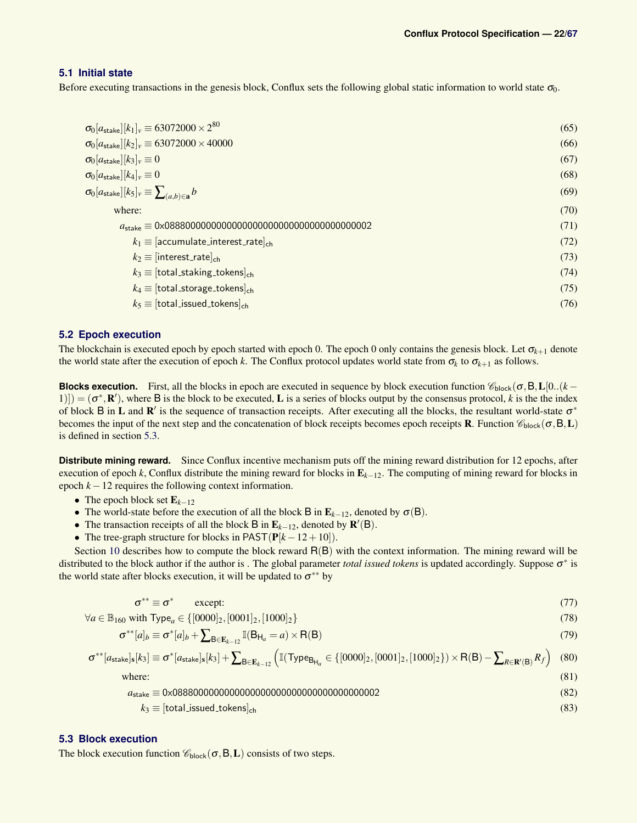### <span id="page-21-0"></span>**5.1 Initial state**

Before executing transactions in the genesis block, Conflux sets the following global static information to world state  $\sigma_0$ .

| $\sigma_0[a_{\sf stake}][k_1]_v \equiv 63072000 \times 2^{80}$             | (65) |
|----------------------------------------------------------------------------|------|
| $\sigma_0[a_{\text{stake}}][k_2]_v \equiv 63072000 \times 40000$           | (66) |
| $\sigma_0[a_{\rm stake}][k_3]_v \equiv 0$                                  | (67) |
| $\sigma_0[a_{\rm stake}][k_4]_v \equiv 0$                                  | (68) |
| $\sigma_0[a_{\text{stake}}][k_5]_{v} \equiv \sum_{(a,b) \in \mathbf{a}} b$ | (69) |
| where:                                                                     | (70) |
|                                                                            | (71) |
| $k_1 \equiv [\text{accumulate}]\text{interest}$ <sub>ch</sub>              | (72) |
| $k_2 \equiv$ [interest_rate] <sub>ch</sub>                                 | (73) |
| $k_3 \equiv$ [total_staking_tokens] <sub>ch</sub>                          | (74) |
| $k_4 \equiv$ [total_storage_tokens] <sub>ch</sub>                          | (75) |
| $k_5 \equiv$ [total_issued_tokens] <sub>ch</sub>                           | (76) |
|                                                                            |      |

### <span id="page-21-1"></span>**5.2 Epoch execution**

The blockchain is executed epoch by epoch started with epoch 0. The epoch 0 only contains the genesis block. Let  $\sigma_{k+1}$  denote the world state after the execution of epoch *k*. The Conflux protocol updates world state from  $\sigma_k$  to  $\sigma_{k+1}$  as follows.

**Blocks execution.** First, all the blocks in epoch are executed in sequence by block execution function  $\mathscr{C}_{block}(\sigma, B, L[0..(k-1]))$ 1)]) =  $(\sigma^*, \mathbf{R}')$ , where B is the block to be executed, L is a series of blocks output by the consensus protocol, k is the the index of block B in L and  $\mathbb{R}'$  is the sequence of transaction receipts. After executing all the blocks, the resultant world-state  $\sigma^*$ becomes the input of the next step and the concatenation of block receipts becomes epoch receipts **R**. Function  $\mathcal{C}_{\text{block}}(\sigma, B, L)$ is defined in section [5.3.](#page-21-2)

**Distribute mining reward.** Since Conflux incentive mechanism puts off the mining reward distribution for 12 epochs, after execution of epoch *k*, Conflux distribute the mining reward for blocks in E*k*−12. The computing of mining reward for blocks in epoch  $k - 12$  requires the following context information.

- The epoch block set E*k*−<sup>12</sup>
- The world-state before the execution of all the block B in  $\mathbf{E}_{k-12}$ , denoted by  $\sigma(\mathbf{B})$ .
- The transaction receipts of all the block **B** in  $\mathbf{E}_{k-12}$ , denoted by  $\mathbf{R}'(\mathbf{B})$ .
- The tree-graph structure for blocks in  $\text{PAST}(\mathbf{P}[k-12+10])$ .

Section [10](#page-41-1) describes how to compute the block reward R(B) with the context information. The mining reward will be distributed to the block author if the author is. The global parameter *total issued tokens* is updated accordingly. Suppose σ<sup>∗</sup> is the world state after blocks execution, it will be updated to  $\sigma^{**}$  by

$$
\sigma^{**} \equiv \sigma^* \qquad \text{except:} \tag{77}
$$

$$
\forall a \in \mathbb{B}_{160} \text{ with Type}_a \in \{ [0000]_2, [0001]_2, [1000]_2 \}
$$
\n
$$
(78)
$$

$$
\sigma^{**}[a]_b \equiv \sigma^*[a]_b + \sum_{\mathsf{B}\in \mathbf{E}_{k-12}} \mathbb{I}(\mathsf{B}_{\mathsf{H}_a} = a) \times \mathsf{R}(\mathsf{B})
$$
\n(79)

$$
\sigma^{**}[a_{\text{stake}}]_s[k_3] \equiv \sigma^*[a_{\text{stake}}]_s[k_3] + \sum_{B \in E_{k-12}} \left( \mathbb{I}(\text{Type}_{B_{H_a}} \in \{ [0000]_2, [0001]_2, [1000]_2 \}) \times R(B) - \sum_{R \in \mathbb{R}'(B)} R_f \right) \tag{80}
$$

where:  $(81)$ 

*a*stake ≡ 0x0888000000000000000000000000000000000002 (82)

$$
k_3 \equiv [\text{total} \_ \text{issued} \_ \text{c} \_ \text{ch} \tag{83}
$$

### <span id="page-21-2"></span>**5.3 Block execution**

The block execution function  $\mathcal{C}_{\text{block}}(\sigma, B, L)$  consists of two steps.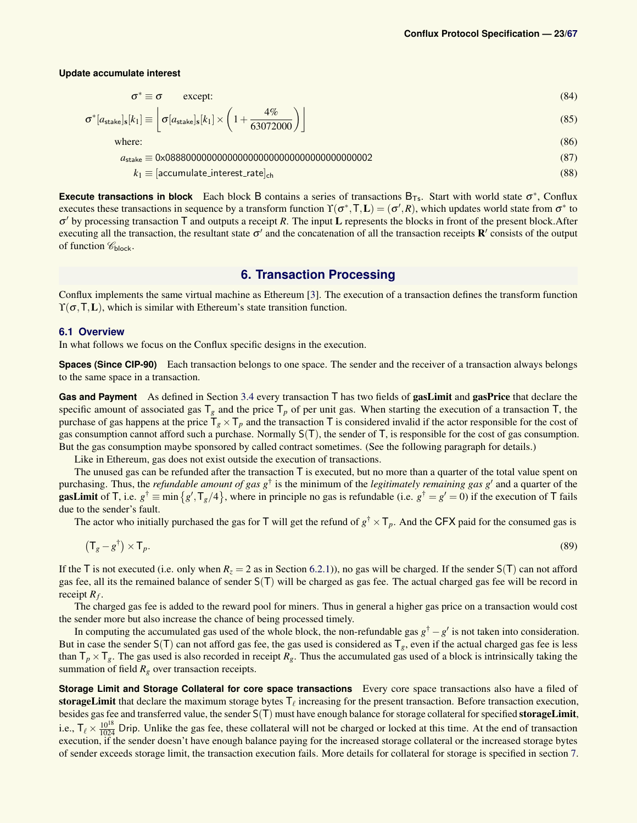#### **Update accumulate interest**

$$
\sigma^* \equiv \sigma \qquad \text{except:} \tag{84}
$$

$$
\sigma^*[a_{\text{stake}}]_s[k_1] \equiv \left[ \sigma[a_{\text{stake}}]_s[k_1] \times \left(1 + \frac{4\%}{63072000}\right) \right]
$$
\n(85)

where:  $(86)$ 

*a*stake ≡ 0x0888000000000000000000000000000000000002 (87)

$$
k_1 \equiv [\text{accumulate}.\text{interest}.\text{rate}]_{\text{ch}} \tag{88}
$$

**Execute transactions in block** Each block B contains a series of transactions  $B_{Ts}$ . Start with world state  $\sigma^*$ , Conflux executes these transactions in sequence by a transform function  $\Upsilon(\sigma^*,\mathsf{T},L)=(\sigma',R)$ , which updates world state from  $\sigma^*$  to σ <sup>0</sup> by processing transaction T and outputs a receipt *R*. The input L represents the blocks in front of the present block.After executing all the transaction, the resultant state  $\sigma'$  and the concatenation of all the transaction receipts  $\mathbf{R}'$  consists of the output of function  $\mathscr{C}_{\text{block}}$ .

### **6. Transaction Processing**

<span id="page-22-0"></span>Conflux implements the same virtual machine as Ethereum [\[3\]](#page-45-1). The execution of a transaction defines the transform function  $\Upsilon(\sigma, T, L)$ , which is similar with Ethereum's state transition function.

### <span id="page-22-1"></span>**6.1 Overview**

In what follows we focus on the Conflux specific designs in the execution.

**Spaces (Since CIP-90)** Each transaction belongs to one space. The sender and the receiver of a transaction always belongs to the same space in a transaction.

<span id="page-22-2"></span>**Gas and Payment** As defined in Section [3.4](#page-9-1) every transaction T has two fields of gasLimit and gasPrice that declare the specific amount of associated gas  $T_g$  and the price  $T_p$  of per unit gas. When starting the execution of a transaction  $T$ , the purchase of gas happens at the price  $T_g \times T_p$  and the transaction T is considered invalid if the actor responsible for the cost of gas consumption cannot afford such a purchase. Normally S(T), the sender of T, is responsible for the cost of gas consumption. But the gas consumption maybe sponsored by called contract sometimes. (See the following paragraph for details.)

Like in Ethereum, gas does not exist outside the execution of transactions.

The unused gas can be refunded after the transaction  $\bar{T}$  is executed, but no more than a quarter of the total value spent on purchasing. Thus, the *refundable amount of gas*  $g^{\dagger}$  is the minimum of the *legitimately remaining gas*  $g'$  and a quarter of the **gasLimit** of T, i.e.  $g^{\dagger} \equiv \min \{g', \text{T}_g/4\}$ , where in principle no gas is refundable (i.e.  $g^{\dagger} = g' = 0$ ) if the execution of T fails due to the sender's fault.

The actor who initially purchased the gas for T will get the refund of  $g^{\dagger} \times T_p$ . And the CFX paid for the consumed gas is

$$
(\mathsf{T}_g - g^\dagger) \times \mathsf{T}_p. \tag{89}
$$

If the T is not executed (i.e. only when  $R_z = 2$  as in Section [6.2.1\)](#page-23-1)), no gas will be charged. If the sender  $S(T)$  can not afford gas fee, all its the remained balance of sender S(T) will be charged as gas fee. The actual charged gas fee will be record in receipt *R<sup>f</sup>* .

The charged gas fee is added to the reward pool for miners. Thus in general a higher gas price on a transaction would cost the sender more but also increase the chance of being processed timely.

In computing the accumulated gas used of the whole block, the non-refundable gas  $g^{\dagger} - g'$  is not taken into consideration. But in case the sender  $S(T)$  can not afford gas fee, the gas used is considered as  $T_g$ , even if the actual charged gas fee is less than  $T_p \times T_g$ . The gas used is also recorded in receipt  $R_g$ . Thus the accumulated gas used of a block is intrinsically taking the summation of field  $R_g$  over transaction receipts.

**Storage Limit and Storage Collateral for core space transactions** Every core space transactions also have a filed of storageLimit that declare the maximum storage bytes  $T_\ell$  increasing for the present transaction. Before transaction execution, besides gas fee and transferred value, the sender S(T) must have enough balance for storage collateral for specified storageLimit, i.e.,  $T_\ell \times \frac{10^{18}}{1024}$  Drip. Unlike the gas fee, these collateral will not be charged or locked at this time. At the end of transaction execution, if the sender doesn't have enough balance paying for the increased storage collateral or the increased storage bytes of sender exceeds storage limit, the transaction execution fails. More details for collateral for storage is specified in section [7.](#page-35-1)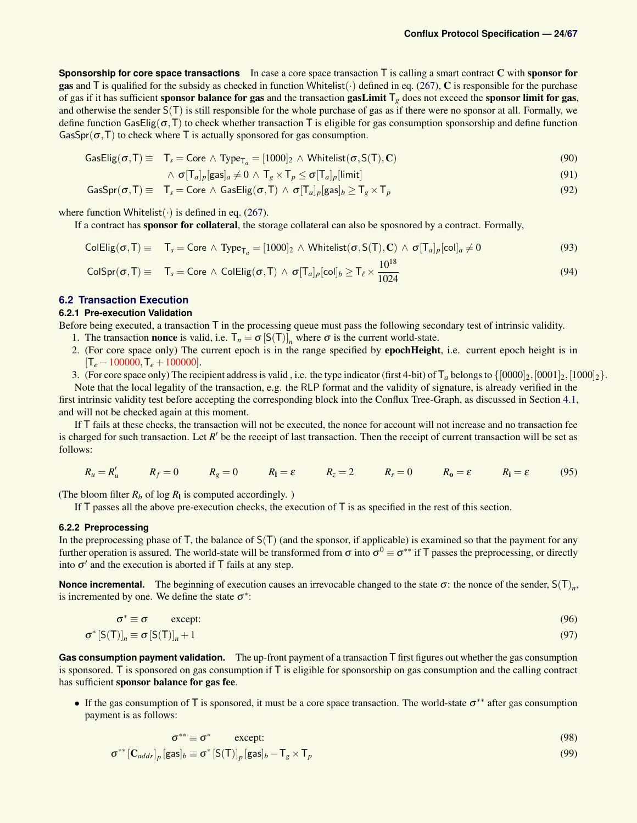**Sponsorship for core space transactions** In case a core space transaction T is calling a smart contract C with sponsor for gas and  $\overline{T}$  is qualified for the subsidy as checked in function Whitelist( $\cdot$ ) defined in eq. [\(267\)](#page-37-2),  $\overline{C}$  is responsible for the purchase of gas if it has sufficient sponsor balance for gas and the transaction gasLimit  $T_g$  does not exceed the sponsor limit for gas, and otherwise the sender  $S(T)$  is still responsible for the whole purchase of gas as if there were no sponsor at all. Formally, we define function GasElig( $\sigma$ ,T) to check whether transaction T is eligible for gas consumption sponsorship and define function GasSpr( $\sigma$ ,T) to check where T is actually sponsored for gas consumption.

$$
\text{GasElig}(\sigma, T) \equiv T_s = \text{Core} \land \text{Type}_{T_a} = [1000]_2 \land \text{Whitelist}(\sigma, S(T), C) \tag{90}
$$

$$
\wedge \; \sigma[\mathsf{T}_a]_p[\mathsf{gas}]_a \neq 0 \wedge \mathsf{T}_g \times \mathsf{T}_p \leq \sigma[\mathsf{T}_a]_p[\mathsf{limit}] \tag{91}
$$

$$
\mathsf{GasSpr}(\sigma, \mathsf{T}) \equiv \mathsf{T}_s = \mathsf{Core} \land \mathsf{GasElig}(\sigma, \mathsf{T}) \land \sigma[\mathsf{T}_a]_p[\mathsf{gas}]_b \ge \mathsf{T}_g \times \mathsf{T}_p \tag{92}
$$

where function Whitelist( $\cdot$ ) is defined in eq. [\(267\)](#page-37-2).

If a contract has sponsor for collateral, the storage collateral can also be sposnored by a contract. Formally,

$$
\text{ColElig}(\sigma, T) \equiv T_s = \text{Core} \land \text{Type}_{T_a} = [1000]_2 \land \text{Whitelist}(\sigma, S(T), C) \land \sigma[T_a]_p[\text{col}]_a \neq 0 \tag{93}
$$

$$
\text{ColSpr}(\sigma, T) \equiv T_s = \text{Core} \land \text{ColElig}(\sigma, T) \land \sigma[T_a]_p[\text{col}]_b \ge T_\ell \times \frac{10^{18}}{1024}
$$
\n(94)

### <span id="page-23-0"></span>**6.2 Transaction Execution**

### <span id="page-23-1"></span>**6.2.1 Pre-execution Validation**

Before being executed, a transaction  $\bar{T}$  in the processing queue must pass the following secondary test of intrinsic validity.

- 1. The transaction **nonce** is valid, i.e.  $T_n = \sigma [S(T)]_n$  where  $\sigma$  is the current world-state.
- 2. (For core space only) The current epoch is in the range specified by epochHeight, i.e. current epoch height is in  $[T_e - 100000, T_e + 100000]$ .

3. (For core space only) The recipient address is valid, i.e. the type indicator (first 4-bit) of  $T_a$  belongs to  $\{ [0000]_2, [0001]_2, [1000]_2 \}$ .

Note that the local legality of the transaction, e.g. the RLP format and the validity of signature, is already verified in the first intrinsic validity test before accepting the corresponding block into the Conflux Tree-Graph, as discussed in Section [4.1,](#page-14-0) and will not be checked again at this moment.

If T fails at these checks, the transaction will not be executed, the nonce for account will not increase and no transaction fee is charged for such transaction. Let *R'* be the receipt of last transaction. Then the receipt of current transaction will be set as follows:

$$
R_u = R'_u \qquad R_f = 0 \qquad R_g = 0 \qquad R_l = \varepsilon \qquad R_z = 2 \qquad R_s = 0 \qquad R_0 = \varepsilon \qquad R_l = \varepsilon \qquad (95)
$$

(The bloom filter  $R_b$  of log  $R_l$  is computed accordingly.)

If  $T$  passes all the above pre-execution checks, the execution of  $T$  is as specified in the rest of this section.

### <span id="page-23-2"></span>**6.2.2 Preprocessing**

In the preprocessing phase of  $T$ , the balance of  $S(T)$  (and the sponsor, if applicable) is examined so that the payment for any further operation is assured. The world-state will be transformed from  $\sigma$  into  $\sigma^0 \equiv \sigma^{**}$  if T passes the preprocessing, or directly into  $\sigma'$  and the execution is aborted if T fails at any step.

**Nonce incremental.** The beginning of execution causes an irrevocable changed to the state  $\sigma$ : the nonce of the sender,  $S(T)_n$ , is incremented by one. We define the state  $\sigma^*$ :

$$
\sigma^* \equiv \sigma \qquad \text{except:} \tag{96}
$$

$$
\sigma^* \left[ S(\mathsf{T}) \right]_n \equiv \sigma \left[ S(\mathsf{T}) \right]_n + 1 \tag{97}
$$

**Gas consumption payment validation.** The up-front payment of a transaction T first figures out whether the gas consumption is sponsored. T is sponsored on gas consumption if T is eligible for sponsorship on gas consumption and the calling contract has sufficient sponsor balance for gas fee.

• If the gas consumption of T is sponsored, it must be a core space transaction. The world-state  $\sigma^{**}$  after gas consumption payment is as follows:

$$
\sigma^{**} \equiv \sigma^* \qquad \text{except:} \tag{98}
$$

$$
\sigma^{**}[\mathbf{C}_{addr}]_p[\text{gas}]_b \equiv \sigma^*[\mathbf{S}(\mathbf{T})]_p[\text{gas}]_b - \mathbf{T}_g \times \mathbf{T}_p
$$
\n(99)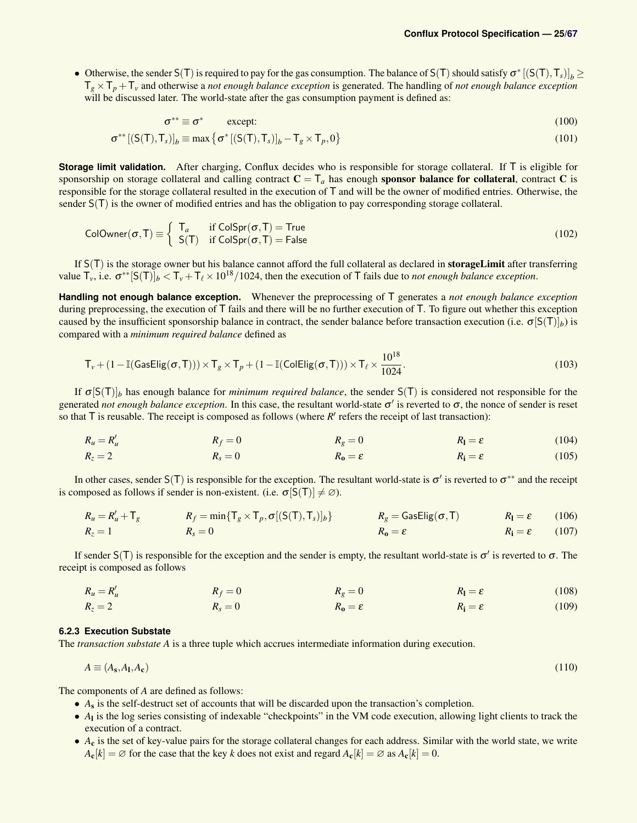• Otherwise, the sender  $S(T)$  is required to pay for the gas consumption. The balance of  $S(T)$  should satisfy  $\sigma^*[(S(T),T_S)]_b \geq$  $T_g \times T_p + T_v$  and otherwise a *not enough balance exception* is generated. The handling of *not enough balance exception* will be discussed later. The world-state after the gas consumption payment is defined as:

$$
\sigma^{**} \equiv \sigma^* \qquad \text{except:} \tag{100}
$$

$$
\sigma^{**}[(S(T),T_s)]_b \equiv \max \{ \sigma^*[(S(T),T_s)]_b - T_g \times T_p, 0 \}
$$
\n(101)

**Storage limit validation.** After charging, Conflux decides who is responsible for storage collateral. If T is eligible for sponsorship on storage collateral and calling contract  $C = T_a$  has enough **sponsor balance for collateral**, contract C is responsible for the storage collateral resulted in the execution of T and will be the owner of modified entries. Otherwise, the sender  $S(T)$  is the owner of modified entries and has the obligation to pay corresponding storage collateral.

$$
ColOwner(\sigma, T) \equiv \begin{cases} T_a & \text{if } ColSpr(\sigma, T) = True \\ S(T) & \text{if } ColSpr(\sigma, T) = False \end{cases}
$$
 (102)

If S(T) is the storage owner but his balance cannot afford the full collateral as declared in **storageLimit** after transferring value  $T_v$ , i.e.  $\sigma^{**}[S(T)]_b < T_v + T_\ell \times 10^{18}/1024$ , then the execution of T fails due to *not enough balance exception*.

**Handling not enough balance exception.** Whenever the preprocessing of T generates a *not enough balance exception* during preprocessing, the execution of T fails and there will be no further execution of T. To figure out whether this exception caused by the insufficient sponsorship balance in contract, the sender balance before transaction execution (i.e.  $\sigma[S(T)]_b$ ) is compared with a *minimum required balance* defined as

$$
\mathsf{T}_{\nu} + (1 - \mathbb{I}(\mathsf{GasElig}(\sigma, \mathsf{T}))) \times \mathsf{T}_{g} \times \mathsf{T}_{p} + (1 - \mathbb{I}(\mathsf{ColElig}(\sigma, \mathsf{T}))) \times \mathsf{T}_{\ell} \times \frac{10^{18}}{1024}.
$$
\n(103)

If  $\sigma[S(T)]_b$  has enough balance for *minimum required balance*, the sender  $S(T)$  is considered not responsible for the generated *not enough balance exception*. In this case, the resultant world-state σ 0 is reverted to σ, the nonce of sender is reset so that  $\overline{T}$  is reusable. The receipt is composed as follows (where  $R'$  refers the receipt of last transaction):

$$
R_u = R'_u \qquad R_f = 0 \qquad R_g = 0 \qquad R_l = \varepsilon \qquad (104)
$$

$$
R_z = 2 \qquad R_s = 0 \qquad R_0 = \varepsilon \qquad R_{\mathbf{i}} = \varepsilon \qquad (105)
$$

In other cases, sender  $S(T)$  is responsible for the exception. The resultant world-state is  $\sigma'$  is reverted to  $\sigma^{**}$  and the receipt is composed as follows if sender is non-existent. (i.e.  $\sigma[S(T)] \neq \emptyset$ ).

$$
R_u = R'_u + T_g
$$
  
\n
$$
R_f = \min\{T_g \times T_p, \sigma[(S(T), T_s)]_b\}
$$
  
\n
$$
R_g = \text{GasElig}(\sigma, T)
$$
  
\n
$$
R_l = \varepsilon
$$
  
\n
$$
R_l = \varepsilon
$$
  
\n
$$
R_s = 0
$$
  
\n(106)

If sender  $S(T)$  is responsible for the exception and the sender is empty, the resultant world-state is  $\sigma'$  is reverted to  $\sigma$ . The receipt is composed as follows

$$
R_u = R'_u \qquad R_f = 0 \qquad R_g = 0 \qquad R_l = \varepsilon \qquad (108)
$$

$$
R_z = 2 \qquad R_s = 0 \qquad R_0 = \varepsilon \qquad R_i = \varepsilon \qquad (109)
$$

#### <span id="page-24-0"></span>**6.2.3 Execution Substate**

The *transaction substate A* is a three tuple which accrues intermediate information during execution.

$$
A \equiv (A_{\rm s}, A_{\rm l}, A_{\rm c}) \tag{110}
$$

The components of *A* are defined as follows:

- A<sub>s</sub> is the self-destruct set of accounts that will be discarded upon the transaction's completion.
- *A*<sub>l</sub> is the log series consisting of indexable "checkpoints" in the VM code execution, allowing light clients to track the execution of a contract.
- A<sub>c</sub> is the set of key-value pairs for the storage collateral changes for each address. Similar with the world state, we write  $A_{\mathbf{c}}[k] = \emptyset$  for the case that the key *k* does not exist and regard  $A_{\mathbf{c}}[k] = \emptyset$  as  $A_{\mathbf{c}}[k] = 0$ .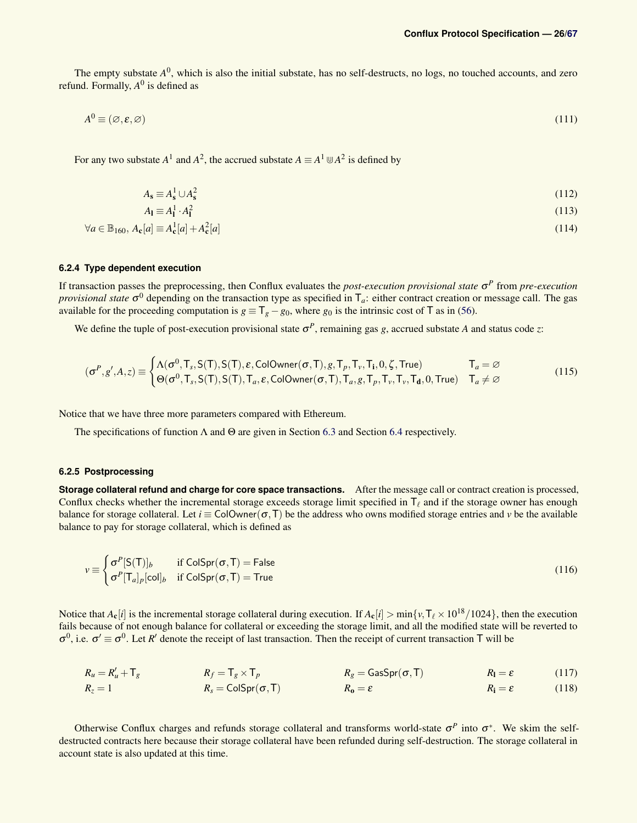The empty substate  $A^0$ , which is also the initial substate, has no self-destructs, no logs, no touched accounts, and zero refund. Formally,  $A^0$  is defined as

$$
A^0 \equiv (\varnothing, \varepsilon, \varnothing) \tag{111}
$$

For any two substate  $A^1$  and  $A^2$ , the accrued substate  $A \equiv A^1 \cup A^2$  is defined by

<span id="page-25-2"></span>
$$
A_{\mathbf{s}} \equiv A_{\mathbf{s}}^1 \cup A_{\mathbf{s}}^2 \tag{112}
$$

$$
A_{\mathbf{l}} \equiv A_{\mathbf{l}}^1 \cdot A_{\mathbf{l}}^2 \tag{113}
$$

$$
\forall a \in \mathbb{B}_{160}, A_{\mathbf{c}}[a] \equiv A_{\mathbf{c}}^1[a] + A_{\mathbf{c}}^2[a] \tag{114}
$$

### <span id="page-25-0"></span>**6.2.4 Type dependent execution**

If transaction passes the preprocessing, then Conflux evaluates the *post-execution provisional state* σ *P* from *pre-execution provisional state*  $\sigma^0$  depending on the transaction type as specified in  $T_a$ : either contract creation or message call. The gas available for the proceeding computation is  $g \equiv T_g - g_0$ , where  $g_0$  is the intrinsic cost of T as in [\(56\)](#page-14-1).

We define the tuple of post-execution provisional state  $\sigma^P$ , remaining gas *g*, accrued substate *A* and status code *z*:

$$
(\sigma^P, g', A, z) \equiv \begin{cases} \Lambda(\sigma^0, T_s, S(T), S(T), \varepsilon, \text{ColOwner}(\sigma, T), g, T_p, T_v, T_i, 0, \zeta, \text{True}) & T_a = \varnothing \\ \Theta(\sigma^0, T_s, S(T), S(T), T_a, \varepsilon, \text{ColOwner}(\sigma, T), T_a, g, T_p, T_v, T_v, T_d, 0, \text{True}) & T_a \neq \varnothing \end{cases}
$$
(115)

Notice that we have three more parameters compared with Ethereum.

The specifications of function  $\Lambda$  and  $\Theta$  are given in Section [6.3](#page-27-0) and Section [6.4](#page-29-0) respectively.

#### <span id="page-25-1"></span>**6.2.5 Postprocessing**

**Storage collateral refund and charge for core space transactions.** After the message call or contract creation is processed, Conflux checks whether the incremental storage exceeds storage limit specified in  $T_\ell$  and if the storage owner has enough balance for storage collateral. Let  $i \equiv \text{ColOwner}(\sigma, T)$  be the address who owns modified storage entries and *v* be the available balance to pay for storage collateral, which is defined as

$$
v \equiv \begin{cases} \sigma^P[S(T)]_b & \text{if } \text{ColSpr}(\sigma, T) = \text{False} \\ \sigma^P[T_a]_p[\text{col}]_b & \text{if } \text{ColSpr}(\sigma, T) = \text{True} \end{cases}
$$
(116)

Notice that  $A_c[i]$  is the incremental storage collateral during execution. If  $A_c[i] > min\{v, T_\ell \times 10^{18}/1024\}$ , then the execution fails because of not enough balance for collateral or exceeding the storage limit, and all the modified state will be reverted to  $\sigma^0$ , i.e.  $\sigma' \equiv \sigma^0$ . Let *R'* denote the receipt of last transaction. Then the receipt of current transaction T will be

$$
R_u = R'_u + T_g
$$
  
\n
$$
R_f = T_g \times T_p
$$
  
\n
$$
R_g = \text{GasSpr}(\sigma, T)
$$
  
\n
$$
R_l = \varepsilon
$$
  
\n
$$
R_l = \varepsilon
$$
  
\n
$$
R_l = \varepsilon
$$
  
\n(117)  
\n
$$
R_o = \varepsilon
$$
  
\n
$$
R_l = \varepsilon
$$
  
\n(118)

Otherwise Conflux charges and refunds storage collateral and transforms world-state  $\sigma^p$  into  $\sigma^*$ . We skim the selfdestructed contracts here because their storage collateral have been refunded during self-destruction. The storage collateral in account state is also updated at this time.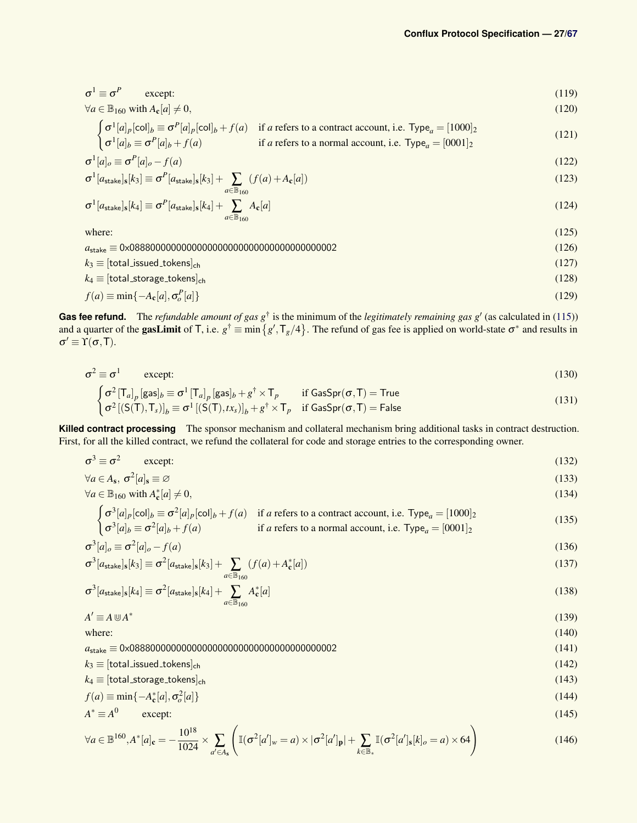$$
\sigma^1 \equiv \sigma^P \qquad \text{except:} \tag{119}
$$

$$
\forall a \in \mathbb{B}_{160} \text{ with } A_{\mathbf{c}}[a] \neq 0,
$$
\n(120)

$$
\begin{cases}\n\sigma^1[a]_p[\text{col}]_b \equiv \sigma^P[a]_p[\text{col}]_b + f(a) & \text{if } a \text{ refers to a contract account, i.e. Type}_a = [1000]_2 \\
\sigma^1[a]_b \equiv \sigma^P[a]_b + f(a) & \text{if } a \text{ refers to a normal account, i.e. Type}_a = [0001]_2\n\end{cases}
$$
\n(121)

$$
\sigma^1[a]_o \equiv \sigma^P[a]_o - f(a) \tag{122}
$$

$$
\sigma^{1}[a_{\text{stack}}]_{\text{s}}[k_{3}] \equiv \sigma^{P}[a_{\text{stack}}]_{\text{s}}[k_{3}] + \sum_{a \in \mathbb{B}_{160}} (f(a) + A_{\text{c}}[a])
$$
\n(123)

$$
\sigma^1[a_{\text{stack}}]_s[k_4] \equiv \sigma^P[a_{\text{stack}}]_s[k_4] + \sum_{a \in \mathbb{B}_{160}} A_c[a]
$$
\n(124)

where:  $(125)$ 

*a*stake ≡ 0x0888000000000000000000000000000000000002 (126)  $k_3 \equiv [\text{total}]\text{ssued}$  tokens]<sub>ch</sub> (127)

$$
k_4 \equiv [\text{total_storage\_tokens}]_{\text{ch}} \tag{128}
$$

$$
f(a) \equiv \min\{-A_c[a], \sigma_o^P[a]\}\tag{129}
$$

**Gas fee refund.** The *refundable amount of gas*  $g^{\dagger}$  is the minimum of the *legitimately remaining gas*  $g'$  (as calculated in [\(115\)](#page-25-2)) and a quarter of the **gasLimit** of T, i.e.  $g^{\dagger} \equiv \min\left\{g',\text{T}_g/4\right\}$ . The refund of gas fee is applied on world-state  $\sigma^*$  and results in  $\sigma' \equiv \Upsilon(\sigma, T)$ .

$$
\sigma^2 \equiv \sigma^1 \qquad \text{except:} \tag{130}
$$

$$
\begin{cases}\n\sigma^2 \left[\mathsf{T}_a\right]_p [\mathsf{gas}]_b \equiv \sigma^1 \left[\mathsf{T}_a\right]_p [\mathsf{gas}]_b + g^\dagger \times \mathsf{T}_p & \text{if } \mathsf{GasSpr}(\sigma, \mathsf{T}) = \mathsf{True} \\
\sigma^2 \left[\left(\mathsf{S}(\mathsf{T}), \mathsf{T}_s\right)\right]_b \equiv \sigma^1 \left[\left(\mathsf{S}(\mathsf{T}), t x_s\right)\right]_b + g^\dagger \times \mathsf{T}_p & \text{if } \mathsf{GasSpr}(\sigma, \mathsf{T}) = \mathsf{False}\n\end{cases}
$$
\n(131)

**Killed contract processing** The sponsor mechanism and collateral mechanism bring additional tasks in contract destruction. First, for all the killed contract, we refund the collateral for code and storage entries to the corresponding owner.

$$
\sigma^3 \equiv \sigma^2 \qquad \text{except:} \tag{132}
$$

$$
\forall a \in A_{\mathbf{s}}, \sigma^2[a]_{\mathbf{s}} \equiv \varnothing \tag{133}
$$

$$
\forall a \in \mathbb{B}_{160} \text{ with } A_{\mathbf{c}}^*[a] \neq 0,
$$
\n(134)

$$
\begin{cases}\n\sigma^3[a]_p[\text{col}]_b \equiv \sigma^2[a]_p[\text{col}]_b + f(a) & \text{if } a \text{ refers to a contract account, i.e. Type}_a = [1000]_2 \\
\sigma^3[a]_b \equiv \sigma^2[a]_b + f(a) & \text{if } a \text{ refers to a normal account, i.e. Type}_a = [0001]_2\n\end{cases}
$$
\n(135)

$$
\sigma^3[a]_o \equiv \sigma^2[a]_o - f(a) \tag{136}
$$

$$
\sigma^3[a_{\text{stake}}]_s[k_3] \equiv \sigma^2[a_{\text{stake}}]_s[k_3] + \sum_{a \in \mathbb{B}_{160}} (f(a) + A^*_{\mathbf{c}}[a])
$$
\n(137)

$$
\sigma^3[a_{\text{stack}}]_s[k_4] \equiv \sigma^2[a_{\text{stack}}]_s[k_4] + \sum_{a \in \mathbb{B}_{160}} A^*_{\mathbf{c}}[a]
$$
\n(138)

$$
A' \equiv A \cup A^* \tag{139}
$$

where:  $(140)$ 

*a*stake ≡ 0x0888000000000000000000000000000000000002 (141)

$$
k_3 \equiv [\text{total\_issued\_tokens}]_{\text{ch}} \tag{142}
$$

$$
k_4 \equiv [\text{total\_storage\_tokens}]_{\text{ch}} \tag{143}
$$

$$
f(a) \equiv \min\{-A_{\mathbf{c}}^*[a], \sigma_o^2[a]\}\tag{144}
$$

$$
A^* \equiv A^0 \qquad \text{except:} \tag{145}
$$

$$
\forall a \in \mathbb{B}^{160}, A^*[a]_c = -\frac{10^{18}}{1024} \times \sum_{a' \in A_s} \left( \mathbb{I}(\sigma^2[a']_w = a) \times |\sigma^2[a']_p| + \sum_{k \in \mathbb{B}_*} \mathbb{I}(\sigma^2[a']_s[k]_o = a) \times 64 \right)
$$
(146)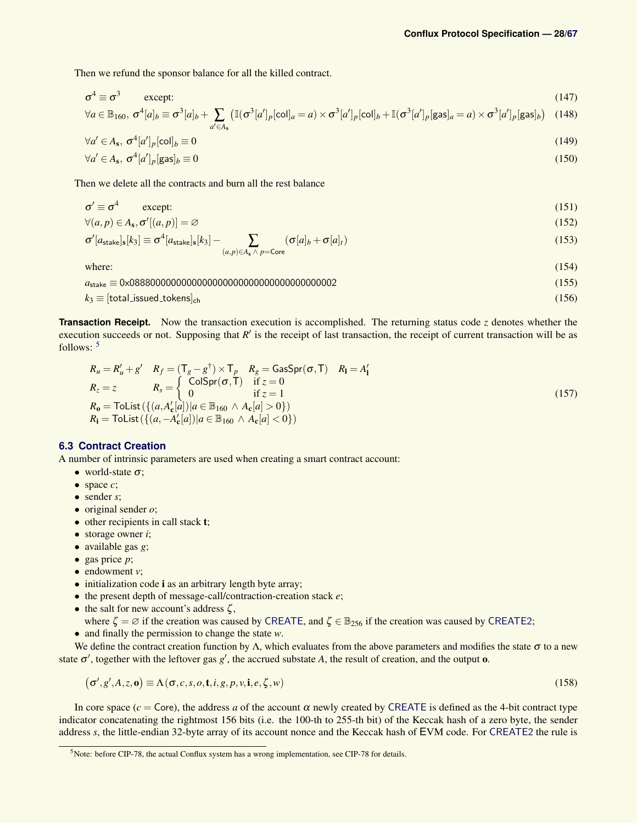Then we refund the sponsor balance for all the killed contract.

$$
\sigma^4 \equiv \sigma^3 \qquad \text{except:} \tag{147}
$$

$$
\forall a \in \mathbb{B}_{160}, \sigma^4[a]_b \equiv \sigma^3[a]_b + \sum_{a' \in A_s} \left( \mathbb{I}(\sigma^3[a']_p[\text{col}]_a = a) \times \sigma^3[a']_p[\text{col}]_b + \mathbb{I}(\sigma^3[a']_p[\text{gas}]_a = a) \times \sigma^3[a']_p[\text{gas}]_b \right)
$$
(148)

$$
\forall a' \in A_{\mathbf{s}}, \sigma^4[a']_p[\text{col}]_b \equiv 0 \tag{149}
$$

$$
\forall a' \in A_{\mathbf{s}}, \sigma^4[a']_p[\mathsf{gas}]_b \equiv 0 \tag{150}
$$

Then we delete all the contracts and burn all the rest balance

$$
\sigma' \equiv \sigma^4 \qquad \text{except:} \tag{151}
$$

$$
\forall (a, p) \in A_{\mathbf{s}}, \sigma'[(a, p)] = \varnothing \tag{152}
$$

$$
\sigma'[a_{\text{stake}}]_s[k_3] \equiv \sigma^4[a_{\text{stake}}]_s[k_3] - \sum_{(a,p)\in A_s \land p = \text{Core}} (\sigma[a]_b + \sigma[a]_t)
$$
\n(153)

where:  $(154)$ 

*a*stake ≡ 0x0888000000000000000000000000000000000002 (155) *k*<sup>3</sup> ≡ [total issued tokens]ch (156)

**Transaction Receipt.** Now the transaction execution is accomplished. The returning status code *z* denotes whether the execution succeeds or not. Supposing that  $R'$  is the receipt of last transaction, the receipt of current transaction will be as follows: [5](#page-27-1)

$$
R_u = R'_u + g' \quad R_f = (T_g - g^\dagger) \times T_p \quad R_g = \text{GasSpr}(\sigma, T) \quad R_l = A'_l
$$
  
\n
$$
R_z = z \qquad R_s = \begin{cases} \text{ColSpr}(\sigma, T) & \text{if } z = 0 \\ 0 & \text{if } z = 1 \end{cases}
$$
  
\n
$$
R_0 = \text{Tolist}(\{(a, A'_c[a]) | a \in \mathbb{B}_{160} \land A_c[a] > 0\})
$$
  
\n
$$
R_i = \text{Tolist}(\{(a, -A'_c[a]) | a \in \mathbb{B}_{160} \land A_c[a] < 0\})
$$
\n(157)

### <span id="page-27-0"></span>**6.3 Contract Creation**

A number of intrinsic parameters are used when creating a smart contract account:

- world-state  $\sigma$ ;
- space *c*;
- sender *s*;
- original sender *o*;
- other recipients in call stack **t**;
- storage owner *i*;
- available gas *g*;
- gas price *p*;
- endowment *v*;
- initialization code **i** as an arbitrary length byte array;
- the present depth of message-call/contraction-creation stack *e*;
- the salt for new account's address  $\zeta$ ,
- where  $\zeta = \emptyset$  if the creation was caused by [CREATE](#page-60-0), and  $\zeta \in \mathbb{B}_{256}$  if the creation was caused by [CREATE2](#page-0-0);
- and finally the permission to change the state *w*.

We define the contract creation function by  $\Lambda$ , which evaluates from the above parameters and modifies the state  $\sigma$  to a new state  $\sigma'$ , together with the leftover gas  $g'$ , the accrued substate A, the result of creation, and the output **o**.

$$
(\sigma', g', A, z, \mathbf{o}) \equiv \Lambda(\sigma, c, s, o, \mathbf{t}, i, g, p, v, \mathbf{i}, e, \zeta, w)
$$
\n(158)

In core space ( $c = \text{Core}$ ), the address *a* of the account  $\alpha$  newly created by [CREATE](#page-60-0) is defined as the 4-bit contract type indicator concatenating the rightmost 156 bits (i.e. the 100-th to 255-th bit) of the Keccak hash of a zero byte, the sender address *s*, the little-endian 32-byte array of its account nonce and the Keccak hash of EVM code. For [CREATE2](#page-0-0) the rule is

<span id="page-27-1"></span> $<sup>5</sup>$ Note: before CIP-78, the actual Conflux system has a wrong implementation, see CIP-78 for details.</sup>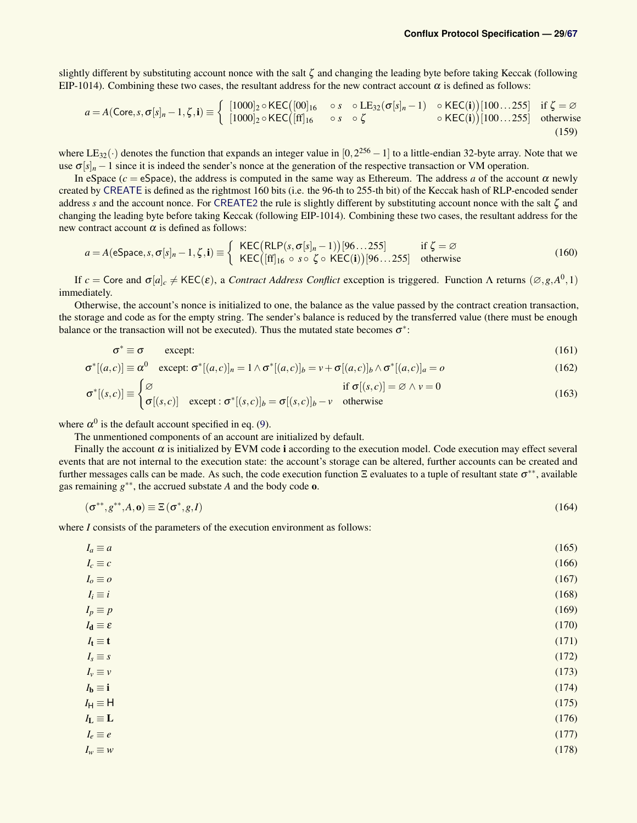slightly different by substituting account nonce with the salt  $\zeta$  and changing the leading byte before taking Keccak (following EIP-1014). Combining these two cases, the resultant address for the new contract account  $\alpha$  is defined as follows:

$$
a = A(\text{Core}, s, \sigma[s]_n - 1, \zeta, \mathbf{i}) \equiv \begin{cases} [1000]_2 \circ \text{KEC}([00]_{16} & \circ s \circ \text{LE}_{32}(\sigma[s]_n - 1) & \circ \text{KEC}(\mathbf{i}) \setminus [100...255] & \text{if } \zeta = \varnothing \\ [1000]_2 \circ \text{KEC}([ff]_{16} & \circ s \circ \zeta & \circ \text{KEC}(\mathbf{i}) \setminus [100...255] & \text{otherwise} \end{cases} \tag{159}
$$

where  $LE_{32}(\cdot)$  denotes the function that expands an integer value in  $[0,2^{256}-1]$  to a little-endian 32-byte array. Note that we use  $\sigma[s]_n - 1$  since it is indeed the sender's nonce at the generation of the respective transaction or VM operation.

In eSpace ( $c = e$ Space), the address is computed in the same way as Ethereum. The address *a* of the account  $\alpha$  newly created by [CREATE](#page-60-0) is defined as the rightmost 160 bits (i.e. the 96-th to 255-th bit) of the Keccak hash of RLP-encoded sender address *s* and the account nonce. For [CREATE2](#page-0-0) the rule is slightly different by substituting account nonce with the salt ζ and changing the leading byte before taking Keccak (following EIP-1014). Combining these two cases, the resultant address for the new contract account  $\alpha$  is defined as follows:

$$
a = A(eSpace, s, \sigma[s]_n - 1, \zeta, \mathbf{i}) \equiv \begin{cases} \text{KEC}(\text{RLP}(s, \sigma[s]_n - 1))[96...255] & \text{if } \zeta = \varnothing \\ \text{KEC}([\text{ff}]_{16} \circ s \circ \zeta \circ \text{KEC}(\mathbf{i}))[96...255] & \text{otherwise} \end{cases}
$$
(160)

If  $c = \text{Core}$  and  $\sigma[a]_c \neq \text{KEC}(\varepsilon)$ , a *Contract Address Conflict* exception is triggered. Function  $\Lambda$  returns  $(\emptyset, g, A^0, 1)$ immediately.

Otherwise, the account's nonce is initialized to one, the balance as the value passed by the contract creation transaction, the storage and code as for the empty string. The sender's balance is reduced by the transferred value (there must be enough balance or the transaction will not be executed). Thus the mutated state becomes  $\sigma^*$ :

<span id="page-28-0"></span>
$$
\sigma^* \equiv \sigma \qquad \text{except:} \tag{161}
$$

$$
\sigma^*[(a,c)] \equiv \alpha^0 \quad \text{except: } \sigma^*[(a,c)]_n = 1 \wedge \sigma^*[(a,c)]_b = v + \sigma[(a,c)]_b \wedge \sigma^*[(a,c)]_a = o \tag{162}
$$

$$
\sigma^*[(s,c)] \equiv \begin{cases} \varnothing & \text{if } \sigma[(s,c)] = \varnothing \land \nu = 0\\ \sigma[(s,c)] & \text{except} : \sigma^*[(s,c)]_b = \sigma[(s,c)]_b - \nu & \text{otherwise} \end{cases}
$$
(163)

where  $\alpha^0$  is the default account specified in eq. [\(9\)](#page-6-1).

The unmentioned components of an account are initialized by default.

Finally the account  $\alpha$  is initialized by EVM code i according to the execution model. Code execution may effect several events that are not internal to the execution state: the account's storage can be altered, further accounts can be created and further messages calls can be made. As such, the code execution function Ξ evaluates to a tuple of resultant state  $\sigma^{**}$ , available gas remaining  $g^{**}$ , the accrued substate *A* and the body code **o**.

$$
(\sigma^{**}, g^{**}, A, \mathbf{o}) \equiv \Xi(\sigma^*, g, I) \tag{164}
$$

where *I* consists of the parameters of the execution environment as follows:

| $I_a \equiv a$                     | (165) |
|------------------------------------|-------|
| $I_c \equiv c$                     | (166) |
| $I_o \equiv o$                     | (167) |
| $I_i \equiv i$                     | (168) |
| $I_p \equiv p$                     | (169) |
| $I_{d} \equiv \varepsilon$         | (170) |
| $I_t \equiv t$                     | (171) |
| $I_s \equiv s$                     | (172) |
| $I_v \equiv v$                     | (173) |
| $I_{\mathbf{b}} \equiv \mathbf{i}$ | (174) |
| $I_H \equiv H$                     | (175) |
| $I_L \equiv L$                     | (176) |
| $I_e \equiv e$                     | (177) |
| $I_w \equiv w$                     | (178) |
|                                    |       |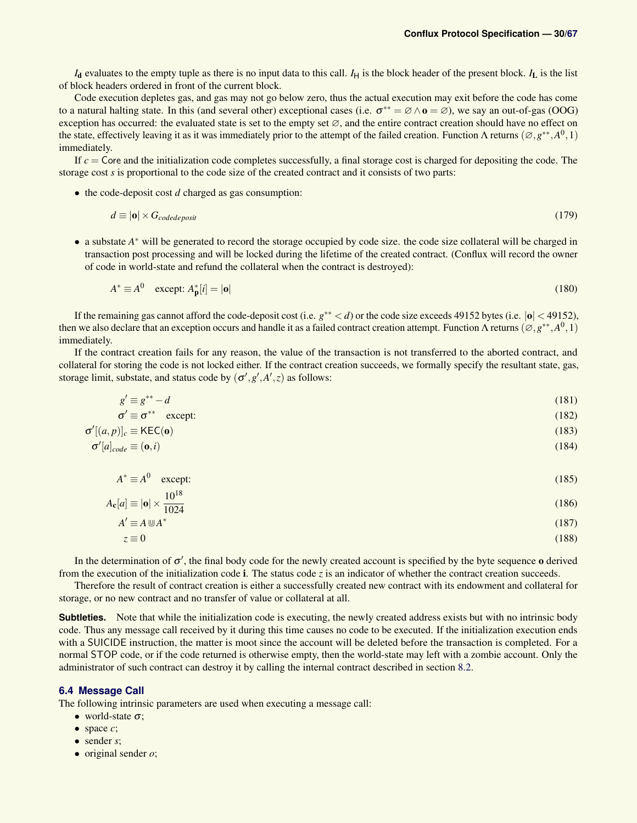$I_d$  evaluates to the empty tuple as there is no input data to this call.  $I_H$  is the block header of the present block.  $I_L$  is the list of block headers ordered in front of the current block.

Code execution depletes gas, and gas may not go below zero, thus the actual execution may exit before the code has come to a natural halting state. In this (and several other) exceptional cases (i.e.  $\sigma^{**} = \emptyset \wedge \mathbf{0} = \emptyset$ ), we say an out-of-gas (OOG) exception has occurred: the evaluated state is set to the empty set ∅, and the entire contract creation should have no effect on the state, effectively leaving it as it was immediately prior to the attempt of the failed creation. Function  $\Lambda$  returns  $(\emptyset, g^{**}, A^0, 1)$ immediately.

If *c* = Core and the initialization code completes successfully, a final storage cost is charged for depositing the code. The storage cost *s* is proportional to the code size of the created contract and it consists of two parts:

• the code-deposit cost *d* charged as gas consumption:

$$
d \equiv |\mathbf{o}| \times G_{code deposit} \tag{179}
$$

• a substate *A* <sup>∗</sup> will be generated to record the storage occupied by code size. the code size collateral will be charged in transaction post processing and will be locked during the lifetime of the created contract. (Conflux will record the owner of code in world-state and refund the collateral when the contract is destroyed):

$$
A^* \equiv A^0 \quad \text{except: } A^*_p[i] = |\mathbf{o}| \tag{180}
$$

If the remaining gas cannot afford the code-deposit cost (i.e. *g*<sup>∗∗</sup> < *d*) or the code size exceeds 49152 bytes (i.e. |o| < 49152), then we also declare that an exception occurs and handle it as a failed contract creation attempt. Function  $\Lambda$  returns  $(\emptyset, g^{**}, A^0, 1)$ immediately.

If the contract creation fails for any reason, the value of the transaction is not transferred to the aborted contract, and collateral for storing the code is not locked either. If the contract creation succeeds, we formally specify the resultant state, gas, storage limit, substate, and status code by  $(\sigma', g', A', z)$  as follows:

$$
g' \equiv g^{**} - d \tag{181}
$$

$$
\sigma' \equiv \sigma^{**} \quad \text{except:} \tag{182}
$$

$$
[(a,p)]_c \equiv \text{KEC}(\mathbf{0}) \tag{183}
$$

$$
\sigma'[a]_{code} \equiv (\mathbf{0}, i) \tag{184}
$$

$$
A^* \equiv A^0 \quad \text{except:} \tag{185}
$$

$$
A_{\mathbf{c}}[a] \equiv |\mathbf{o}| \times \frac{10^{18}}{1024} \tag{186}
$$

$$
A' \equiv A \cup A^* \tag{187}
$$

$$
z \equiv 0 \tag{188}
$$

In the determination of  $\sigma'$ , the final body code for the newly created account is specified by the byte sequence o derived from the execution of the initialization code i. The status code *z* is an indicator of whether the contract creation succeeds.

Therefore the result of contract creation is either a successfully created new contract with its endowment and collateral for storage, or no new contract and no transfer of value or collateral at all.

**Subtleties.** Note that while the initialization code is executing, the newly created address exists but with no intrinsic body code. Thus any message call received by it during this time causes no code to be executed. If the initialization execution ends with a SUICIDE instruction, the matter is moot since the account will be deleted before the transaction is completed. For a normal STOP code, or if the code returned is otherwise empty, then the world-state may left with a zombie account. Only the administrator of such contract can destroy it by calling the internal contract described in section [8.2.](#page-38-2)

### <span id="page-29-0"></span>**6.4 Message Call**

 $\sigma'$ 

The following intrinsic parameters are used when executing a message call:

- world-state  $\sigma$ ;
- space *c*;
- sender *s*;
- original sender *o*;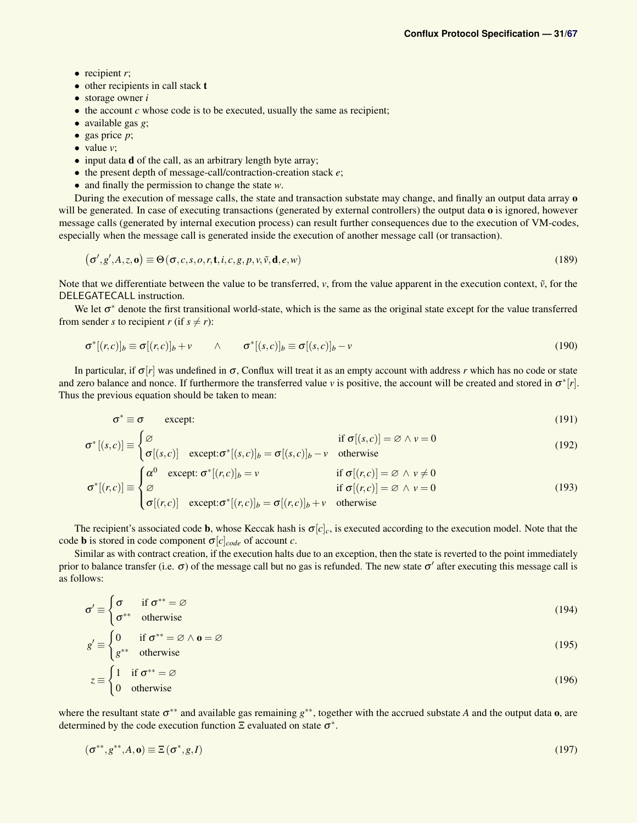- $\bullet$  recipient  $r$ ;
- other recipients in call stack **t**
- storage owner *i*
- the account *c* whose code is to be executed, usually the same as recipient;
- available gas *g*;
- gas price *p*;
- $\bullet$  value *v*;

σ ∗

- input data **d** of the call, as an arbitrary length byte array;
- the present depth of message-call/contraction-creation stack *e*;
- and finally the permission to change the state *w*.

During the execution of message calls, the state and transaction substate may change, and finally an output data array o will be generated. In case of executing transactions (generated by external controllers) the output data o is ignored, however message calls (generated by internal execution process) can result further consequences due to the execution of VM-codes, especially when the message call is generated inside the execution of another message call (or transaction).

$$
(\sigma', g', A, z, \mathbf{o}) \equiv \Theta(\sigma, c, s, o, r, \mathbf{t}, i, c, g, p, v, \tilde{v}, \mathbf{d}, e, w)
$$
\n(189)

Note that we differentiate between the value to be transferred,  $\nu$ , from the value apparent in the execution context,  $\tilde{\nu}$ , for the DELEGATECALL instruction.

We let  $\sigma^*$  denote the first transitional world-state, which is the same as the original state except for the value transferred from sender *s* to recipient *r* (if  $s \neq r$ ):

$$
\sigma^*[(r,c)]_b \equiv \sigma[(r,c)]_b + v \qquad \wedge \qquad \sigma^*[(s,c)]_b \equiv \sigma[(s,c)]_b - v \qquad (190)
$$

In particular, if  $\sigma[r]$  was undefined in  $\sigma$ , Conflux will treat it as an empty account with address *r* which has no code or state and zero balance and nonce. If furthermore the transferred value *v* is positive, the account will be created and stored in  $\sigma^*[r]$ . Thus the previous equation should be taken to mean:

$$
\sigma^* \equiv \sigma \qquad \text{except:} \tag{191}
$$

$$
[(s,c)] \equiv \begin{cases} \varnothing & \text{if } \sigma[(s,c)] = \varnothing \land v = 0\\ & (192) \end{cases}
$$

$$
\sigma[(s,c)] = \begin{cases}\n\sigma[(s,c)] & \text{except: } \sigma^*[s,c)]_b = \sigma[(s,c)]_b - v & \text{otherwise}\n\end{cases}
$$
\n
$$
\sigma^*[(r,c)] \equiv \begin{cases}\n\alpha^0 & \text{except: } \sigma^*[r,c)]_b = v & \text{if } \sigma[(r,c)] = \varnothing \land v \neq 0 \\
\varnothing & \text{if } \sigma[(r,c)] = \varnothing \land v = 0\n\end{cases}
$$
\n(193)

$$
\sigma[(r,c)] \quad \text{except:} \quad \sigma^*[(r,c)]_b = \sigma[(r,c)]_b + v \quad \text{otherwise}
$$

The recipient's associated code **b**, whose Keccak hash is  $\sigma[c]_c$ , is executed according to the execution model. Note that the code **b** is stored in code component  $\sigma[c]_{code}$  of account *c*.

Similar as with contract creation, if the execution halts due to an exception, then the state is reverted to the point immediately prior to balance transfer (i.e.  $\sigma$ ) of the message call but no gas is refunded. The new state  $\sigma'$  after executing this message call is as follows:

$$
\sigma' \equiv \begin{cases} \sigma & \text{if } \sigma^{**} = \varnothing \\ \sigma^{**} & \text{otherwise} \end{cases}
$$
 (194)

$$
g' \equiv \begin{cases} 0 & \text{if } \sigma^{**} = \varnothing \land \mathbf{0} = \varnothing \\ g^{**} & \text{otherwise} \end{cases}
$$
 (195)

$$
z \equiv \begin{cases} 1 & \text{if } \sigma^{**} = \varnothing \\ 0 & \text{otherwise} \end{cases}
$$
 (196)

where the resultant state σ<sup>\*\*</sup> and available gas remaining g<sup>\*\*</sup>, together with the accrued substate *A* and the output data **o**, are determined by the code execution function  $\Xi$  evaluated on state  $\sigma^*$ .

$$
(\sigma^{**}, g^{**}, A, \mathbf{o}) \equiv \Xi(\sigma^*, g, I) \tag{197}
$$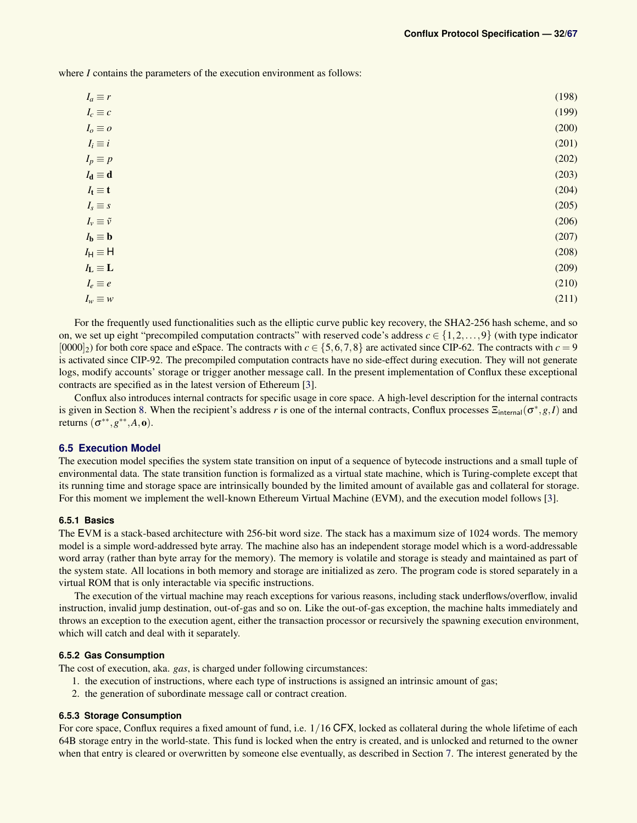where *I* contains the parameters of the execution environment as follows:

| $I_c \equiv c$<br>$I_o \equiv o$<br>$I_i \equiv i$<br>(202)<br>$I_p \equiv p$<br>$I_{d} \equiv d$<br>(204)<br>$I_t \equiv t$<br>(205)<br>$I_s \equiv s$<br>(206)<br>$I_v \equiv \tilde{v}$<br>$I_{\mathbf{b}} \equiv \mathbf{b}$<br>(207)<br>$I_H \equiv H$<br>(208)<br>$I_L \equiv L$<br>(209)<br>(210)<br>$I_e \equiv e$<br>$I_w \equiv w$ | $I_a \equiv r$ | (198) |
|----------------------------------------------------------------------------------------------------------------------------------------------------------------------------------------------------------------------------------------------------------------------------------------------------------------------------------------------|----------------|-------|
|                                                                                                                                                                                                                                                                                                                                              |                | (199) |
|                                                                                                                                                                                                                                                                                                                                              |                | (200) |
|                                                                                                                                                                                                                                                                                                                                              |                | (201) |
|                                                                                                                                                                                                                                                                                                                                              |                |       |
|                                                                                                                                                                                                                                                                                                                                              |                | (203) |
|                                                                                                                                                                                                                                                                                                                                              |                |       |
|                                                                                                                                                                                                                                                                                                                                              |                |       |
|                                                                                                                                                                                                                                                                                                                                              |                |       |
|                                                                                                                                                                                                                                                                                                                                              |                |       |
|                                                                                                                                                                                                                                                                                                                                              |                |       |
|                                                                                                                                                                                                                                                                                                                                              |                |       |
|                                                                                                                                                                                                                                                                                                                                              |                |       |
|                                                                                                                                                                                                                                                                                                                                              |                | (211) |

For the frequently used functionalities such as the elliptic curve public key recovery, the SHA2-256 hash scheme, and so on, we set up eight "precompiled computation contracts" with reserved code's address  $c \in \{1, 2, ..., 9\}$  (with type indicator  $[0000]_2$ ) for both core space and eSpace. The contracts with  $c \in \{5, 6, 7, 8\}$  are activated since CIP-62. The contracts with  $c = 9$ is activated since CIP-92. The precompiled computation contracts have no side-effect during execution. They will not generate logs, modify accounts' storage or trigger another message call. In the present implementation of Conflux these exceptional contracts are specified as in the latest version of Ethereum [\[3\]](#page-45-1).

Conflux also introduces internal contracts for specific usage in core space. A high-level description for the internal contracts is given in Section [8.](#page-37-0) When the recipient's address *r* is one of the internal contracts, Conflux processes  $\Xi_{\text{internal}}(\sigma^*, g, I)$  and returns  $(\sigma^{**}, g^{**}, A, o)$ .

### <span id="page-31-0"></span>**6.5 Execution Model**

The execution model specifies the system state transition on input of a sequence of bytecode instructions and a small tuple of environmental data. The state transition function is formalized as a virtual state machine, which is Turing-complete except that its running time and storage space are intrinsically bounded by the limited amount of available gas and collateral for storage. For this moment we implement the well-known Ethereum Virtual Machine (EVM), and the execution model follows [\[3\]](#page-45-1).

### <span id="page-31-1"></span>**6.5.1 Basics**

The EVM is a stack-based architecture with 256-bit word size. The stack has a maximum size of 1024 words. The memory model is a simple word-addressed byte array. The machine also has an independent storage model which is a word-addressable word array (rather than byte array for the memory). The memory is volatile and storage is steady and maintained as part of the system state. All locations in both memory and storage are initialized as zero. The program code is stored separately in a virtual ROM that is only interactable via specific instructions.

The execution of the virtual machine may reach exceptions for various reasons, including stack underflows/overflow, invalid instruction, invalid jump destination, out-of-gas and so on. Like the out-of-gas exception, the machine halts immediately and throws an exception to the execution agent, either the transaction processor or recursively the spawning execution environment, which will catch and deal with it separately.

#### <span id="page-31-2"></span>**6.5.2 Gas Consumption**

The cost of execution, aka. *gas*, is charged under following circumstances:

- 1. the execution of instructions, where each type of instructions is assigned an intrinsic amount of gas;
- 2. the generation of subordinate message call or contract creation.

### <span id="page-31-3"></span>**6.5.3 Storage Consumption**

For core space, Conflux requires a fixed amount of fund, i.e.  $1/16$  CFX, locked as collateral during the whole lifetime of each 64B storage entry in the world-state. This fund is locked when the entry is created, and is unlocked and returned to the owner when that entry is cleared or overwritten by someone else eventually, as described in Section [7.](#page-35-1) The interest generated by the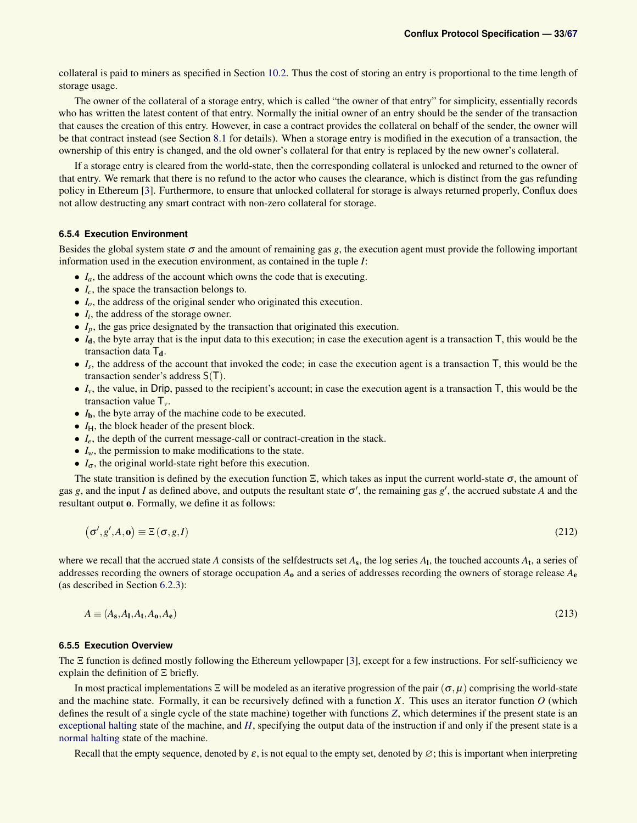collateral is paid to miners as specified in Section [10.2.](#page-43-2) Thus the cost of storing an entry is proportional to the time length of storage usage.

The owner of the collateral of a storage entry, which is called "the owner of that entry" for simplicity, essentially records who has written the latest content of that entry. Normally the initial owner of an entry should be the sender of the transaction that causes the creation of this entry. However, in case a contract provides the collateral on behalf of the sender, the owner will be that contract instead (see Section [8.1](#page-37-1) for details). When a storage entry is modified in the execution of a transaction, the ownership of this entry is changed, and the old owner's collateral for that entry is replaced by the new owner's collateral.

If a storage entry is cleared from the world-state, then the corresponding collateral is unlocked and returned to the owner of that entry. We remark that there is no refund to the actor who causes the clearance, which is distinct from the gas refunding policy in Ethereum [\[3\]](#page-45-1). Furthermore, to ensure that unlocked collateral for storage is always returned properly, Conflux does not allow destructing any smart contract with non-zero collateral for storage.

### <span id="page-32-0"></span>**6.5.4 Execution Environment**

Besides the global system state  $\sigma$  and the amount of remaining gas *g*, the execution agent must provide the following important information used in the execution environment, as contained in the tuple *I*:

- *I<sub>a</sub>*, the address of the account which owns the code that is executing.
- *Ic*, the space the transaction belongs to.
- *I*<sub>o</sub>, the address of the original sender who originated this execution.
- *I<sup>i</sup>* , the address of the storage owner.
- *I<sub>p</sub>*, the gas price designated by the transaction that originated this execution.
- $\bullet$   $I_d$ , the byte array that is the input data to this execution; in case the execution agent is a transaction  $\overline{I}$ , this would be the transaction data  $T_d$ .
- $\bullet$   $I_s$ , the address of the account that invoked the code; in case the execution agent is a transaction  $\mathsf{T}$ , this would be the transaction sender's address S(T).
- $\bullet$   $I_v$ , the value, in Drip, passed to the recipient's account; in case the execution agent is a transaction  $\overline{I}$ , this would be the transaction value T*v*.
- *I*<sub>b</sub>, the byte array of the machine code to be executed.
- $\bullet$   $I_H$ , the block header of the present block.
- *I<sub>e</sub>*, the depth of the current message-call or contract-creation in the stack.
- $\bullet$   $I_w$ , the permission to make modifications to the state.
- $\bullet$   $I_{\sigma}$ , the original world-state right before this execution.

The state transition is defined by the execution function  $\Xi$ , which takes as input the current world-state  $\sigma$ , the amount of gas *g*, and the input *I* as defined above, and outputs the resultant state  $\sigma'$ , the remaining gas  $g'$ , the accrued substate *A* and the resultant output o. Formally, we define it as follows:

$$
(\sigma', g', A, \mathbf{o}) \equiv \Xi(\sigma, g, I) \tag{212}
$$

where we recall that the accrued state *A* consists of the selfdestructs set  $A_s$ , the log series  $A_l$ , the touched accounts  $A_t$ , a series of addresses recording the owners of storage occupation  $A_0$  and a series of addresses recording the owners of storage release  $A_e$ (as described in Section [6.2.3\)](#page-24-0):

$$
A \equiv (A_{\mathbf{s}}, A_{\mathbf{l}}, A_{\mathbf{t}}, A_{\mathbf{o}}, A_{\mathbf{e}}) \tag{213}
$$

### <span id="page-32-1"></span>**6.5.5 Execution Overview**

The Ξ function is defined mostly following the Ethereum yellowpaper [\[3\]](#page-45-1), except for a few instructions. For self-sufficiency we explain the definition of Ξ briefly.

In most practical implementations  $\Xi$  will be modeled as an iterative progression of the pair  $(\sigma, \mu)$  comprising the world-state and the machine state. Formally, it can be recursively defined with a function *X*. This uses an iterator function *O* (which defines the result of a single cycle of the state machine) together with functions *[Z](#page-33-0)*, which determines if the present state is an [exceptional halting](#page-33-0) state of the machine, and *[H](#page-34-1)*, specifying the output data of the instruction if and only if the present state is a [normal halting](#page-34-1) state of the machine.

Recall that the empty sequence, denoted by  $\varepsilon$ , is not equal to the empty set, denoted by  $\varnothing$ ; this is important when interpreting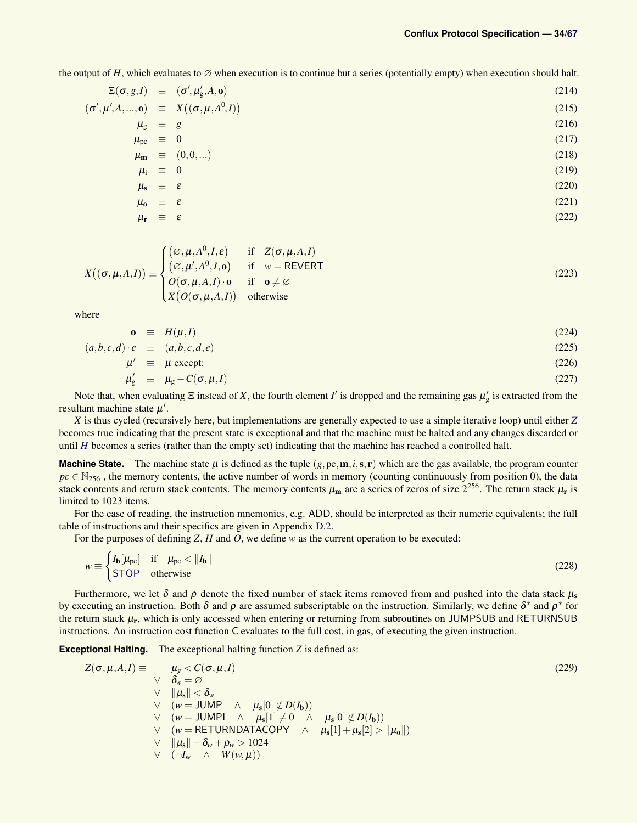the output of *H*, which evaluates to  $\varnothing$  when execution is to continue but a series (potentially empty) when execution should halt.

$$
\mathbb{E}(\sigma, g, I) \equiv (\sigma', \mu'_g, A, \mathbf{o})
$$
\n
$$
(\sigma', \mu', A, ..., \mathbf{o}) \equiv X((\sigma, \mu, A^0, I))
$$
\n
$$
\mu_g \equiv g
$$
\n(216)

$$
\mu_{\rm pc} \equiv 0 \tag{217}
$$

$$
\mu_{\mathbf{m}} \equiv (0,0,...) \tag{218}
$$

$$
\mu_{i} \equiv 0 \tag{219}
$$

$$
\mu_{\rm s} \equiv \varepsilon \tag{220}
$$

$$
\mu_0 \equiv \varepsilon \tag{221}
$$

$$
\mu_{\mathbf{r}} \equiv \varepsilon \tag{222}
$$

<span id="page-33-2"></span>
$$
X((\sigma,\mu,A,I)) \equiv \begin{cases} (\varnothing,\mu,A^0,I,\varepsilon) & \text{if } Z(\sigma,\mu,A,I) \\ (\varnothing,\mu',A^0,I,\mathbf{o}) & \text{if } w = REVERT \\ O(\sigma,\mu,A,I) \cdot \mathbf{o} & \text{if } \mathbf{o} \neq \varnothing \\ X(O(\sigma,\mu,A,I)) & \text{otherwise} \end{cases}
$$
(223)

where

$$
\mathbf{o} \equiv H(\mu, I) \tag{224}
$$

$$
(a,b,c,d) \cdot e \equiv (a,b,c,d,e) \tag{225}
$$

$$
\mu' \equiv \mu \text{ except:}
$$
\n<sup>(226)</sup>

<span id="page-33-1"></span>
$$
\mu'_{g} \equiv \mu_{g} - C(\sigma, \mu, I) \tag{227}
$$

Note that, when evaluating  $\Xi$  instead of X, the fourth element *I'* is dropped and the remaining gas  $\mu'_{g}$  is extracted from the resultant machine state  $\mu'$ .

*X* is thus cycled (recursively here, but implementations are generally expected to use a simple iterative loop) until either *[Z](#page-33-0)* becomes true indicating that the present state is exceptional and that the machine must be halted and any changes discarded or until *[H](#page-34-1)* becomes a series (rather than the empty set) indicating that the machine has reached a controlled halt.

**Machine State.** The machine state  $\mu$  is defined as the tuple  $(g, p, \mathbf{m}, i, \mathbf{s}, \mathbf{r})$  which are the gas available, the program counter  $pc \in N_{256}$ , the memory contents, the active number of words in memory (counting continuously from position 0), the data stack contents and return stack contents. The memory contents  $\mu_m$  are a series of zeros of size  $2^{256}$ . The return stack  $\mu_r$  is limited to 1023 items.

For the ease of reading, the instruction mnemonics, e.g. ADD, should be interpreted as their numeric equivalents; the full table of instructions and their specifics are given in Appendix [D.2.](#page-51-0)

For the purposes of defining *Z*, *H* and *O*, we define *w* as the current operation to be executed:

$$
w \equiv \begin{cases} I_{\mathbf{b}}[\mu_{\rm pc}] & \text{if } \mu_{\rm pc} < \|I_{\mathbf{b}}\| \\ \text{STOP} & \text{otherwise} \end{cases} \tag{228}
$$

Furthermore, we let  $\delta$  and  $\rho$  denote the fixed number of stack items removed from and pushed into the data stack  $\mu_s$ by executing an instruction. Both  $\delta$  and  $\rho$  are assumed subscriptable on the instruction. Similarly, we define  $\delta^*$  and  $\rho^*$  for the return stack  $\mu_r$ , which is only accessed when entering or returning from subroutines on JUMPSUB and RETURNSUB instructions. An instruction cost function C evaluates to the full cost, in gas, of executing the given instruction.

<span id="page-33-0"></span>**Exceptional Halting.** The exceptional halting function *Z* is defined as:

$$
Z(\sigma, \mu, A, I) \equiv \mu_{g} < C(\sigma, \mu, I) \tag{229}
$$
\n
$$
\vee \quad \begin{array}{l}\n\forall \quad \delta_{w} = \varnothing \\
\forall \quad ||\mu_{s}|| < \delta_{w} \\
\forall \quad (w = \text{JUMP} \quad \land \quad \mu_{s}[0] \notin D(I_{b}))\n\end{array} \tag{229}
$$
\n
$$
\vee \quad (w = \text{JUMP} \quad \land \quad \mu_{s}[1] \neq 0 \quad \land \quad \mu_{s}[0] \notin D(I_{b}))\n\end{array} \tag{229}
$$
\n
$$
\vee \quad (\psi = \text{RETURNDATACOPY} \quad \land \quad \mu_{s}[1] + \mu_{s}[2] > ||\mu_{0}||)\n\end{array}
$$
\n
$$
\vee \quad ||\mu_{s}|| - \delta_{w} + \rho_{w} > 1024
$$
\n
$$
\vee \quad (-I_{w} \quad \land \quad W(w, \mu))
$$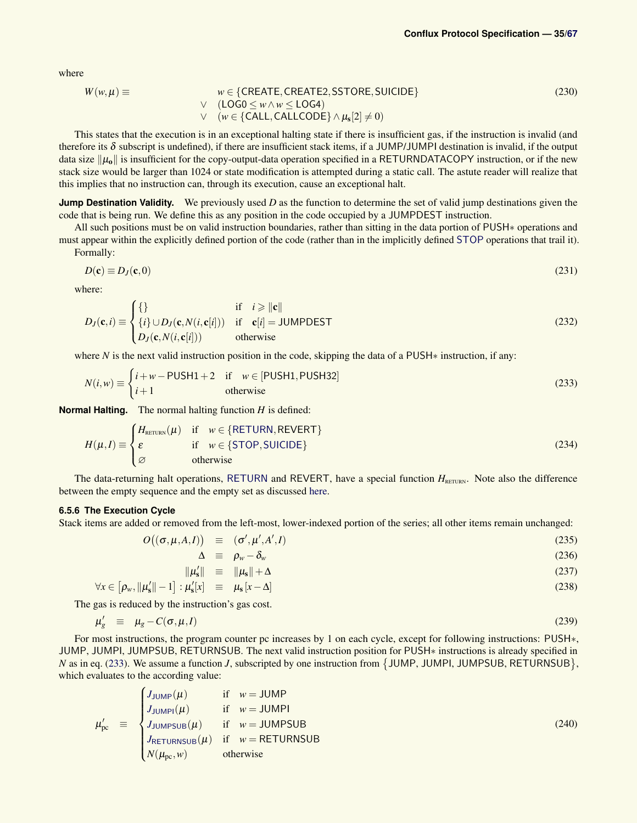where

$$
W(w, \mu) \equiv w \in \{CREATE, CREATE2, SSTORE, SUICIDE\} \n\lor (LOG0 \le w \land w \le LOG4) \n\lor (w \in \{CALL, CALLCODE\} \land \mu_s[2] \neq 0)
$$
\n(230)

This states that the execution is in an exceptional halting state if there is insufficient gas, if the instruction is invalid (and therefore its  $\delta$  subscript is undefined), if there are insufficient stack items, if a JUMP/JUMPI destination is invalid, if the output data size  $\|\mu_0\|$  is insufficient for the copy-output-data operation specified in a RETURNDATACOPY instruction, or if the new stack size would be larger than 1024 or state modification is attempted during a static call. The astute reader will realize that this implies that no instruction can, through its execution, cause an exceptional halt.

**Jump Destination Validity.** We previously used *D* as the function to determine the set of valid jump destinations given the code that is being run. We define this as any position in the code occupied by a JUMPDEST instruction.

All such positions must be on valid instruction boundaries, rather than sitting in the data portion of PUSH∗ operations and must appear within the explicitly defined portion of the code (rather than in the implicitly defined [STOP](#page-52-0) operations that trail it). Formally:

$$
D(\mathbf{c}) \equiv D_J(\mathbf{c}, 0) \tag{231}
$$

where:

$$
D_J(\mathbf{c},i) \equiv \begin{cases} \n\{\} & \text{if } i \geq \|\mathbf{c}\| \\ \n\{i\} \cup D_J(\mathbf{c}, N(i, \mathbf{c}[i])) & \text{if } \mathbf{c}[i] = \text{JUMPDEST} \\ \nD_J(\mathbf{c}, N(i, \mathbf{c}[i])) & \text{otherwise} \n\end{cases} \tag{232}
$$

where *N* is the next valid instruction position in the code, skipping the data of a PUSH<sup>∗</sup> instruction, if any:

$$
N(i, w) \equiv \begin{cases} i + w - \text{PUSH1} + 2 & \text{if } w \in [\text{PUSH1}, \text{PUSH32}] \\ i + 1 & \text{otherwise} \end{cases}
$$
(233)

<span id="page-34-1"></span>**Normal Halting.** The normal halting function *H* is defined:

$$
H(\mu, I) \equiv \begin{cases} H_{\text{RETLIN}}(\mu) & \text{if } w \in \{\text{RETLIN}, \text{REVERT}\} \\ \varepsilon & \text{if } w \in \{\text{STOP}, \text{SULCIDE}\} \\ \varnothing & \text{otherwise} \end{cases} \tag{234}
$$

The data-returning halt operations, [RETURN](#page-61-0) and REVERT, have a special function  $H_{\text{RETURN}}$ . Note also the difference between the empty sequence and the empty set as discussed [here.](#page-0-0)

### <span id="page-34-0"></span>**6.5.6 The Execution Cycle**

Stack items are added or removed from the left-most, lower-indexed portion of the series; all other items remain unchanged:

$$
O((\sigma, \mu, A, I)) \equiv (\sigma', \mu', A', I) \tag{235}
$$

<span id="page-34-2"></span>
$$
\Delta \equiv \rho_w - \delta_w \tag{236}
$$

$$
\|\mu_s'\| = \|\mu_s\| + \Delta \tag{237}
$$

$$
\forall x \in \left[\rho_w, \|\mu'_s\|-1\right] : \mu'_s[x] \equiv \mu_s[x-\Delta]
$$
\n(238)

The gas is reduced by the instruction's gas cost.

<span id="page-34-3"></span>
$$
\mu'_{g} \equiv \mu_{g} - C(\sigma, \mu, I) \tag{239}
$$

For most instructions, the program counter pc increases by 1 on each cycle, except for following instructions: PUSH∗, JUMP, JUMPI, JUMPSUB, RETURNSUB. The next valid instruction position for PUSH∗ instructions is already specified in *N* as in eq. [\(233\)](#page-34-2). We assume a function *J*, subscripted by one instruction from  $\{$  JUMP, JUMPI, JUMPSUB, RETURNSUB $\}$ , which evaluates to the according value:

$$
\mu'_{\text{pc}} = \begin{cases}\nJ_{\text{JUMP}}(\mu) & \text{if } w = \text{JUMP} \\
J_{\text{JUMP}}(\mu) & \text{if } w = \text{JUMP} \\
J_{\text{JUMPSUB}}(\mu) & \text{if } w = \text{JUMPSUB} \\
J_{\text{RETURNSUB}}(\mu) & \text{if } w = \text{RETURNSUB} \\
N(\mu_{\text{pc}}, w) & \text{otherwise}\n\end{cases}
$$
\n(240)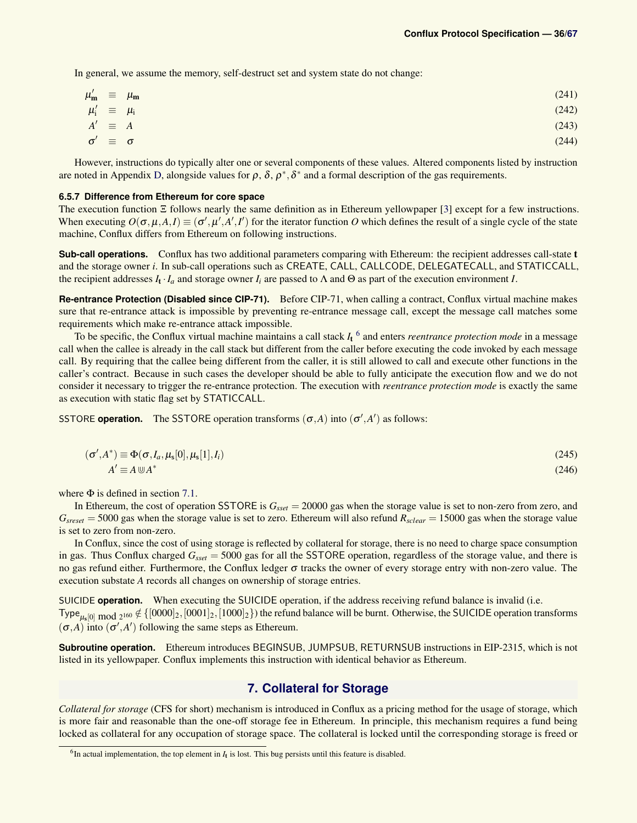In general, we assume the memory, self-destruct set and system state do not change:

$$
\mu'_{\mathbf{m}} \equiv \mu_{\mathbf{m}} \tag{241}
$$
\n
$$
\mu'_{\mathbf{i}} \equiv \mu_{\mathbf{i}} \tag{242}
$$
\n
$$
A' \equiv A \tag{243}
$$

$$
\sigma' \equiv \sigma \tag{244}
$$

However, instructions do typically alter one or several components of these values. Altered components listed by instruction are noted in Appendix [D,](#page-50-0) alongside values for  $\rho$ ,  $\delta$ ,  $\rho^*$ ,  $\delta^*$  and a formal description of the gas requirements.

#### <span id="page-35-0"></span>**6.5.7 Difference from Ethereum for core space**

The execution function Ξ follows nearly the same definition as in Ethereum yellowpaper [\[3\]](#page-45-1) except for a few instructions. When executing  $O(\sigma, \mu, A, I) \equiv (\sigma', \mu', A', I')$  for the iterator function *O* which defines the result of a single cycle of the state machine, Conflux differs from Ethereum on following instructions.

**Sub-call operations.** Conflux has two additional parameters comparing with Ethereum: the recipient addresses call-state t and the storage owner *i*. In sub-call operations such as CREATE, CALL, CALLCODE, DELEGATECALL, and STATICCALL, the recipient addresses  $I_t \cdot I_a$  and storage owner  $I_i$  are passed to  $\Lambda$  and  $\Theta$  as part of the execution environment *I*.

**Re-entrance Protection (Disabled since CIP-71).** Before CIP-71, when calling a contract, Conflux virtual machine makes sure that re-entrance attack is impossible by preventing re-entrance message call, except the message call matches some requirements which make re-entrance attack impossible.

To be specific, the Conflux virtual machine maintains a call stack *I*<sup>t</sup> [6](#page-35-2) and enters *reentrance protection mode* in a message call when the callee is already in the call stack but different from the caller before executing the code invoked by each message call. By requiring that the callee being different from the caller, it is still allowed to call and execute other functions in the caller's contract. Because in such cases the developer should be able to fully anticipate the execution flow and we do not consider it necessary to trigger the re-entrance protection. The execution with *reentrance protection mode* is exactly the same as execution with static flag set by STATICCALL.

SSTORE **operation.** The SSTORE operation transforms  $(\sigma, A)$  into  $(\sigma', A')$  as follows:

$$
(\sigma', A^*) \equiv \Phi(\sigma, I_a, \mu_s[0], \mu_s[1], I_i)
$$
\n(245)

$$
A' \equiv A \cup A^* \tag{246}
$$

where  $\Phi$  is defined in section [7.1.](#page-36-0)

In Ethereum, the cost of operation SSTORE is *Gsset* = 20000 gas when the storage value is set to non-zero from zero, and  $G_{sreset} = 5000$  gas when the storage value is set to zero. Ethereum will also refund  $R_{sclear} = 15000$  gas when the storage value is set to zero from non-zero.

In Conflux, since the cost of using storage is reflected by collateral for storage, there is no need to charge space consumption in gas. Thus Conflux charged *Gsset* = 5000 gas for all the SSTORE operation, regardless of the storage value, and there is no gas refund either. Furthermore, the Conflux ledger σ tracks the owner of every storage entry with non-zero value. The execution substate *A* records all changes on ownership of storage entries.

SUICIDE **operation.** When executing the SUICIDE operation, if the address receiving refund balance is invalid (i.e.  $\text{Type}_{\mu_s[0] \text{ mod } 2^{160}} \notin \{[0000]_2, [0001]_2, [1000]_2\}$  the refund balance will be burnt. Otherwise, the SUICIDE operation transforms  $(\sigma, A)$  into  $(\sigma', A')$  following the same steps as Ethereum.

**Subroutine operation.** Ethereum introduces BEGINSUB, JUMPSUB, RETURNSUB instructions in EIP-2315, which is not listed in its yellowpaper. Conflux implements this instruction with identical behavior as Ethereum.

### **7. Collateral for Storage**

<span id="page-35-1"></span>*Collateral for storage* (CFS for short) mechanism is introduced in Conflux as a pricing method for the usage of storage, which is more fair and reasonable than the one-off storage fee in Ethereum. In principle, this mechanism requires a fund being locked as collateral for any occupation of storage space. The collateral is locked until the corresponding storage is freed or

<span id="page-35-2"></span> ${}^{6}$ In actual implementation, the top element in  $I_t$  is lost. This bug persists until this feature is disabled.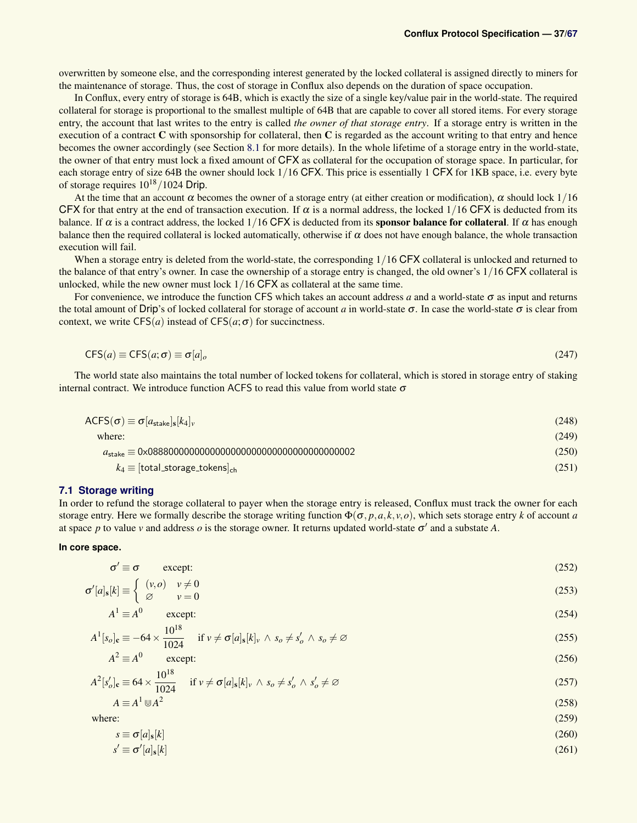overwritten by someone else, and the corresponding interest generated by the locked collateral is assigned directly to miners for the maintenance of storage. Thus, the cost of storage in Conflux also depends on the duration of space occupation.

In Conflux, every entry of storage is 64B, which is exactly the size of a single key/value pair in the world-state. The required collateral for storage is proportional to the smallest multiple of 64B that are capable to cover all stored items. For every storage entry, the account that last writes to the entry is called *the owner of that storage entry*. If a storage entry is written in the execution of a contract  $C$  with sponsorship for collateral, then  $C$  is regarded as the account writing to that entry and hence becomes the owner accordingly (see Section [8.1](#page-37-1) for more details). In the whole lifetime of a storage entry in the world-state, the owner of that entry must lock a fixed amount of CFX as collateral for the occupation of storage space. In particular, for each storage entry of size 64B the owner should lock 1/16 CFX. This price is essentially 1 CFX for 1KB space, i.e. every byte of storage requires  $10^{18}/1024$  Drip.

At the time that an account  $\alpha$  becomes the owner of a storage entry (at either creation or modification),  $\alpha$  should lock 1/16 CFX for that entry at the end of transaction execution. If  $\alpha$  is a normal address, the locked 1/16 CFX is deducted from its balance. If  $\alpha$  is a contract address, the locked 1/16 CFX is deducted from its **sponsor balance for collateral**. If  $\alpha$  has enough balance then the required collateral is locked automatically, otherwise if  $\alpha$  does not have enough balance, the whole transaction execution will fail.

When a storage entry is deleted from the world-state, the corresponding  $1/16$  CFX collateral is unlocked and returned to the balance of that entry's owner. In case the ownership of a storage entry is changed, the old owner's 1/16 CFX collateral is unlocked, while the new owner must lock 1/16 CFX as collateral at the same time.

For convenience, we introduce the function CFS which takes an account address *a* and a world-state  $\sigma$  as input and returns the total amount of Drip's of locked collateral for storage of account *a* in world-state σ. In case the world-state σ is clear from context, we write  $CFS(a)$  instead of  $CFS(a; \sigma)$  for succinctness.

$$
CFS(a) \equiv CFS(a; \sigma) \equiv \sigma[a]_o \tag{247}
$$

The world state also maintains the total number of locked tokens for collateral, which is stored in storage entry of staking internal contract. We introduce function ACFS to read this value from world state  $\sigma$ 

| $ACFS(\sigma) \equiv \sigma[a_{\text{state}}]_s[k_4]_v$ | (248) |
|---------------------------------------------------------|-------|
| where:                                                  | (249) |
|                                                         | (250) |
| $k_4 \equiv$ [total_storage_tokens] <sub>ch</sub>       | (251) |

#### <span id="page-36-0"></span>**7.1 Storage writing**

In order to refund the storage collateral to payer when the storage entry is released, Conflux must track the owner for each storage entry. Here we formally describe the storage writing function  $\Phi(\sigma, p, a, k, v, o)$ , which sets storage entry *k* of account *a* at space *p* to value *v* and address *o* is the storage owner. It returns updated world-state  $\sigma'$  and a substate A.

### **In core space.**

$$
\sigma' \equiv \sigma \qquad \text{except:} \tag{252}
$$

$$
\sigma'[a]_s[k] \equiv \begin{cases} (v, o) & v \neq 0 \\ \varnothing & v = 0 \end{cases}
$$
 (253)

$$
A^1 \equiv A^0 \qquad \text{except:} \tag{254}
$$

$$
A^{1}[s_{o}]_{c} \equiv -64 \times \frac{10^{10}}{1024} \quad \text{if } v \neq \sigma[a]_{s}[k]_{v} \wedge s_{o} \neq s'_{o} \wedge s_{o} \neq \varnothing
$$
\n(255)

$$
A^2 \equiv A^0 \qquad \text{except:} \tag{256}
$$

$$
A^{2}[s'_{o}]_{\mathbf{c}} \equiv 64 \times \frac{10^{18}}{1024} \quad \text{if } v \neq \sigma[a]_{\mathbf{s}}[k]_{v} \wedge s_{o} \neq s'_{o} \wedge s'_{o} \neq \varnothing
$$
\n
$$
(257)
$$

$$
A \equiv A^1 \uplus A^2 \tag{258}
$$

where:  $(259)$ 

 $10^{18}$ 

$$
s \equiv \sigma[a]_s[k] \tag{260}
$$

$$
s' \equiv \sigma'[a]_s[k] \tag{261}
$$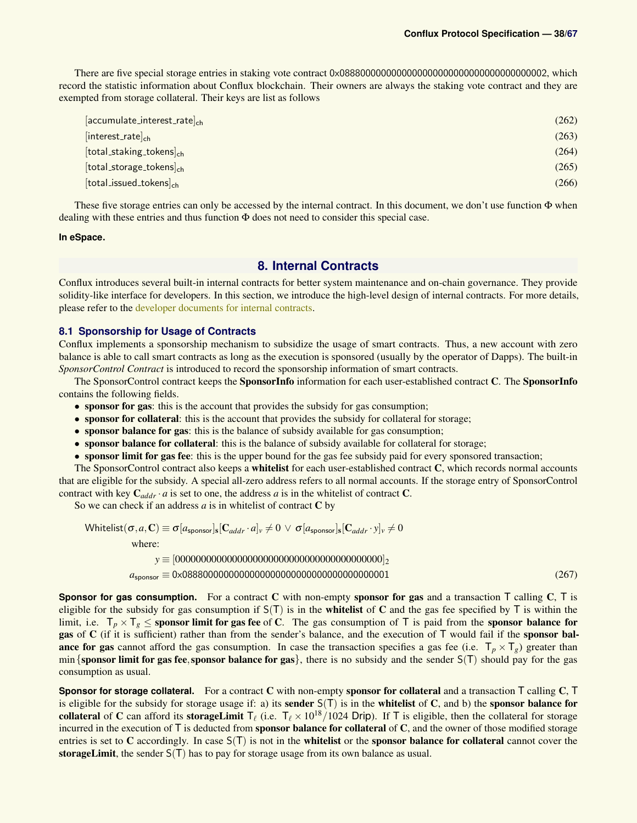There are five special storage entries in staking vote contract 0x0888000000000000000000000000000000000002, which record the statistic information about Conflux blockchain. Their owners are always the staking vote contract and they are exempted from storage collateral. Their keys are list as follows

| $[accurulate_interest_rate]_{ch}$ | (262) |
|-----------------------------------|-------|
| $[interest_rate]_{ch}$            | (263) |
| $[total\_staking\_tokens]_{ch}$   | (264) |
| $[total\_storage\_tokens]_{ch}$   | (265) |
| $[total_i$ issued tokens $]_{ch}$ | (266) |

These five storage entries can only be accessed by the internal contract. In this document, we don't use function  $\Phi$  when dealing with these entries and thus function Φ does not need to consider this special case.

### **In eSpace.**

### <span id="page-37-2"></span>**8. Internal Contracts**

<span id="page-37-0"></span>Conflux introduces several built-in internal contracts for better system maintenance and on-chain governance. They provide solidity-like interface for developers. In this section, we introduce the high-level design of internal contracts. For more details, please refer to the [developer documents for internal contracts.](https://developer.confluxnetwork.org/conflux-rust/internal_contract/internal_contract/)

### <span id="page-37-1"></span>**8.1 Sponsorship for Usage of Contracts**

Conflux implements a sponsorship mechanism to subsidize the usage of smart contracts. Thus, a new account with zero balance is able to call smart contracts as long as the execution is sponsored (usually by the operator of Dapps). The built-in *SponsorControl Contract* is introduced to record the sponsorship information of smart contracts.

The SponsorControl contract keeps the SponsorInfo information for each user-established contract C. The SponsorInfo contains the following fields.

- sponsor for gas: this is the account that provides the subsidy for gas consumption;
- sponsor for collateral: this is the account that provides the subsidy for collateral for storage;
- sponsor balance for gas: this is the balance of subsidy available for gas consumption;
- sponsor balance for collateral: this is the balance of subsidy available for collateral for storage;
- sponsor limit for gas fee: this is the upper bound for the gas fee subsidy paid for every sponsored transaction;

The SponsorControl contract also keeps a whitelist for each user-established contract C, which records normal accounts that are eligible for the subsidy. A special all-zero address refers to all normal accounts. If the storage entry of SponsorControl contract with key  $C_{addr} \cdot a$  is set to one, the address *a* is in the whitelist of contract C.

So we can check if an address  $a$  is in whitelist of contract  $C$  by

Whitelist(σ,*a*,C) ≡ σ[*a*sponsor]<sup>s</sup> [C*addr* · *a*]*<sup>v</sup>* 6= 0 ∨ σ[*a*sponsor]<sup>s</sup> [C*addr* · *y*]*<sup>v</sup>* 6= 0 where: *y* ≡ [0000000000000000000000000000000000000000]<sup>2</sup> *a*sponsor ≡ 0x0888000000000000000000000000000000000001 (267)

**Sponsor for gas consumption.** For a contract C with non-empty sponsor for gas and a transaction T calling C, T is eligible for the subsidy for gas consumption if  $S(T)$  is in the **whitelist** of C and the gas fee specified by T is within the limit, i.e.  $T_p \times T_g \le$  sponsor limit for gas fee of C. The gas consumption of T is paid from the sponsor balance for gas of C (if it is sufficient) rather than from the sender's balance, and the execution of T would fail if the sponsor balance for gas cannot afford the gas consumption. In case the transaction specifies a gas fee (i.e.  $T_p \times T_g$ ) greater than min {sponsor limit for gas fee, sponsor balance for gas}, there is no subsidy and the sender  $S(T)$  should pay for the gas consumption as usual.

**Sponsor for storage collateral.** For a contract C with non-empty sponsor for collateral and a transaction T calling C, T is eligible for the subsidy for storage usage if: a) its sender  $S(T)$  is in the whitelist of C, and b) the sponsor balance for collateral of C can afford its storageLimit  $T_\ell$  (i.e.  $T_\ell \times 10^{18}/1024$  Drip). If T is eligible, then the collateral for storage incurred in the execution of T is deducted from **sponsor balance for collateral** of C, and the owner of those modified storage entries is set to C accordingly. In case  $S(T)$  is not in the **whitelist** or the **sponsor balance for collateral** cannot cover the storageLimit, the sender  $S(T)$  has to pay for storage usage from its own balance as usual.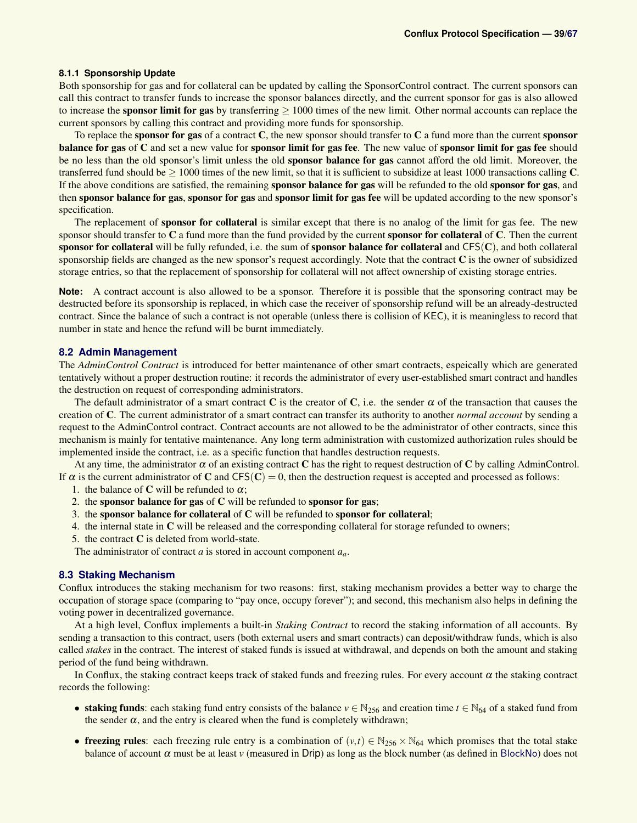### <span id="page-38-0"></span>**8.1.1 Sponsorship Update**

Both sponsorship for gas and for collateral can be updated by calling the SponsorControl contract. The current sponsors can call this contract to transfer funds to increase the sponsor balances directly, and the current sponsor for gas is also allowed to increase the **sponsor limit for gas** by transferring  $\geq 1000$  times of the new limit. Other normal accounts can replace the current sponsors by calling this contract and providing more funds for sponsorship.

To replace the sponsor for gas of a contract  $C$ , the new sponsor should transfer to  $C$  a fund more than the current sponsor balance for gas of C and set a new value for sponsor limit for gas fee. The new value of sponsor limit for gas fee should be no less than the old sponsor's limit unless the old sponsor balance for gas cannot afford the old limit. Moreover, the transferred fund should be  $> 1000$  times of the new limit, so that it is sufficient to subsidize at least 1000 transactions calling  $C$ . If the above conditions are satisfied, the remaining **sponsor balance for gas** will be refunded to the old **sponsor for gas**, and then sponsor balance for gas, sponsor for gas and sponsor limit for gas fee will be updated according to the new sponsor's specification.

The replacement of sponsor for collateral is similar except that there is no analog of the limit for gas fee. The new sponsor should transfer to  $C$  a fund more than the fund provided by the current sponsor for collateral of  $C$ . Then the current sponsor for collateral will be fully refunded, i.e. the sum of sponsor balance for collateral and  $CFS(C)$ , and both collateral sponsorship fields are changed as the new sponsor's request accordingly. Note that the contract  $C$  is the owner of subsidized storage entries, so that the replacement of sponsorship for collateral will not affect ownership of existing storage entries.

**Note:** A contract account is also allowed to be a sponsor. Therefore it is possible that the sponsoring contract may be destructed before its sponsorship is replaced, in which case the receiver of sponsorship refund will be an already-destructed contract. Since the balance of such a contract is not operable (unless there is collision of KEC), it is meaningless to record that number in state and hence the refund will be burnt immediately.

### <span id="page-38-2"></span>**8.2 Admin Management**

The *AdminControl Contract* is introduced for better maintenance of other smart contracts, espeically which are generated tentatively without a proper destruction routine: it records the administrator of every user-established smart contract and handles the destruction on request of corresponding administrators.

The default administrator of a smart contract C is the creator of C, i.e. the sender  $\alpha$  of the transaction that causes the creation of C. The current administrator of a smart contract can transfer its authority to another *normal account* by sending a request to the AdminControl contract. Contract accounts are not allowed to be the administrator of other contracts, since this mechanism is mainly for tentative maintenance. Any long term administration with customized authorization rules should be implemented inside the contract, i.e. as a specific function that handles destruction requests.

At any time, the administrator  $\alpha$  of an existing contract C has the right to request destruction of C by calling AdminControl. If  $\alpha$  is the current administrator of C and CFS(C) = 0, then the destruction request is accepted and processed as follows:

1. the balance of C will be refunded to  $\alpha$ ;

- 2. the sponsor balance for gas of  $C$  will be refunded to sponsor for gas;
- 3. the sponsor balance for collateral of C will be refunded to sponsor for collateral;
- 4. the internal state in C will be released and the corresponding collateral for storage refunded to owners;
- 5. the contract C is deleted from world-state.

The administrator of contract *a* is stored in account component *aa*.

### <span id="page-38-1"></span>**8.3 Staking Mechanism**

Conflux introduces the staking mechanism for two reasons: first, staking mechanism provides a better way to charge the occupation of storage space (comparing to "pay once, occupy forever"); and second, this mechanism also helps in defining the voting power in decentralized governance.

At a high level, Conflux implements a built-in *Staking Contract* to record the staking information of all accounts. By sending a transaction to this contract, users (both external users and smart contracts) can deposit/withdraw funds, which is also called *stakes* in the contract. The interest of staked funds is issued at withdrawal, and depends on both the amount and staking period of the fund being withdrawn.

In Conflux, the staking contract keeps track of staked funds and freezing rules. For every account  $\alpha$  the staking contract records the following:

- staking funds: each staking fund entry consists of the balance  $v \in N_{256}$  and creation time  $t \in N_{64}$  of a staked fund from the sender  $\alpha$ , and the entry is cleared when the fund is completely withdrawn;
- freezing rules: each freezing rule entry is a combination of  $(v,t) \in \mathbb{N}_{256} \times \mathbb{N}_{64}$  which promises that the total stake balance of account  $\alpha$  must be at least  $\nu$  (measured in Drip) as long as the block number (as defined in [BlockNo](#page-4-1)) does not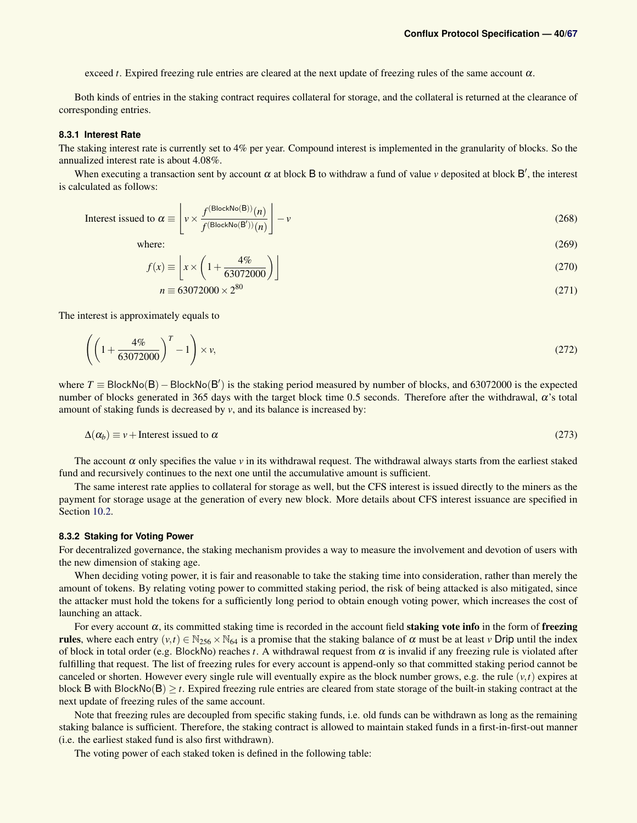exceed *t*. Expired freezing rule entries are cleared at the next update of freezing rules of the same account  $\alpha$ .

Both kinds of entries in the staking contract requires collateral for storage, and the collateral is returned at the clearance of corresponding entries.

### <span id="page-39-0"></span>**8.3.1 Interest Rate**

The staking interest rate is currently set to 4% per year. Compound interest is implemented in the granularity of blocks. So the annualized interest rate is about 4.08%.

When executing a transaction sent by account  $\alpha$  at block B to withdraw a fund of value  $\nu$  deposited at block B', the interest is calculated as follows:

Interest issued to 
$$
\alpha \equiv \left[ v \times \frac{f^{(\text{BlockNo(B)})(n)}}{f^{(\text{BlockNo(B')})(n)}} \right] - v
$$
 (268)

where:  $(269)$ 

$$
f(x) \equiv \left[ x \times \left( 1 + \frac{4\%}{63072000} \right) \right]
$$
\n
$$
(270)
$$

$$
n = 63072000 \times 2^{80} \tag{271}
$$

The interest is approximately equals to

$$
\left( \left( 1 + \frac{4\%}{63072000} \right)^{T} - 1 \right) \times \nu,
$$
\n(272)

where  $T \equiv$  BlockNo(B) – BlockNo(B') is the staking period measured by number of blocks, and 63072000 is the expected number of blocks generated in 365 days with the target block time 0.5 seconds. Therefore after the withdrawal, α's total amount of staking funds is decreased by *v*, and its balance is increased by:

$$
\Delta(\alpha_b) \equiv v + \text{Interest issued to } \alpha \tag{273}
$$

The account  $\alpha$  only specifies the value  $v$  in its withdrawal request. The withdrawal always starts from the earliest staked fund and recursively continues to the next one until the accumulative amount is sufficient.

The same interest rate applies to collateral for storage as well, but the CFS interest is issued directly to the miners as the payment for storage usage at the generation of every new block. More details about CFS interest issuance are specified in Section [10.2.](#page-43-2)

#### <span id="page-39-1"></span>**8.3.2 Staking for Voting Power**

For decentralized governance, the staking mechanism provides a way to measure the involvement and devotion of users with the new dimension of staking age.

When deciding voting power, it is fair and reasonable to take the staking time into consideration, rather than merely the amount of tokens. By relating voting power to committed staking period, the risk of being attacked is also mitigated, since the attacker must hold the tokens for a sufficiently long period to obtain enough voting power, which increases the cost of launching an attack.

For every account  $\alpha$ , its committed staking time is recorded in the account field **staking vote info** in the form of **freezing** rules, where each entry  $(v,t) \in N_{256} \times N_{64}$  is a promise that the staking balance of  $\alpha$  must be at least *v* Drip until the index of block in total order (e.g. BlockNo) reaches *t*. A withdrawal request from  $\alpha$  is invalid if any freezing rule is violated after fulfilling that request. The list of freezing rules for every account is append-only so that committed staking period cannot be canceled or shorten. However every single rule will eventually expire as the block number grows, e.g. the rule  $(v,t)$  expires at block B with BlockNo(B)  $\geq t$ . Expired freezing rule entries are cleared from state storage of the built-in staking contract at the next update of freezing rules of the same account.

Note that freezing rules are decoupled from specific staking funds, i.e. old funds can be withdrawn as long as the remaining staking balance is sufficient. Therefore, the staking contract is allowed to maintain staked funds in a first-in-first-out manner (i.e. the earliest staked fund is also first withdrawn).

The voting power of each staked token is defined in the following table: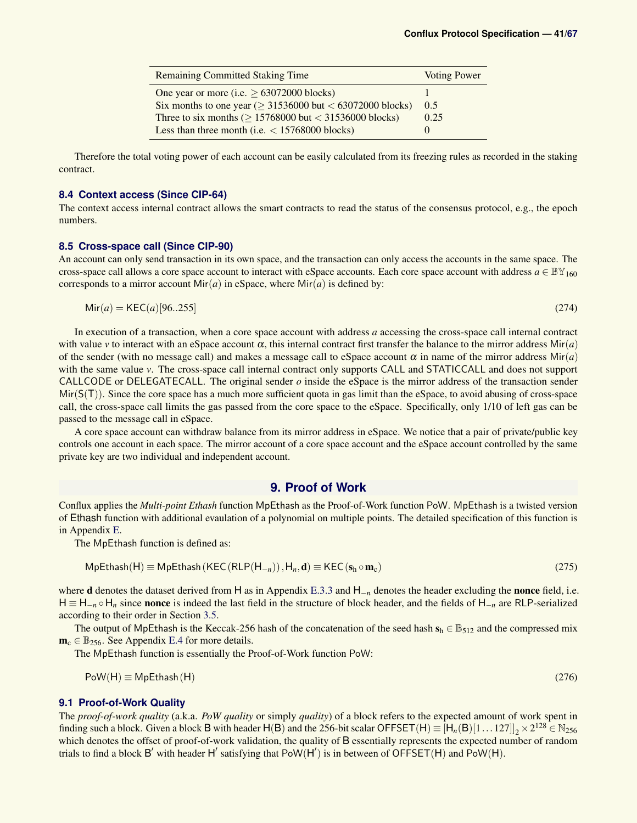| <b>Remaining Committed Staking Time</b>                         | <b>Voting Power</b> |
|-----------------------------------------------------------------|---------------------|
| One year or more (i.e. $\geq 63072000$ blocks)                  |                     |
| Six months to one year ( $\geq$ 31536000 but < 63072000 blocks) | 0.5                 |
| Three to six months ( $\geq$ 15768000 but < 31536000 blocks)    | 0.25                |
| Less than three month (i.e. $<$ 15768000 blocks)                |                     |

Therefore the total voting power of each account can be easily calculated from its freezing rules as recorded in the staking contract.

### **8.4 Context access (Since CIP-64)**

The context access internal contract allows the smart contracts to read the status of the consensus protocol, e.g., the epoch numbers.

### <span id="page-40-0"></span>**8.5 Cross-space call (Since CIP-90)**

An account can only send transaction in its own space, and the transaction can only access the accounts in the same space. The cross-space call allows a core space account to interact with eSpace accounts. Each core space account with address  $a \in \mathbb{BV}_{160}$ corresponds to a mirror account  $Mir(a)$  in eSpace, where  $Mir(a)$  is defined by:

$$
\text{Mir}(a) = \text{KEC}(a)[96..255] \tag{274}
$$

In execution of a transaction, when a core space account with address *a* accessing the cross-space call internal contract with value *v* to interact with an eSpace account  $\alpha$ , this internal contract first transfer the balance to the mirror address Mir(*a*) of the sender (with no message call) and makes a message call to eSpace account  $\alpha$  in name of the mirror address Mir(*a*) with the same value *v*. The cross-space call internal contract only supports CALL and STATICCALL and does not support CALLCODE or DELEGATECALL. The original sender  $o$  inside the eSpace is the mirror address of the transaction sender  $Mir(S(T))$ . Since the core space has a much more sufficient quota in gas limit than the eSpace, to avoid abusing of cross-space call, the cross-space call limits the gas passed from the core space to the eSpace. Specifically, only 1/10 of left gas can be passed to the message call in eSpace.

A core space account can withdraw balance from its mirror address in eSpace. We notice that a pair of private/public key controls one account in each space. The mirror account of a core space account and the eSpace account controlled by the same private key are two individual and independent account.

### **9. Proof of Work**

<span id="page-40-1"></span>Conflux applies the *Multi-point Ethash* function MpEthash as the Proof-of-Work function PoW. MpEthash is a twisted version of Ethash function with additional evaulation of a polynomial on multiple points. The detailed specification of this function is in Appendix [E.](#page-62-0)

The MpEthash function is defined as:

$$
MpEthash(H) \equiv MpEthash(KEC(RLP(H_{-n})), H_n, d) \equiv KEC(s_h \circ m_c)
$$
\n(275)

where **d** denotes the dataset derived from H as in Appendix [E.3.3](#page-63-1) and H<sub>−*n*</sub> denotes the header excluding the **nonce** field, i.e. H ≡ H−*<sup>n</sup>* ◦ H*<sup>n</sup>* since nonce is indeed the last field in the structure of block header, and the fields of H−*<sup>n</sup>* are RLP-serialized according to their order in Section [3.5.](#page-10-0)

The output of MpEthash is the Keccak-256 hash of the concatenation of the seed hash  $s_h \in \mathbb{B}_{512}$  and the compressed mix  $m_c \in \mathbb{B}_{256}$ . See Appendix [E.4](#page-63-2) for more details.

The MpEthash function is essentially the Proof-of-Work function PoW:

$$
PoW(H) \equiv MpEthash(H) \tag{276}
$$

### <span id="page-40-2"></span>**9.1 Proof-of-Work Quality**

The *proof-of-work quality* (a.k.a. *PoW quality* or simply *quality*) of a block refers to the expected amount of work spent in finding such a block. Given a block B with header  $H(B)$  and the 256-bit scalar OFFSET $(H) \equiv [H_n(B)[1 \dots 127]]_2 \times 2^{128} \in N_{256}$ which denotes the offset of proof-of-work validation, the quality of B essentially represents the expected number of random trials to find a block B' with header H' satisfying that  $PoW(H')$  is in between of  $\overline{OFFSET(H)}$  and  $PoW(H)$ .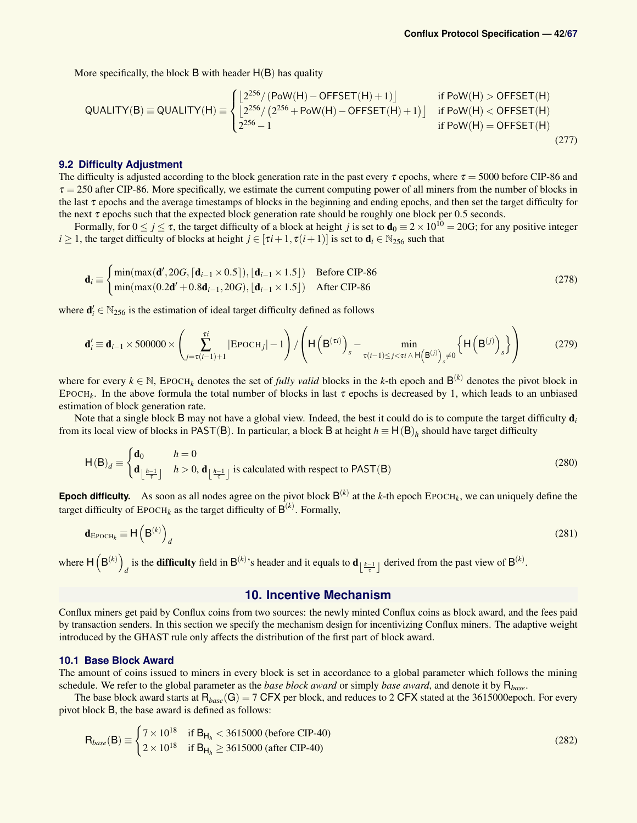More specifically, the block  $\overline{B}$  with header  $H(B)$  has quality

$$
QUALITY(B) \equiv QUALITY(H) \equiv \begin{cases} \left[ 2^{256} / (Pow(H) - OFFSET(H) + 1) \right] & \text{if } Pow(H) > OFFSET(H) \\ \left[ 2^{256} / (2^{256} + Pow(H) - OFFSET(H) + 1) \right] & \text{if } Pow(H) < OFFSET(H) \\ 2^{256} - 1 & \text{if } Pow(H) = OFFSET(H) \end{cases}
$$

### <span id="page-41-0"></span>**9.2 Difficulty Adjustment**

The difficulty is adjusted according to the block generation rate in the past every  $\tau$  epochs, where  $\tau = 5000$  before CIP-86 and  $\tau$  = 250 after CIP-86. More specifically, we estimate the current computing power of all miners from the number of blocks in the last  $\tau$  epochs and the average timestamps of blocks in the beginning and ending epochs, and then set the target difficulty for the next  $\tau$  epochs such that the expected block generation rate should be roughly one block per 0.5 seconds.

Formally, for  $0 \le j \le \tau$ , the target difficulty of a block at height *j* is set to  $\mathbf{d}_0 = 2 \times 10^{10} = 20\text{G}$ ; for any positive integer *i* ≥ 1, the target difficulty of blocks at height  $j \in [\tau i + 1, \tau(i+1)]$  is set to  $\mathbf{d}_i \in \mathbb{N}_{256}$  such that

$$
\mathbf{d}_{i} \equiv \begin{cases} \min(\max(\mathbf{d}', 20G, \lceil \mathbf{d}_{i-1} \times 0.5 \rceil), \lceil \mathbf{d}_{i-1} \times 1.5 \rceil) & \text{Before CIP-86} \\ \min(\max(0.2\mathbf{d}' + 0.8\mathbf{d}_{i-1}, 20G), \lceil \mathbf{d}_{i-1} \times 1.5 \rceil) & \text{After CIP-86} \end{cases} \tag{278}
$$

where  $\mathbf{d}'_i \in \mathbb{N}_{256}$  is the estimation of ideal target difficulty defined as follows

$$
\mathbf{d}'_i \equiv \mathbf{d}_{i-1} \times 500000 \times \left( \sum_{j=\tau(i-1)+1}^{\tau i} |\text{EPOCH}_j| - 1 \right) / \left( \mathsf{H} \left( \mathsf{B}^{(\tau i)} \right)_s - \min_{\tau(i-1) \le j < \tau i \wedge \mathsf{H} \left( \mathsf{B}^{(j)} \right)_s \neq 0} \left\{ \mathsf{H} \left( \mathsf{B}^{(j)} \right)_s \right\} \right) \tag{279}
$$

where for every  $k \in \mathbb{N}$ , EPOCH<sub>k</sub> denotes the set of *fully valid* blocks in the *k*-th epoch and  $B^{(k)}$  denotes the pivot block in EPOCH<sub>k</sub>. In the above formula the total number of blocks in last  $\tau$  epochs is decreased by 1, which leads to an unbiased estimation of block generation rate.

Note that a single block B may not have a global view. Indeed, the best it could do is to compute the target difficulty d*<sup>i</sup>* from its local view of blocks in PAST(B). In particular, a block B at height  $h \equiv H(B)_h$  should have target difficulty

$$
\mathsf{H}(\mathsf{B})_d \equiv \begin{cases} \mathbf{d}_0 & h = 0 \\ \mathbf{d}_{\left\lfloor \frac{h-1}{\tau} \right\rfloor} & h > 0, \mathbf{d}_{\left\lfloor \frac{h-1}{\tau} \right\rfloor} \text{ is calculated with respect to } \mathsf{PAST}(\mathsf{B}) \end{cases} \tag{280}
$$

**Epoch difficulty.** As soon as all nodes agree on the pivot block  $B^{(k)}$  at the *k*-th epoch EPOCH<sub>k</sub>, we can uniquely define the target difficulty of  $\text{Epoch}_k$  as the target difficulty of  $\mathsf{B}^{(k)}$ . Formally,

$$
\mathbf{d}_{\text{EpoCH}_k} \equiv \mathsf{H}\left(\mathsf{B}^{(k)}\right)_d \tag{281}
$$

where  $H(B^{(k)})$ is the **difficulty** field in  $B^{(k)}$ 's header and it equals to  $d_{\lfloor \frac{k-1}{\tau} \rfloor}$  derived from the past view of  $B^{(k)}$ .

### **10. Incentive Mechanism**

<span id="page-41-1"></span>Conflux miners get paid by Conflux coins from two sources: the newly minted Conflux coins as block award, and the fees paid by transaction senders. In this section we specify the mechanism design for incentivizing Conflux miners. The adaptive weight introduced by the GHAST rule only affects the distribution of the first part of block award.

#### <span id="page-41-2"></span>**10.1 Base Block Award**

The amount of coins issued to miners in every block is set in accordance to a global parameter which follows the mining schedule. We refer to the global parameter as the *base block award* or simply *base award*, and denote it by R*base*.

The base block award starts at  $R_{base}(G) = 7$  CFX per block, and reduces to 2 CFX stated at the 3615000epoch. For every pivot block B, the base award is defined as follows:

$$
R_{base}(B) = \begin{cases} 7 \times 10^{18} & \text{if } B_{H_h} < 3615000 \text{ (before CIP-40)} \\ 2 \times 10^{18} & \text{if } B_{H_h} \ge 3615000 \text{ (after CIP-40)} \end{cases}
$$
 (282)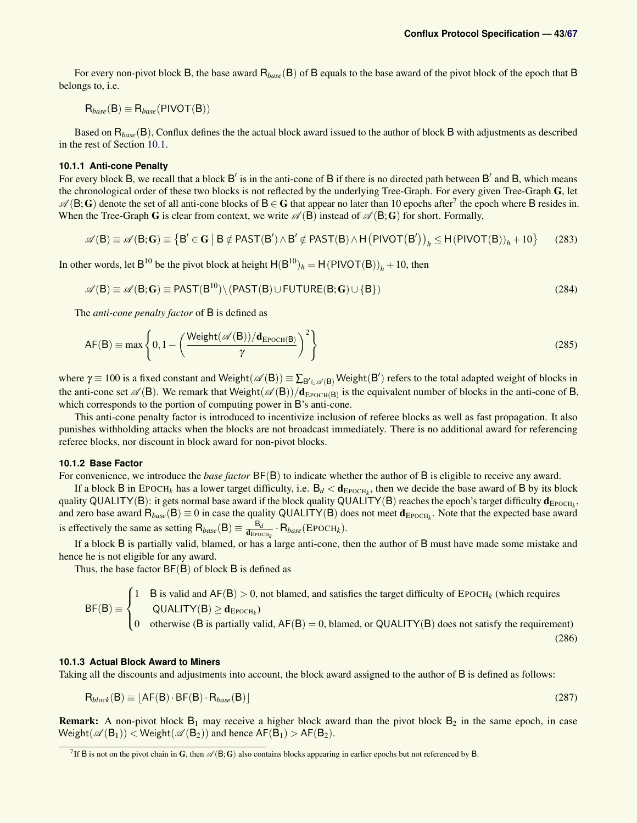For every non-pivot block B, the base award R*base*(B) of B equals to the base award of the pivot block of the epoch that B belongs to, i.e.

 $R_{base}(B) \equiv R_{base}(PIVOT(B))$ 

Based on R*base*(B), Conflux defines the the actual block award issued to the author of block B with adjustments as described in the rest of Section [10.1.](#page-41-2)

#### <span id="page-42-0"></span>**10.1.1 Anti-cone Penalty**

For every block  $B$ , we recall that a block  $B'$  is in the anti-cone of  $B$  if there is no directed path between  $B'$  and  $B$ , which means the chronological order of these two blocks is not reflected by the underlying Tree-Graph. For every given Tree-Graph G, let  $\mathscr{A}(B; G)$  denote the set of all anti-cone blocks of  $B \in G$  that appear no later than 10 epochs after<sup>[7](#page-42-3)</sup> the epoch where B resides in. When the Tree-Graph G is clear from context, we write  $\mathscr{A}(B)$  instead of  $\mathscr{A}(B;G)$  for short. Formally,

$$
\mathscr{A}(\mathsf{B}) \equiv \mathscr{A}(\mathsf{B}; \mathbf{G}) \equiv \left\{ \mathsf{B}' \in \mathbf{G} \mid \mathsf{B} \notin \text{PAST}(\mathsf{B}') \land \mathsf{B}' \notin \text{PAST}(\mathsf{B}) \land \mathsf{H}(\text{PIVOT}(\mathsf{B}'))_h \le \mathsf{H}(\text{PIVOT}(\mathsf{B}))_h + 10 \right\}
$$
(283)

In other words, let  $B^{10}$  be the pivot block at height  $H(B^{10})_h = H(PIVOT(B))_h + 10$ , then

$$
\mathscr{A}(\mathsf{B}) \equiv \mathscr{A}(\mathsf{B}; \mathsf{G}) \equiv \mathsf{PAST}(\mathsf{B}^{10}) \setminus (\mathsf{PAST}(\mathsf{B}) \cup \mathsf{FUTURE}(\mathsf{B}; \mathsf{G}) \cup \{\mathsf{B}\})
$$
(284)

The *anti-cone penalty factor* of B is defined as

$$
AF(B) \equiv \max \left\{ 0, 1 - \left( \frac{\text{Weight}(\mathscr{A}(B)) / \mathbf{d}_{\text{FPOCH}}(B)}{\gamma} \right)^2 \right\}
$$
(285)

where  $\gamma \equiv 100$  is a fixed constant and Weight( $\mathscr{A}(B)$ )  $\equiv \sum_{B'\in\mathscr{A}(B)}$  Weight( $B'$ ) refers to the total adapted weight of blocks in the anti-cone set  $\mathscr{A}(B)$ . We remark that Weight $(\mathscr{A}(B))/d_{\text{EpoCH}(B)}$  is the equivalent number of blocks in the anti-cone of B, which corresponds to the portion of computing power in B's anti-cone.

This anti-cone penalty factor is introduced to incentivize inclusion of referee blocks as well as fast propagation. It also punishes withholding attacks when the blocks are not broadcast immediately. There is no additional award for referencing referee blocks, nor discount in block award for non-pivot blocks.

### <span id="page-42-1"></span>**10.1.2 Base Factor**

For convenience, we introduce the *base factor* BF(B) to indicate whether the author of B is eligible to receive any award.

If a block B in EPOCH<sub>k</sub> has a lower target difficulty, i.e.  $B_d < d_{EpoCH_k}$ , then we decide the base award of B by its block quality QUALITY(B): it gets normal base award if the block quality QUALITY(B) reaches the epoch's target difficulty  $\bm{d}_{\text{EpoCH}_k},$ and zero base award  $R_{base}(B) \equiv 0$  in case the quality QUALITY(B) does not meet  $d_{EpoCH_k}$ . Note that the expected base award is effectively the same as setting  $R_{base}(B) \equiv \frac{B_d}{d_{EPC}}$  $\frac{B_d}{\mathbf{d}_{\text{EpoCH}_k}} \cdot \mathsf{R}_{base}(\text{EpoCH}_k).$ 

If a block B is partially valid, blamed, or has a large anti-cone, then the author of B must have made some mistake and hence he is not eligible for any award.

Thus, the base factor  $BF(B)$  of block  $B$  is defined as

<span id="page-42-4"></span>
$$
BF(B) \equiv \begin{cases} 1 & \text{B is valid and } AF(B) > 0, \text{ not blamed, and satisfies the target difficulty of } EPOCH_k \text{ (which requires } QUALITY(B) \geq \mathbf{d}_{EPOCH_k})\\ 0 & \text{otherwise (B is partially valid, } AF(B) = 0, \text{blamed, or } QUALITY(B) \text{ does not satisfy the requirement)} \end{cases} \tag{286}
$$

### <span id="page-42-2"></span>**10.1.3 Actual Block Award to Miners**

Taking all the discounts and adjustments into account, the block award assigned to the author of B is defined as follows:

$$
R_{block}(B) \equiv [AF(B) \cdot BF(B) \cdot R_{base}(B)] \tag{287}
$$

**Remark:** A non-pivot block  $B_1$  may receive a higher block award than the pivot block  $B_2$  in the same epoch, in case  $Weight(\mathscr{A}(B_1)) < Weight(\mathscr{A}(B_2))$  and hence  $AF(B_1) > AF(B_2)$ .

<span id="page-42-3"></span><sup>&</sup>lt;sup>7</sup> If B is not on the pivot chain in G, then  $\mathscr{A}(B;G)$  also contains blocks appearing in earlier epochs but not referenced by B.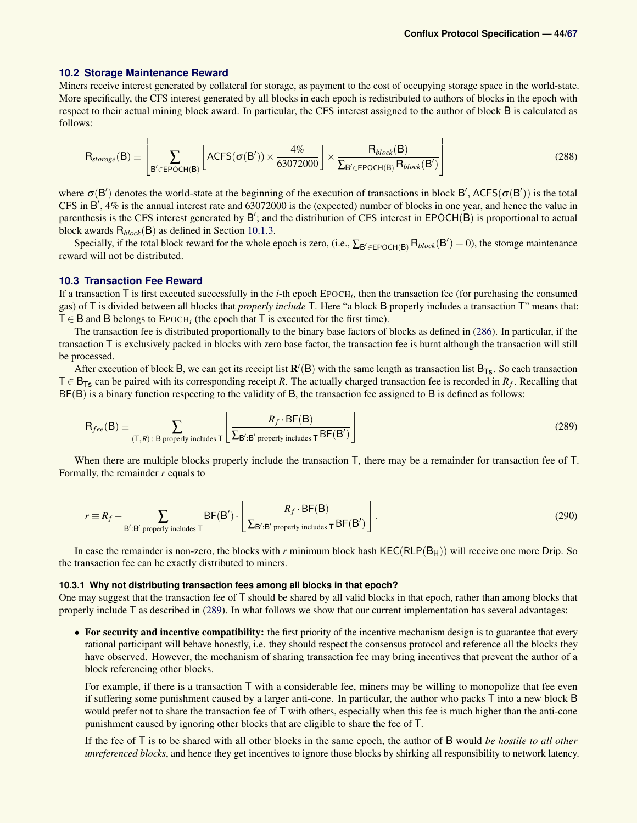#### <span id="page-43-2"></span>**10.2 Storage Maintenance Reward**

Miners receive interest generated by collateral for storage, as payment to the cost of occupying storage space in the world-state. More specifically, the CFS interest generated by all blocks in each epoch is redistributed to authors of blocks in the epoch with respect to their actual mining block award. In particular, the CFS interest assigned to the author of block B is calculated as follows:

$$
R_{\text{storage}}(B) \equiv \left[ \sum_{B' \in EPOCH(B)} \left[ ACFS(\sigma(B')) \times \frac{4\%}{63072000} \right] \times \frac{R_{\text{block}}(B)}{\sum_{B' \in EPOCH(B)} R_{\text{block}}(B')} \right]
$$
(288)

where  $\sigma(B')$  denotes the world-state at the beginning of the execution of transactions in block B', ACFS( $\sigma(B')$ ) is the total CFS in  $\overrightarrow{B'}$ , 4% is the annual interest rate and 63072000 is the (expected) number of blocks in one year, and hence the value in parenthesis is the CFS interest generated by  $B'$ ; and the distribution of CFS interest in  $EPOCH(B)$  is proportional to actual block awards R*block*(B) as defined in Section [10.1.3.](#page-42-2)

Specially, if the total block reward for the whole epoch is zero, (i.e.,  $\sum_{B' \in \text{FOCH}(B)} R_{block}(B') = 0$ ), the storage maintenance reward will not be distributed.

### <span id="page-43-0"></span>**10.3 Transaction Fee Reward**

If a transaction T is first executed successfully in the *i*-th epoch EPOCH*<sup>i</sup>* , then the transaction fee (for purchasing the consumed gas) of T is divided between all blocks that *properly include* T. Here "a block B properly includes a transaction T" means that:  $T \in B$  and B belongs to EPOCH<sub>i</sub> (the epoch that T is executed for the first time).

The transaction fee is distributed proportionally to the binary base factors of blocks as defined in [\(286\)](#page-42-4). In particular, if the transaction T is exclusively packed in blocks with zero base factor, the transaction fee is burnt although the transaction will still be processed.

After execution of block B, we can get its receipt list  $R'(B)$  with the same length as transaction list  $B_{Ts}$ . So each transaction T ∈ BTs can be paired with its corresponding receipt *R*. The actually charged transaction fee is recorded in *R<sup>f</sup>* . Recalling that BF(B) is a binary function respecting to the validity of B, the transaction fee assigned to B is defined as follows:

<span id="page-43-3"></span>
$$
R_{fee}(B) \equiv \sum_{(T,R): B \text{ properly includes } T} \left[ \frac{R_f \cdot BF(B)}{\sum_{B': B' \text{ properly includes } T} BF(B')} \right]
$$
(289)

When there are multiple blocks properly include the transaction  $\overline{T}$ , there may be a remainder for transaction fee of  $\overline{T}$ . Formally, the remainder *r* equals to

$$
r \equiv R_f - \sum_{\mathbf{B'}:\mathbf{B'} \text{ properly includes } \mathsf{T}} \mathsf{BF}(\mathbf{B'}) \cdot \left[ \frac{R_f \cdot \mathsf{BF}(\mathbf{B})}{\sum_{\mathbf{B'}:\mathbf{B'} \text{ properly includes } \mathsf{T}} \mathsf{BF}(\mathbf{B'})} \right].
$$
 (290)

In case the remainder is non-zero, the blocks with  $r$  minimum block hash  $KEC(RLP(B<sub>H</sub>))$  will receive one more Drip. So the transaction fee can be exactly distributed to miners.

### <span id="page-43-1"></span>**10.3.1 Why not distributing transaction fees among all blocks in that epoch?**

One may suggest that the transaction fee of T should be shared by all valid blocks in that epoch, rather than among blocks that properly include T as described in [\(289\)](#page-43-3). In what follows we show that our current implementation has several advantages:

• For security and incentive compatibility: the first priority of the incentive mechanism design is to guarantee that every rational participant will behave honestly, i.e. they should respect the consensus protocol and reference all the blocks they have observed. However, the mechanism of sharing transaction fee may bring incentives that prevent the author of a block referencing other blocks.

For example, if there is a transaction  $T$  with a considerable fee, miners may be willing to monopolize that fee even if suffering some punishment caused by a larger anti-cone. In particular, the author who packs T into a new block B would prefer not to share the transaction fee of  $\bar{T}$  with others, especially when this fee is much higher than the anti-cone punishment caused by ignoring other blocks that are eligible to share the fee of T.

If the fee of T is to be shared with all other blocks in the same epoch, the author of B would *be hostile to all other unreferenced blocks*, and hence they get incentives to ignore those blocks by shirking all responsibility to network latency.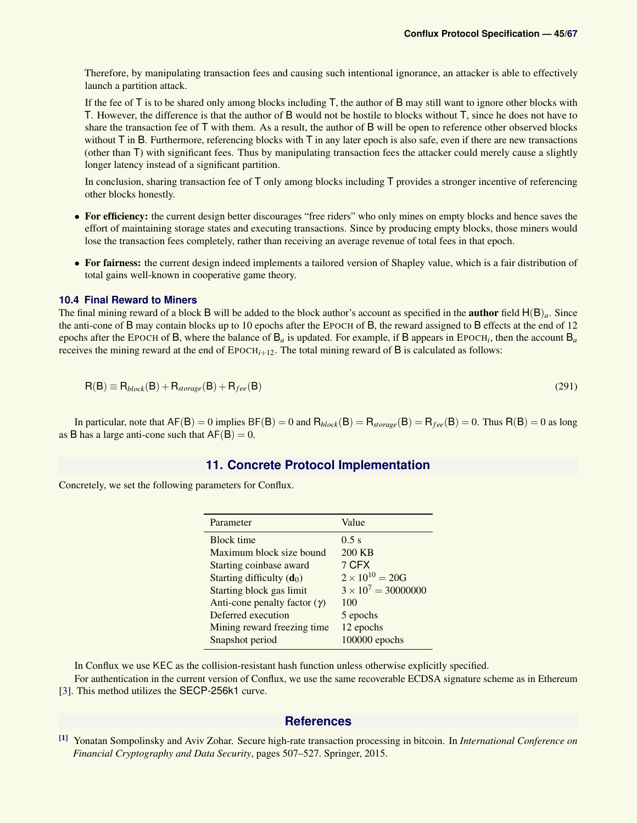Therefore, by manipulating transaction fees and causing such intentional ignorance, an attacker is able to effectively launch a partition attack.

If the fee of  $\overline{T}$  is to be shared only among blocks including  $\overline{T}$ , the author of  $\overline{B}$  may still want to ignore other blocks with T. However, the difference is that the author of B would not be hostile to blocks without T, since he does not have to share the transaction fee of T with them. As a result, the author of B will be open to reference other observed blocks without  $\bar{T}$  in B. Furthermore, referencing blocks with  $\bar{T}$  in any later epoch is also safe, even if there are new transactions (other than T) with significant fees. Thus by manipulating transaction fees the attacker could merely cause a slightly longer latency instead of a significant partition.

In conclusion, sharing transaction fee of T only among blocks including T provides a stronger incentive of referencing other blocks honestly.

- For efficiency: the current design better discourages "free riders" who only mines on empty blocks and hence saves the effort of maintaining storage states and executing transactions. Since by producing empty blocks, those miners would lose the transaction fees completely, rather than receiving an average revenue of total fees in that epoch.
- For fairness: the current design indeed implements a tailored version of Shapley value, which is a fair distribution of total gains well-known in cooperative game theory.

### **10.4 Final Reward to Miners**

The final mining reward of a block B will be added to the block author's account as specified in the **author** field  $H(B)<sub>a</sub>$ . Since the anti-cone of B may contain blocks up to 10 epochs after the EPOCH of B, the reward assigned to B effects at the end of 12 epochs after the EPOCH of B, where the balance of B*<sup>a</sup>* is updated. For example, if B appears in EPOCH*<sup>i</sup>* , then the account B*<sup>a</sup>* receives the mining reward at the end of  $EpoCH<sub>i+12</sub>$ . The total mining reward of B is calculated as follows:

$$
R(B) \equiv R_{block}(B) + R_{storage}(B) + R_{fee}(B)
$$
\n(291)

In particular, note that  $AF(B) = 0$  implies  $BF(B) = 0$  and  $R_{block}(B) = R_{storage}(B) = R_{fee}(B) = 0$ . Thus  $R(B) = 0$  as long as B has a large anti-cone such that  $AF(B) = 0$ .

### **11. Concrete Protocol Implementation**

<span id="page-44-0"></span>Concretely, we set the following parameters for Conflux.

| Parameter                           | Value                      |
|-------------------------------------|----------------------------|
| <b>Block</b> time                   | 0.5 s                      |
| Maximum block size bound            | 200 KB                     |
| Starting coinbase award             | 7 CFX                      |
| Starting difficulty $(d_0)$         | $2 \times 10^{10} = 20G$   |
| Starting block gas limit            | $3 \times 10^7 = 30000000$ |
| Anti-cone penalty factor $(\gamma)$ | 100                        |
| Deferred execution                  | 5 epochs                   |
| Mining reward freezing time         | 12 epochs                  |
| Snapshot period                     | 100000 epochs              |

In Conflux we use KEC as the collision-resistant hash function unless otherwise explicitly specified.

<span id="page-44-1"></span>For authentication in the current version of Conflux, we use the same recoverable ECDSA signature scheme as in Ethereum [\[3\]](#page-45-1). This method utilizes the SECP-256k1 curve.

### **References**

<span id="page-44-2"></span>[1] Yonatan Sompolinsky and Aviv Zohar. Secure high-rate transaction processing in bitcoin. In *International Conference on Financial Cryptography and Data Security*, pages 507–527. Springer, 2015.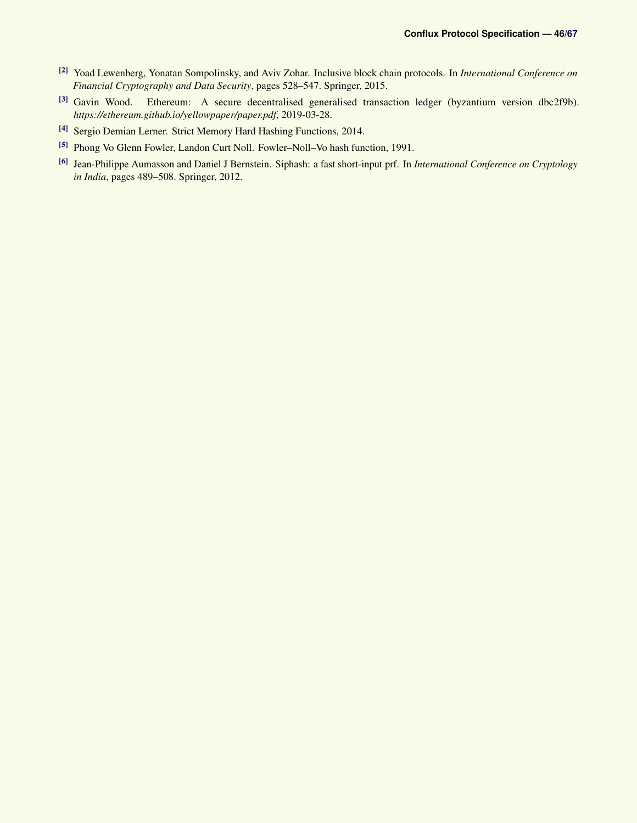- <span id="page-45-0"></span>[2] Yoad Lewenberg, Yonatan Sompolinsky, and Aviv Zohar. Inclusive block chain protocols. In *International Conference on Financial Cryptography and Data Security*, pages 528–547. Springer, 2015.
- <span id="page-45-1"></span>[3] Gavin Wood. Ethereum: A secure decentralised generalised transaction ledger (byzantium version dbc2f9b). *https://ethereum.github.io/yellowpaper/paper.pdf*, 2019-03-28.
- <span id="page-45-2"></span>[4] Sergio Demian Lerner. Strict Memory Hard Hashing Functions, 2014.
- <span id="page-45-3"></span>[5] Phong Vo Glenn Fowler, Landon Curt Noll. Fowler–Noll–Vo hash function, 1991.
- <span id="page-45-4"></span>[6] Jean-Philippe Aumasson and Daniel J Bernstein. Siphash: a fast short-input prf. In *International Conference on Cryptology in India*, pages 489–508. Springer, 2012.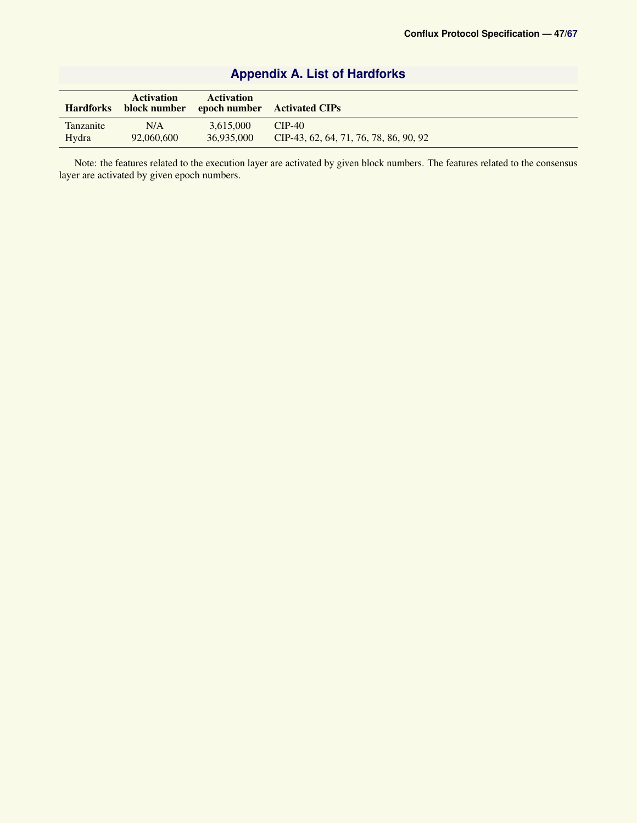<span id="page-46-0"></span>

| <b>Hardforks</b> | Activation | <b>Activation</b> | block number epoch number Activated CIPs |
|------------------|------------|-------------------|------------------------------------------|
| Tanzanite        | N/A        | 3.615.000         | $CIP-40$                                 |
| Hydra            | 92,060,600 | 36,935,000        | CIP-43, 62, 64, 71, 76, 78, 86, 90, 92   |

# **Appendix A. List of Hardforks**

Note: the features related to the execution layer are activated by given block numbers. The features related to the consensus layer are activated by given epoch numbers.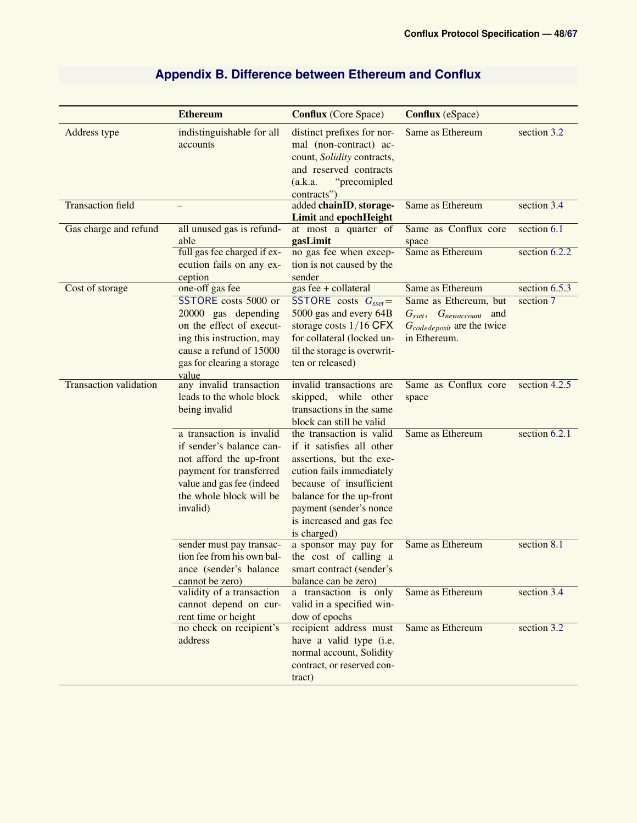<span id="page-47-0"></span>

|                               | <b>Ethereum</b>                                                                                                                                                                           | <b>Conflux</b> (Core Space)                                                                                                                                                                                                                | <b>Conflux</b> (eSpace)                                                                                                                          |                              |
|-------------------------------|-------------------------------------------------------------------------------------------------------------------------------------------------------------------------------------------|--------------------------------------------------------------------------------------------------------------------------------------------------------------------------------------------------------------------------------------------|--------------------------------------------------------------------------------------------------------------------------------------------------|------------------------------|
| Address type                  | indistinguishable for all<br>accounts                                                                                                                                                     | distinct prefixes for nor-<br>mal (non-contract) ac-<br>count, Solidity contracts,<br>and reserved contracts<br>"precomipled<br>(a.k.a.<br>contracts")                                                                                     | Same as Ethereum                                                                                                                                 | section 3.2                  |
| <b>Transaction field</b>      |                                                                                                                                                                                           | added chainID, storage-<br><b>Limit and epochHeight</b>                                                                                                                                                                                    | Same as Ethereum                                                                                                                                 | section 3.4                  |
| Gas charge and refund         | all unused gas is refund-<br>able<br>full gas fee charged if ex-<br>ecution fails on any ex-<br>ception                                                                                   | at most a quarter of<br>gasLimit<br>no gas fee when excep-<br>tion is not caused by the<br>sender                                                                                                                                          | Same as Conflux core<br>space<br>Same as Ethereum                                                                                                | section 6.1<br>section 6.2.2 |
| Cost of storage               | one-off gas fee<br>SSTORE costs 5000 or<br>20000 gas depending<br>on the effect of execut-<br>ing this instruction, may<br>cause a refund of 15000<br>gas for clearing a storage<br>value | gas fee + collateral<br>SSTORE costs $G_{sset}$ =<br>5000 gas and every 64B<br>storage costs $1/16$ CFX<br>for collateral (locked un-<br>til the storage is overwrit-<br>ten or released)                                                  | Same as Ethereum<br>Same as Ethereum, but<br>$G_{\text{sset}}, \quad G_{\text{newaccount}}$<br>and<br>Gcodedeposit are the twice<br>in Ethereum. | section 6.5.3<br>section 7   |
| <b>Transaction validation</b> | any invalid transaction<br>leads to the whole block<br>being invalid                                                                                                                      | invalid transactions are<br>skipped, while other<br>transactions in the same<br>block can still be valid                                                                                                                                   | Same as Conflux core<br>space                                                                                                                    | section 4.2.5                |
|                               | a transaction is invalid<br>if sender's balance can-<br>not afford the up-front<br>payment for transferred<br>value and gas fee (indeed<br>the whole block will be<br>invalid)            | the transaction is valid<br>if it satisfies all other<br>assertions, but the exe-<br>cution fails immediately<br>because of insufficient<br>balance for the up-front<br>payment (sender's nonce<br>is increased and gas fee<br>is charged) | Same as Ethereum                                                                                                                                 | section 6.2.1                |
|                               | sender must pay transac-<br>tion fee from his own bal-<br>ance (sender's balance<br>cannot be zero)                                                                                       | a sponsor may pay for<br>the cost of calling a<br>smart contract (sender's<br>balance can be zero)                                                                                                                                         | Same as Ethereum                                                                                                                                 | section 8.1                  |
|                               | validity of a transaction<br>cannot depend on cur-<br>rent time or height                                                                                                                 | a transaction is only<br>valid in a specified win-<br>dow of epochs                                                                                                                                                                        | Same as Ethereum                                                                                                                                 | section 3.4                  |
|                               | no check on recipient's<br>address                                                                                                                                                        | recipient address must<br>have a valid type (i.e.<br>normal account, Solidity<br>contract, or reserved con-<br>tract)                                                                                                                      | Same as Ethereum                                                                                                                                 | section 3.2                  |

# **Appendix B. Difference between Ethereum and Conflux**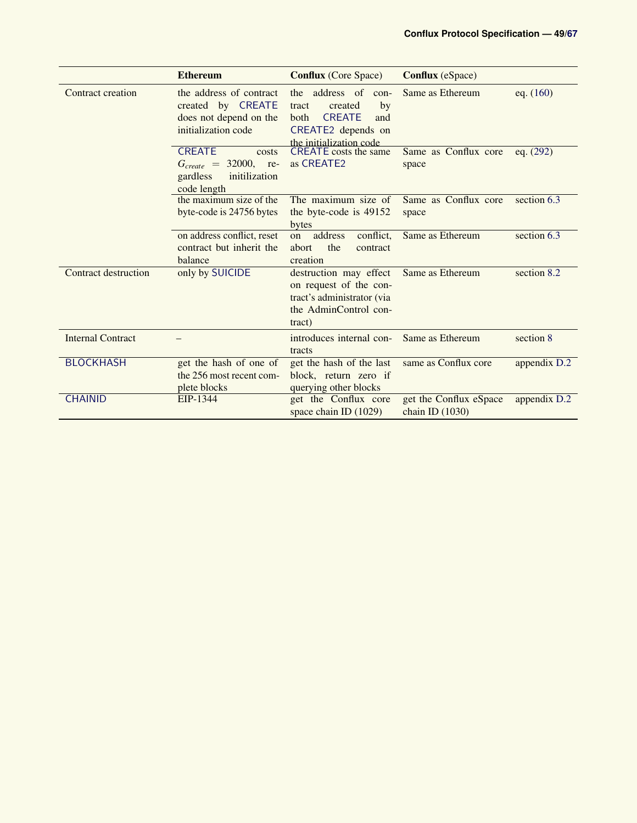|                             | <b>Ethereum</b>                                                                                 | <b>Conflux</b> (Core Space)                                                                                                              | <b>Conflux</b> (eSpace)                   |                          |
|-----------------------------|-------------------------------------------------------------------------------------------------|------------------------------------------------------------------------------------------------------------------------------------------|-------------------------------------------|--------------------------|
| Contract creation           | the address of contract<br>created by CREATE<br>does not depend on the<br>initialization code   | the address of<br>con-<br>by<br>created<br>tract<br><b>CREATE</b><br><b>both</b><br>and<br>CREATE2 depends on<br>the initialization code | Same as Ethereum                          | eq. $(160)$              |
|                             | <b>CREATE</b><br>costs<br>$G_{create} = 32000,$ re-<br>gardless<br>initilization<br>code length | <b>CREATE</b> costs the same<br>as CREATE <sub>2</sub>                                                                                   | Same as Conflux core<br>space             | eq. $(292)$              |
|                             | the maximum size of the<br>byte-code is 24756 bytes                                             | The maximum size of<br>the byte-code is 49152<br>bytes                                                                                   | Same as Conflux core<br>space             | section 6.3              |
|                             | on address conflict, reset<br>contract but inherit the<br>balance                               | address<br>conflict,<br>on<br>the<br>abort<br>contract<br>creation                                                                       | Same as Ethereum                          | section 6.3              |
| <b>Contract destruction</b> | only by SUICIDE                                                                                 | destruction may effect<br>on request of the con-<br>tract's administrator (via<br>the AdminControl con-<br>tract)                        | Same as Ethereum                          | section $8.\overline{2}$ |
| <b>Internal Contract</b>    |                                                                                                 | introduces internal con-<br>tracts                                                                                                       | Same as Ethereum                          | section 8                |
| <b>BLOCKHASH</b>            | get the hash of one of<br>the 256 most recent com-<br>plete blocks                              | get the hash of the last<br>block, return zero if<br>querying other blocks                                                               | same as Conflux core                      | appendix D.2             |
| <b>CHAINID</b>              | EIP-1344                                                                                        | get the Conflux core<br>space chain ID $(1029)$                                                                                          | get the Conflux eSpace<br>chain ID (1030) | appendix D.2             |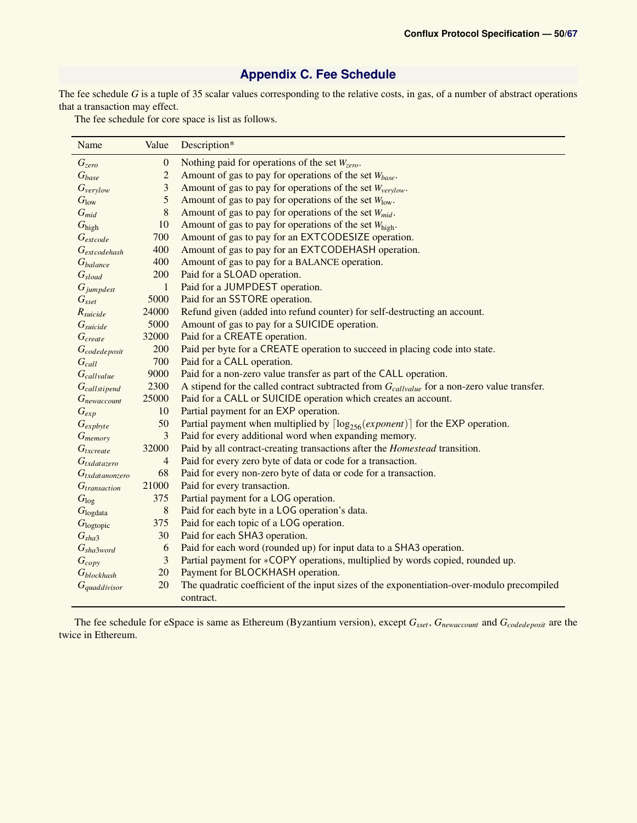# **Appendix C. Fee Schedule**

<span id="page-49-0"></span>The fee schedule *G* is a tuple of 35 scalar values corresponding to the relative costs, in gas, of a number of abstract operations that a transaction may effect.

The fee schedule for core space is list as follows.

<span id="page-49-1"></span>

| Name                   | Value            | Description*                                                                                            |
|------------------------|------------------|---------------------------------------------------------------------------------------------------------|
| $G_{zero}$             | $\boldsymbol{0}$ | Nothing paid for operations of the set $W_{zero}$ .                                                     |
| $G_{base}$             | $\overline{c}$   | Amount of gas to pay for operations of the set $W_{base}$ .                                             |
| $G_{verylow}$          | 3                | Amount of gas to pay for operations of the set $W_{\text{verylow}}$ .                                   |
| G <sub>low</sub>       | 5                | Amount of gas to pay for operations of the set $W_{\text{low}}$ .                                       |
| $G_{mid}$              | 8                | Amount of gas to pay for operations of the set $W_{mid}$ .                                              |
| $G_{\text{high}}$      | 10               | Amount of gas to pay for operations of the set Whigh.                                                   |
| $G$ <sub>extcode</sub> | 700              | Amount of gas to pay for an EXTCODESIZE operation.                                                      |
| $G_{extcodehash}$      | 400              | Amount of gas to pay for an EXTCODEHASH operation.                                                      |
| G <sub>balance</sub>   | 400              | Amount of gas to pay for a BALANCE operation.                                                           |
| $G_{sload}$            | 200              | Paid for a SLOAD operation.                                                                             |
| $G_{\text{jumpdest}}$  | $\mathbf{1}$     | Paid for a JUMPDEST operation.                                                                          |
| $G_{\text{sset}}$      | 5000             | Paid for an SSTORE operation.                                                                           |
| $R_{\textit{suicide}}$ | 24000            | Refund given (added into refund counter) for self-destructing an account.                               |
| G <sub>suicide</sub>   | 5000             | Amount of gas to pay for a SUICIDE operation.                                                           |
| G <sub>create</sub>    | 32000            | Paid for a CREATE operation.                                                                            |
| $G_{code deposit}$     | 200              | Paid per byte for a CREATE operation to succeed in placing code into state.                             |
| $G_{call}$             | 700              | Paid for a CALL operation.                                                                              |
| Gcallvalue             | 9000             | Paid for a non-zero value transfer as part of the CALL operation.                                       |
| $G_{callstipend}$      | 2300             | A stipend for the called contract subtracted from $G_{\text{callvalue}}$ for a non-zero value transfer. |
| Gnewaccount            | 25000            | Paid for a CALL or SUICIDE operation which creates an account.                                          |
| $G_{exp}$              | 10               | Partial payment for an EXP operation.                                                                   |
| $G_{expbyte}$          | 50               | Partial payment when multiplied by $\lceil \log_{256}(\text{exponent}) \rceil$ for the EXP operation.   |
| $G_{memory}$           | 3                | Paid for every additional word when expanding memory.                                                   |
| $G_{txcreate}$         | 32000            | Paid by all contract-creating transactions after the <i>Homestead</i> transition.                       |
| $G_{txdatazero}$       | $\overline{4}$   | Paid for every zero byte of data or code for a transaction.                                             |
| $G_{tx data nonzero}$  | 68               | Paid for every non-zero byte of data or code for a transaction.                                         |
| $G_{transaction}$      | 21000            | Paid for every transaction.                                                                             |
| $G_{\log}$             | 375              | Partial payment for a LOG operation.                                                                    |
| G <sub>logdata</sub>   | 8                | Paid for each byte in a LOG operation's data.                                                           |
| G <sub>logtopic</sub>  | 375              | Paid for each topic of a LOG operation.                                                                 |
| $G_{sha3}$             | 30               | Paid for each SHA3 operation.                                                                           |
| $G_{sha3word}$         | 6                | Paid for each word (rounded up) for input data to a SHA3 operation.                                     |
| $G_{copy}$             | 3                | Partial payment for *COPY operations, multiplied by words copied, rounded up.                           |
| $G_{blockhash}$        | 20               | Payment for BLOCKHASH operation.                                                                        |
| $G_{quaddivisor}$      | 20               | The quadratic coefficient of the input sizes of the exponentiation-over-modulo precompiled              |
|                        |                  | contract.                                                                                               |

The fee schedule for eSpace is same as Ethereum (Byzantium version), except *Gsset*, *Gnewaccount* and *Gcodedeposit* are the twice in Ethereum.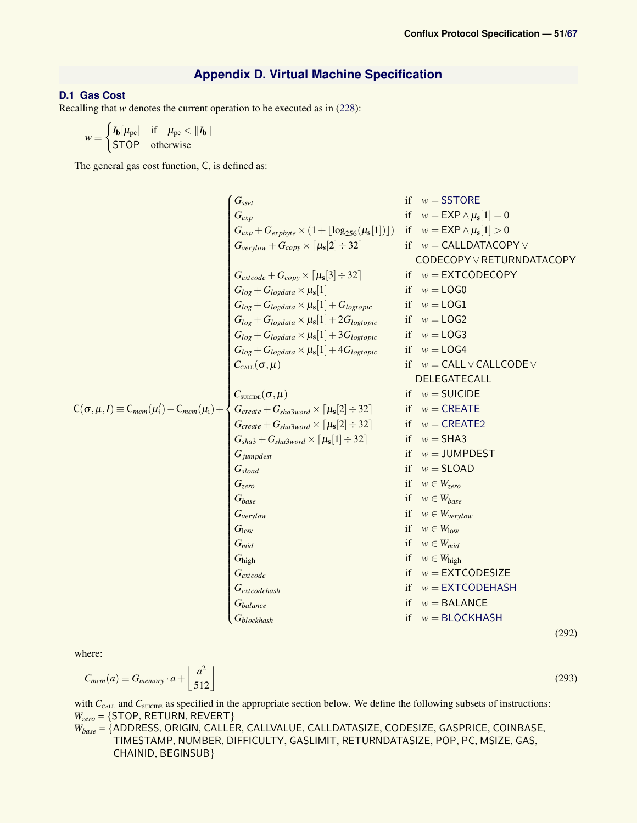(292)

(293)

### **Appendix D. Virtual Machine Specification**

### <span id="page-50-1"></span><span id="page-50-0"></span>**D.1 Gas Cost**

Recalling that *w* denotes the current operation to be executed as in [\(228\)](#page-33-1):

$$
w \equiv \begin{cases} I_{\mathbf{b}}[\mu_{\text{pc}}] & \text{if } \mu_{\text{pc}} < ||I_{\mathbf{b}}|| \\ \text{STOP} & \text{otherwise} \end{cases}
$$

<span id="page-50-2"></span>The general gas cost function, C, is defined as:

$$
G_{\text{cyc}} \n\begin{cases}\nG_{\text{seq}} & \text{if } w = \text{SSTORE} \\
G_{\text{cyc}} & \text{if } w = \text{EXP} \land \mu_s[1] = 0 \\
G_{\text{cyc}} + G_{\text{cepbye}} \times (1 + \lfloor \log_{256}(\mu_s[1]) \rfloor) & \text{if } w = \text{CALDATACOPY} \\
G_{\text{vector}} + G_{\text{copp}} \times \lceil \mu_s[2] \div 32 \rceil & \text{if } w = \text{CALDATACOPY} \\
G_{\text{log}} + G_{\text{logdata}} \times \mu_s[1] & \text{if } w = \text{CALDATACOPY} \\
G_{\text{log}} + G_{\text{logdata}} \times \mu_s[1] + G_{\text{logtopic}} & \text{if } w = \text{LOCG} \\
G_{\text{log}} + G_{\text{logdata}} \times \mu_s[1] + 3G_{\text{logropic}} & \text{if } w = \text{LOCG} \\
G_{\text{log}} + G_{\text{logdata}} \times \mu_s[1] + 3G_{\text{logropic}} & \text{if } w = \text{LOCG} \\
G_{\text{log}} + G_{\text{logdata}} \times \mu_s[1] + 3G_{\text{logropic}} & \text{if } w = \text{LOCG} \\
G_{\text{log}} + G_{\text{logdata}} \times \mu_s[1] + 3G_{\text{logropic}} & \text{if } w = \text{LOCG} \\
G_{\text{real}} + G_{\text{shd3word}} \times \mu_s[1] + 3G_{\text{logropic}} & \text{if } w = \text{CALL} \lor \text{CALLOOE} \lor \text{DELEGATECALL} \\
G_{\text{real}} \cdot G_{\text{real}} \cdot G_{\text{shd3word}} \times \lceil \mu_s[2] \div 32] & \text{if } w = \text{CEXATE} \\
G_{\text{real}} \cdot G_{\text{real}} \cdot G_{\text{shd3word}} \times \lceil \mu_s[1] \div 32] & \text{if } w = \text{CEXATE} \\
G_{\text{shad}} + G_{\text{shadword}} \times \lceil \mu_s[1] \div 32] & \text{if } w = \text{CEXATE} \\
G_{\text{shad}} \cdot G_{\text{area}} \cdot G_{\text{break} \times G_{\text{
$$

where:

$$
C_{mem}(a) \equiv G_{memory} \cdot a + \left\lfloor \frac{a^2}{512} \right\rfloor
$$

with *C*<sub>CALL</sub> and *C*<sub>SUICIDE</sub> as specified in the appropriate section below. We define the following subsets of instructions: *Wzero* = {STOP, RETURN, REVERT}

*Wbase* = {ADDRESS, ORIGIN, CALLER, CALLVALUE, CALLDATASIZE, CODESIZE, GASPRICE, COINBASE, TIMESTAMP, NUMBER, DIFFICULTY, GASLIMIT, RETURNDATASIZE, POP, PC, MSIZE, GAS, CHAINID, BEGINSUB}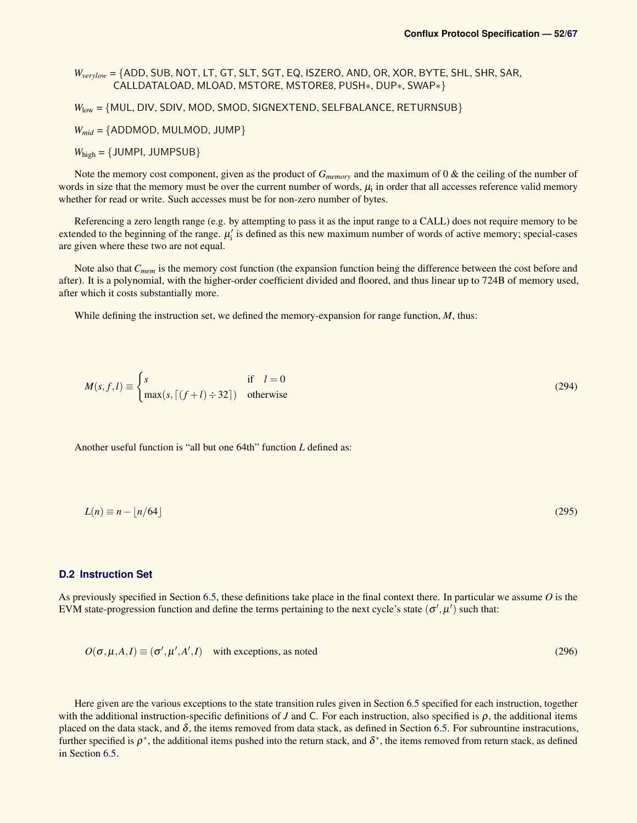*Wverylow* = {ADD, SUB, NOT, LT, GT, SLT, SGT, EQ, ISZERO, AND, OR, XOR, BYTE, SHL, SHR, SAR, CALLDATALOAD, MLOAD, MSTORE, MSTORE8, PUSH∗, DUP∗, SWAP∗}

*W*<sub>low</sub> = {MUL, DIV, SDIV, MOD, SMOD, SIGNEXTEND, SELFBALANCE, RETURNSUB}

*Wmid* = {ADDMOD, MULMOD, JUMP}

 $W_{\text{high}} = \{J \cup \text{MPI}, J \cup \text{MPSUB}\}$ 

Note the memory cost component, given as the product of *Gmemory* and the maximum of 0 & the ceiling of the number of words in size that the memory must be over the current number of words,  $\mu_i$  in order that all accesses reference valid memory whether for read or write. Such accesses must be for non-zero number of bytes.

Referencing a zero length range (e.g. by attempting to pass it as the input range to a CALL) does not require memory to be extended to the beginning of the range.  $\mu'_i$  is defined as this new maximum number of words of active memory; special-cases are given where these two are not equal.

Note also that *Cmem* is the memory cost function (the expansion function being the difference between the cost before and after). It is a polynomial, with the higher-order coefficient divided and floored, and thus linear up to 724B of memory used, after which it costs substantially more.

While defining the instruction set, we defined the memory-expansion for range function, *M*, thus:

$$
M(s, f, l) \equiv \begin{cases} s & \text{if } l = 0\\ \max(s, \lceil (f+l) \div 32 \rceil) & \text{otherwise} \end{cases}
$$
 (294)

Another useful function is "all but one 64th" function *L* defined as:

$$
L(n) \equiv n - \lfloor n/64 \rfloor \tag{295}
$$

### <span id="page-51-0"></span>**D.2 Instruction Set**

As previously specified in Section [6.5,](#page-31-0) these definitions take place in the final context there. In particular we assume *O* is the EVM state-progression function and define the terms pertaining to the next cycle's state  $(\sigma', \mu')$  such that:

$$
O(\sigma, \mu, A, I) \equiv (\sigma', \mu', A', I) \quad \text{with exceptions, as noted}
$$
 (296)

Here given are the various exceptions to the state transition rules given in Section [6.5](#page-31-0) specified for each instruction, together with the additional instruction-specific definitions of *J* and C. For each instruction, also specified is  $\rho$ , the additional items placed on the data stack, and  $\delta$ , the items removed from data stack, as defined in Section [6.5.](#page-31-0) For subrountine instracutions, further specified is  $\rho^*$ , the additional items pushed into the return stack, and  $\delta^*$ , the items removed from return stack, as defined in Section [6.5.](#page-31-0)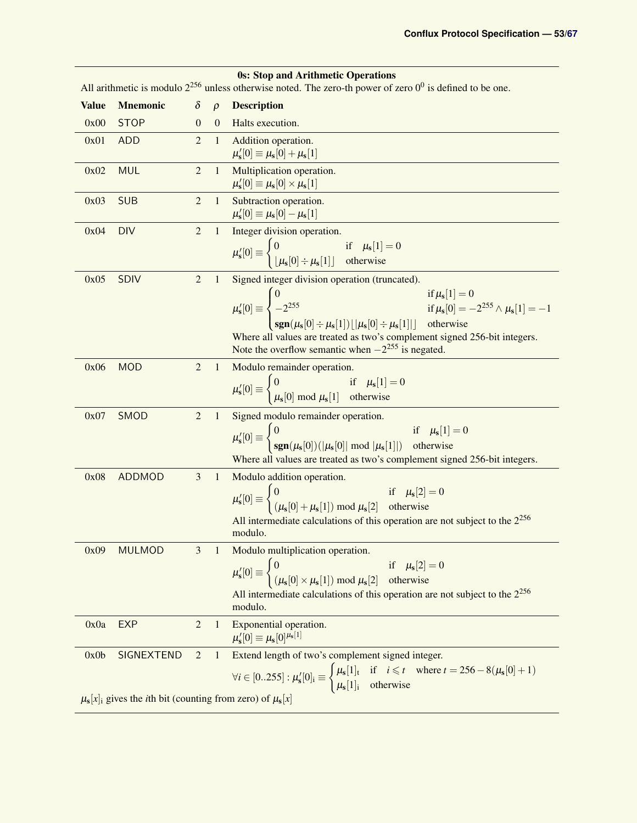<span id="page-52-0"></span>

|              | <b>0s: Stop and Arithmetic Operations</b><br>All arithmetic is modulo $2^{256}$ unless otherwise noted. The zero-th power of zero $0^0$ is defined to be one. |                |                |                                                                                                                                                                                                                                                                                                                                                                                                                                           |  |  |
|--------------|---------------------------------------------------------------------------------------------------------------------------------------------------------------|----------------|----------------|-------------------------------------------------------------------------------------------------------------------------------------------------------------------------------------------------------------------------------------------------------------------------------------------------------------------------------------------------------------------------------------------------------------------------------------------|--|--|
| <b>Value</b> | <b>Mnemonic</b>                                                                                                                                               | $\delta$       | $\rho$         | <b>Description</b>                                                                                                                                                                                                                                                                                                                                                                                                                        |  |  |
| 0x00         | <b>STOP</b>                                                                                                                                                   | $\theta$       | $\overline{0}$ | Halts execution.                                                                                                                                                                                                                                                                                                                                                                                                                          |  |  |
| 0x01         | <b>ADD</b>                                                                                                                                                    | $\overline{2}$ | $\overline{1}$ | Addition operation.<br>$\mu'_{s}[0] \equiv \mu_{s}[0] + \mu_{s}[1]$                                                                                                                                                                                                                                                                                                                                                                       |  |  |
| 0x02         | <b>MUL</b>                                                                                                                                                    | $\overline{2}$ | $\mathbf{1}$   | Multiplication operation.<br>$\mu'_{s}[0] \equiv \mu_{s}[0] \times \mu_{s}[1]$                                                                                                                                                                                                                                                                                                                                                            |  |  |
| 0x03         | <b>SUB</b>                                                                                                                                                    | $\overline{2}$ | $\mathbf{1}$   | Subtraction operation.<br>$\mu'_s[0] \equiv \mu_s[0] - \mu_s[1]$                                                                                                                                                                                                                                                                                                                                                                          |  |  |
| 0x04         | <b>DIV</b>                                                                                                                                                    | $\overline{2}$ | $\mathbf{1}$   | Integer division operation.<br>$\mu'_s[0] \equiv \begin{cases} 0 & \text{if } \mu_s[1] = 0 \\  \mu_s[0] \div \mu_s[1]  & \text{otherwise} \end{cases}$                                                                                                                                                                                                                                                                                    |  |  |
| 0x05         | <b>SDIV</b>                                                                                                                                                   | $\overline{2}$ | $\mathbf{1}$   | Signed integer division operation (truncated).<br>$\mu'_{s}[0] = \begin{cases} 0 & \text{if } \mu_{s}[1] = 0 \\ -2^{255} & \text{if } \mu_{s}[0] = -2^{255} \wedge \mu_{s}[1] = -1 \\ \text{sgn}(\mu_{s}[0] \div \mu_{s}[1]) \lfloor  \mu_{s}[0] \div \mu_{s}[1] ] & \text{otherwise} \end{cases}$<br>Where all values are treated as two's complement signed 256-bit integers.<br>Note the overflow semantic when $-2^{255}$ is negated. |  |  |
| 0x06         | <b>MOD</b>                                                                                                                                                    | $\overline{2}$ | $\mathbf{1}$   | Modulo remainder operation.<br>$\mu'_s[0] \equiv \begin{cases} 0 & \text{if } \mu_s[1] = 0 \\ \mu_s[0] \bmod \mu_s[1] & \text{otherwise} \end{cases}$                                                                                                                                                                                                                                                                                     |  |  |
| 0x07         | SMOD                                                                                                                                                          | $\overline{2}$ | $\mathbf{1}$   | Signed modulo remainder operation.<br>$\mu'_s[0] \equiv \begin{cases} 0 & \text{if } \mu_s[1] = 0 \\ \text{sgn}(\mu_s[0])( \mu_s[0]  \text{ mod }  \mu_s[1] ) & \text{otherwise} \end{cases}$<br>Where all values are treated as two's complement signed 256-bit integers.                                                                                                                                                                |  |  |
| 0x08         | <b>ADDMOD</b>                                                                                                                                                 | 3              | $\mathbf{1}$   | Modulo addition operation.<br>$\mu'_s[0] \equiv \begin{cases} 0 & \text{if } \mu_s[2] = 0 \\ (\mu_s[0] + \mu_s[1]) \bmod \mu_s[2] & \text{otherwise} \end{cases}$<br>All intermediate calculations of this operation are not subject to the $2^{256}$<br>modulo.                                                                                                                                                                          |  |  |
| 0x09         | <b>MULMOD</b>                                                                                                                                                 | 3              | $\mathbf{1}$   | Modulo multiplication operation.<br>$\mu'_s[0] \equiv \begin{cases} 0 & \text{if } \mu_s[2] = 0 \\ (\mu_s[0] \times \mu_s[1]) \text{ mod } \mu_s[2] & \text{otherwise} \end{cases}$<br>All intermediate calculations of this operation are not subject to the $2^{256}$<br>modulo.                                                                                                                                                        |  |  |
| 0x0a         | <b>EXP</b>                                                                                                                                                    | $\overline{2}$ | $\mathbf{1}$   | Exponential operation.<br>$\mu_{s}'[0] \equiv \mu_{s}[0]^{\mu_{s}[1]}$                                                                                                                                                                                                                                                                                                                                                                    |  |  |
| 0x0b         | SIGNEXTEND<br>$\mu_s[x]_i$ gives the <i>i</i> th bit (counting from zero) of $\mu_s[x]$                                                                       | $\overline{2}$ | $\mathbf{1}$   | Extend length of two's complement signed integer.<br>$\forall i \in [0255] : \mu'_{s}[0]_i \equiv \begin{cases} \mu_{s}[1]_t & \text{if } i \leq t \\ \mu_{s}[1]_i & \text{otherwise} \end{cases} \text{ where } t = 256 - 8(\mu_{s}[0] + 1)$                                                                                                                                                                                             |  |  |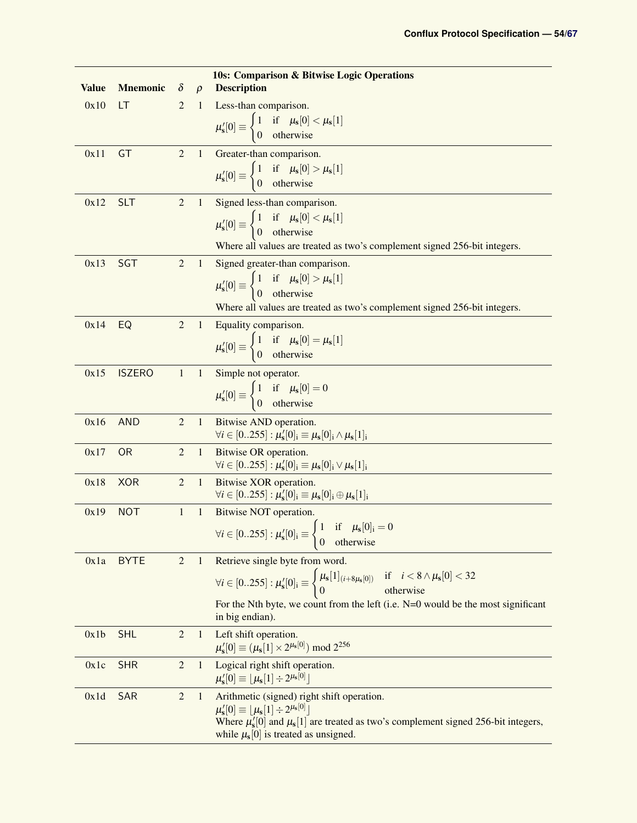| <b>Value</b> | <b>Mnemonic</b> | $\delta$         | $\rho$       | <b>10s: Comparison &amp; Bitwise Logic Operations</b><br><b>Description</b>                                                                                              |
|--------------|-----------------|------------------|--------------|--------------------------------------------------------------------------------------------------------------------------------------------------------------------------|
| 0x10         | LT              | $\overline{2}$   | 1            | Less-than comparison.                                                                                                                                                    |
|              |                 |                  |              | $\mu'_s[0] \equiv \begin{cases} 1 & \text{if } \mu_s[0] < \mu_s[1] \\ 0 & \text{otherwise} \end{cases}$                                                                  |
|              |                 |                  |              |                                                                                                                                                                          |
| 0x11         | GT              | $\overline{c}$   | $\mathbf{1}$ | Greater-than comparison.                                                                                                                                                 |
|              |                 |                  |              | $\mu'_s[0] \equiv \begin{cases} 1 & \text{if } \mu_s[0] > \mu_s[1] \\ 0 & \text{otherwise} \end{cases}$                                                                  |
| 0x12         | <b>SLT</b>      | $\overline{c}$   | 1            | Signed less-than comparison.                                                                                                                                             |
|              |                 |                  |              | $\mu'_s[0] \equiv \begin{cases} 1 & \text{if } \mu_s[0] < \mu_s[1] \\ 0 & \text{otherwise} \end{cases}$                                                                  |
|              |                 |                  |              |                                                                                                                                                                          |
|              |                 |                  |              | Where all values are treated as two's complement signed 256-bit integers.                                                                                                |
| 0x13         | <b>SGT</b>      | $\boldsymbol{2}$ | $\mathbf{1}$ | Signed greater-than comparison.                                                                                                                                          |
|              |                 |                  |              | $\mu'_s[0] \equiv \begin{cases} 1 & \text{if } \mu_s[0] > \mu_s[1] \\ 0 & \text{otherwise} \end{cases}$                                                                  |
|              |                 |                  |              | Where all values are treated as two's complement signed 256-bit integers.                                                                                                |
| 0x14         | EQ              | $\overline{2}$   | $\mathbf{1}$ | Equality comparison.                                                                                                                                                     |
|              |                 |                  |              | $\mu'_{s}[0] \equiv \begin{cases} 1 & \text{if } \mu_{s}[0] = \mu_{s}[1] \\ 0 & \text{otherwise} \end{cases}$                                                            |
|              |                 |                  |              |                                                                                                                                                                          |
| 0x15         | <b>ISZERO</b>   | $\mathbf{1}$     | $\mathbf{1}$ | Simple not operator.                                                                                                                                                     |
|              |                 |                  |              | $\mu'_{s}[0] \equiv \begin{cases} 1 & \text{if } \mu_{s}[0] = 0 \\ 0 & \text{otherwise} \end{cases}$                                                                     |
| 0x16         | <b>AND</b>      | 2                | $\mathbf{1}$ | <b>Bitwise AND operation.</b>                                                                                                                                            |
|              |                 |                  |              | $\forall i \in [0255] : \mu'_{s}[0]_{i} \equiv \mu_{s}[0]_{i} \wedge \mu_{s}[1]_{i}$                                                                                     |
| 0x17         | <b>OR</b>       | $\overline{2}$   | $\mathbf{1}$ | Bitwise OR operation.                                                                                                                                                    |
|              |                 |                  |              | $\forall i \in [0255] : \mu'_{s}[0]_{i} \equiv \mu_{s}[0]_{i} \vee \mu_{s}[1]_{i}$                                                                                       |
| 0x18         | <b>XOR</b>      | $\overline{2}$   | $\mathbf{1}$ | Bitwise XOR operation.<br>$\forall i \in [0255] : \mu'_{s}[0]_{i} \equiv \mu_{s}[0]_{i} \oplus \mu_{s}[1]_{i}$                                                           |
| 0x19         | <b>NOT</b>      | 1                | $\mathbf{1}$ | Bitwise NOT operation.                                                                                                                                                   |
|              |                 |                  |              | $\forall i \in [0255] : \mu'_{s}[0]_{i} \equiv \begin{cases} 1 & \text{if } \mu_{s}[0]_{i} = 0 \\ 0 & \text{otherwise} \end{cases}$<br>otherwise<br>$\boldsymbol{0}$     |
| 0x1a         | <b>BYTE</b>     | $\overline{2}$   | 1            | Retrieve single byte from word.                                                                                                                                          |
|              |                 |                  |              | $\forall i \in [0255] : \mu'_{s}[0]_{i} \equiv \begin{cases} \mu_{s}[1]_{(i+8\mu_{s}[0])} & \text{if } i < 8 \wedge \mu_{s}[0] < 32 \\ 0 & \text{otherwise} \end{cases}$ |
|              |                 |                  |              | For the Nth byte, we count from the left (i.e. $N=0$ would be the most significant<br>in big endian).                                                                    |
| 0x1b         | <b>SHL</b>      | $\overline{2}$   | $\mathbf{1}$ | Left shift operation.                                                                                                                                                    |
|              |                 |                  |              | $\mu'_{s}[0] \equiv (\mu_{s}[1] \times 2^{\mu_{s}[0]}) \text{ mod } 2^{256}$                                                                                             |
| 0x1c         | <b>SHR</b>      | $\overline{2}$   | $\mathbf{1}$ | Logical right shift operation.<br>$\mu'_{s}[0] \equiv \lfloor \mu_{s}[1] \div 2^{\mu_{s}[0]} \rfloor$                                                                    |
| 0x1d         | SAR             | $\overline{2}$   | $\mathbf{1}$ | Arithmetic (signed) right shift operation.                                                                                                                               |
|              |                 |                  |              | $\mu_{s}'[0] \equiv  \mu_{s}[1] \div 2^{\mu_{s}[0]} $<br>Where $\mu'_s[0]$ and $\mu_s[1]$ are treated as two's complement signed 256-bit integers,                       |
|              |                 |                  |              | while $\mu_s[0]$ is treated as unsigned.                                                                                                                                 |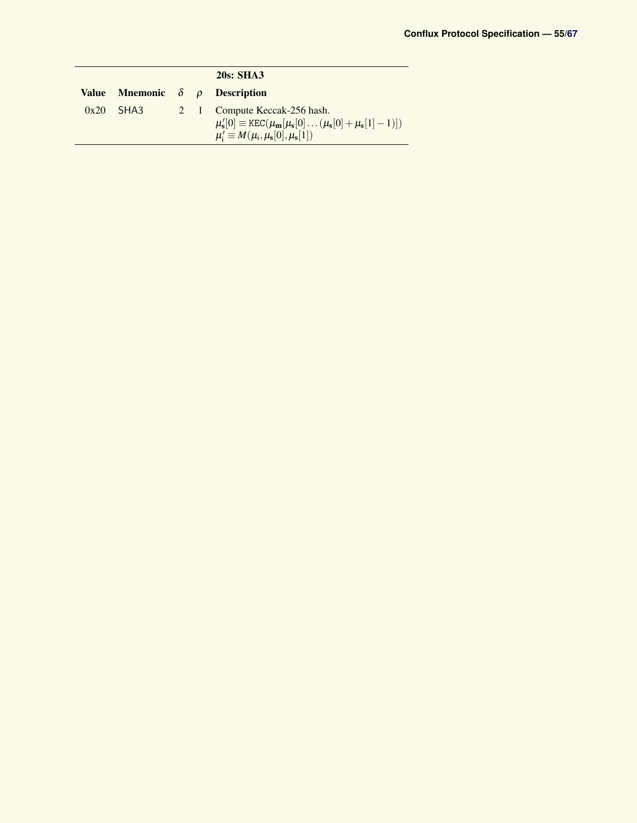|              |      |  | 20s: SHA3                                                                                                                                                               |
|--------------|------|--|-------------------------------------------------------------------------------------------------------------------------------------------------------------------------|
| <b>Value</b> |      |  | <b>Mnemonic</b> $\delta$ $\rho$ <b>Description</b>                                                                                                                      |
| 0x20         | SHA3 |  | 2 1 Compute Keccak-256 hash.<br>$\mu'_s[0] \equiv \text{KEC}(\mu_{\mathbf{m}}[\mu_s[0] \dots (\mu_s[0] + \mu_s[1]-1)])$<br>$\mu'_i \equiv M(\mu_i, \mu_s[0], \mu_s[1])$ |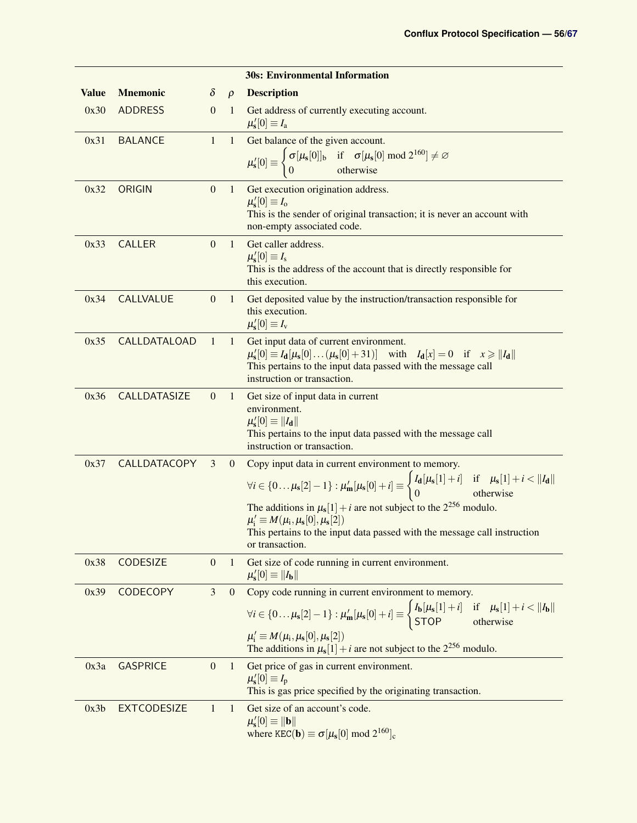|              |                     |                  |                  | <b>30s: Environmental Information</b>                                                                                                                                                                                                                                                                                                                                                                                                           |
|--------------|---------------------|------------------|------------------|-------------------------------------------------------------------------------------------------------------------------------------------------------------------------------------------------------------------------------------------------------------------------------------------------------------------------------------------------------------------------------------------------------------------------------------------------|
| <b>Value</b> | <b>Mnemonic</b>     | $\delta$         | $\rho$           | <b>Description</b>                                                                                                                                                                                                                                                                                                                                                                                                                              |
| 0x30         | <b>ADDRESS</b>      | $\overline{0}$   | $\mathbf{1}$     | Get address of currently executing account.<br>$\mu'_{s}[0] \equiv I_{a}$                                                                                                                                                                                                                                                                                                                                                                       |
| 0x31         | <b>BALANCE</b>      | $\mathbf{1}$     | $\mathbf{1}$     | Get balance of the given account.                                                                                                                                                                                                                                                                                                                                                                                                               |
|              |                     |                  |                  | $\mu'_s[0] \equiv \begin{cases} \sigma[\mu_s[0]]_b & \text{if } \sigma[\mu_s[0] \text{ mod } 2^{160}] \neq \varnothing \\ 0 & \text{otherwise} \end{cases}$                                                                                                                                                                                                                                                                                     |
| 0x32         | ORIGIN              | $\mathbf{0}$     | $\mathbf{1}$     | Get execution origination address.<br>$\mu'_{s}[0] \equiv I_{o}$<br>This is the sender of original transaction; it is never an account with<br>non-empty associated code.                                                                                                                                                                                                                                                                       |
| 0x33         | <b>CALLER</b>       | $\mathbf{0}$     | $\mathbf{1}$     | Get caller address.<br>$\mu'_{s}[0] \equiv I_{s}$<br>This is the address of the account that is directly responsible for<br>this execution.                                                                                                                                                                                                                                                                                                     |
| 0x34         | <b>CALLVALUE</b>    | $\mathbf{0}$     | $\mathbf{1}$     | Get deposited value by the instruction/transaction responsible for<br>this execution.<br>$\mu'_{s}[0] \equiv I_{v}$                                                                                                                                                                                                                                                                                                                             |
| 0x35         | <b>CALLDATALOAD</b> | $\mathbf{1}$     | $\mathbf{1}$     | Get input data of current environment.<br>$\mu'_s[0] \equiv I_d[\mu_s[0] \dots (\mu_s[0] + 31)]$ with $I_d[x] = 0$ if $x \ge   I_d  $<br>This pertains to the input data passed with the message call<br>instruction or transaction.                                                                                                                                                                                                            |
| 0x36         | CALLDATASIZE        | $\mathbf{0}$     | $\mathbf{1}$     | Get size of input data in current<br>environment.<br>$\mu'_{s}[0] \equiv   I_{d}  $<br>This pertains to the input data passed with the message call<br>instruction or transaction.                                                                                                                                                                                                                                                              |
| 0x37         | CALLDATACOPY        | 3                | $\mathbf{0}$     | Copy input data in current environment to memory.<br>$\forall i \in \{0\mu_s[2]-1\} : \mu'_m[\mu_s[0]+i] \equiv \begin{cases} I_d[\mu_s[1]+i] & \text{if } \mu_s[1]+i <   I_d   \\ 0 & \text{otherwise} \end{cases}$<br>The additions in $\mu_s[1] + i$ are not subject to the $2^{256}$ modulo.<br>$\mu'_i \equiv M(\mu_i, \mu_s[0], \mu_s[2])$<br>This pertains to the input data passed with the message call instruction<br>or transaction. |
| 0x38         | CODESIZE            | $\boldsymbol{0}$ | $\mathbf{1}$     | Get size of code running in current environment.<br>$\mu'_{s}[0] \equiv   I_{b}  $                                                                                                                                                                                                                                                                                                                                                              |
| 0x39         | CODECOPY            | 3                | $\boldsymbol{0}$ | Copy code running in current environment to memory.<br>$\forall i \in \{0 \dots \mu_s[2]-1\} : \mu'_m[\mu_s[0]+i] \equiv \begin{cases} I_b[\mu_s[1]+i] & \text{if } \mu_s[1]+i <   I_b   \\ \text{STOP} & \text{otherwise} \end{cases}$<br>$\mu'_i \equiv M(\mu_i, \mu_s[0], \mu_s[2])$<br>The additions in $\mu_s[1] + i$ are not subject to the $2^{256}$ modulo.                                                                             |
| 0x3a         | <b>GASPRICE</b>     | $\boldsymbol{0}$ | $\mathbf{1}$     | Get price of gas in current environment.<br>$\mu'_{\rm s}[0] \equiv I_{\rm p}$<br>This is gas price specified by the originating transaction.                                                                                                                                                                                                                                                                                                   |
| 0x3b         | <b>EXTCODESIZE</b>  | $\mathbf{1}$     | $\mathbf{1}$     | Get size of an account's code.<br>$\mu'_{s}[0] \equiv   \mathbf{b}  $<br>where $KEC(\mathbf{b}) \equiv \sigma[\mu_{s}[0] \text{ mod } 2^{160}]_{c}$                                                                                                                                                                                                                                                                                             |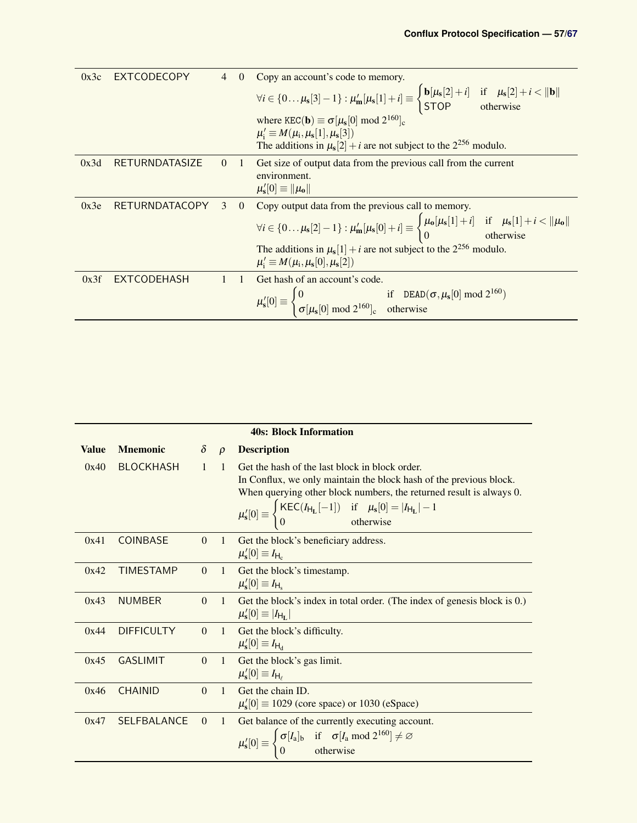| 0x3c | <b>EXTCODECOPY</b>    | $\overline{4}$ | $\Omega$   | Copy an account's code to memory.                                                                                                                                                                      |
|------|-----------------------|----------------|------------|--------------------------------------------------------------------------------------------------------------------------------------------------------------------------------------------------------|
|      |                       |                |            | $\forall i \in \{0 \dots \mu_s[3]-1\} : \mu'_m[\mu_s[1]+i] \equiv \begin{cases} \mathbf{b}[\mu_s[2]+i] & \text{if } \mu_s[2]+i <   \mathbf{b}   \\ \text{STOP} & \text{otherwise} \end{cases}$         |
|      |                       |                |            | where $KEC(\mathbf{b}) \equiv \sigma[\mu_s[0] \bmod 2^{160}]_c$<br>$\mu'_i \equiv M(\mu_i, \mu_s[1], \mu_s[3])$<br>The additions in $\mu_s[2] + i$ are not subject to the $2^{256}$ modulo.            |
|      |                       |                |            |                                                                                                                                                                                                        |
| 0x3d | RETURNDATASIZE        | $\Omega$       | $\sqrt{1}$ | Get size of output data from the previous call from the current                                                                                                                                        |
|      |                       |                |            | environment.                                                                                                                                                                                           |
|      |                       |                |            | $\mu'_{s}[0] \equiv   \mu_{0}  $                                                                                                                                                                       |
| 0x3e | <b>RETURNDATACOPY</b> | 3              | $\Omega$   | Copy output data from the previous call to memory.                                                                                                                                                     |
|      |                       |                |            | $\forall i \in \{0 \dots \mu_s[2]-1\}: \mu'_\mathbf{m}[\mu_s[0]+i] \equiv \begin{cases} \mu_\mathbf{0}[\mu_s[1]+i] & \text{if} \quad \mu_s[1]+i<\ \mu_\mathbf{0}\ \\ 0 & \text{otherwise} \end{cases}$ |
|      |                       |                |            | The additions in $\mu_s[1] + i$ are not subject to the $2^{256}$ modulo.<br>$\mu'_i \equiv M(\mu_i, \mu_s[0], \mu_s[2])$                                                                               |
| 0x3f | <b>EXTCODEHASH</b>    |                |            | Get hash of an account's code.                                                                                                                                                                         |
|      |                       |                |            |                                                                                                                                                                                                        |
|      |                       |                |            | $\mu'_s[0] \equiv \begin{cases} 0 & \text{if } \text{DEAD}(\sigma, \mu_s[0] \text{ mod } 2^{160}) \\ \sigma[\mu_s[0] \text{ mod } 2^{160}]_c & \text{otherwise} \end{cases}$                           |

<span id="page-56-3"></span><span id="page-56-2"></span><span id="page-56-1"></span><span id="page-56-0"></span>

|              |                    |                |                | <b>40s: Block Information</b>                                                                                                                                                                                                                                                                                                     |
|--------------|--------------------|----------------|----------------|-----------------------------------------------------------------------------------------------------------------------------------------------------------------------------------------------------------------------------------------------------------------------------------------------------------------------------------|
| <b>Value</b> | <b>Mnemonic</b>    | $\delta$       | $\rho$         | <b>Description</b>                                                                                                                                                                                                                                                                                                                |
| 0x40         | <b>BLOCKHASH</b>   | $\mathbf{1}$   | $\mathbf{1}$   | Get the hash of the last block in block order.<br>In Conflux, we only maintain the block hash of the previous block.<br>When querying other block numbers, the returned result is always 0.<br>$\mu'_s[0] \equiv \begin{cases} \text{KEC}(I_{H_L}[-1]) & \text{if } \mu_s[0] =  I_{H_L}  - 1 \\ 0 & \text{otherwise} \end{cases}$ |
| 0x41         | <b>COINBASE</b>    | $\theta$       | $\frac{1}{2}$  | Get the block's beneficiary address.<br>$\mu'_{s}[0] \equiv I_{H_c}$                                                                                                                                                                                                                                                              |
| 0x42         | <b>TIMESTAMP</b>   | $\Omega$       |                | 1 Get the block's timestamp.<br>$\mu'_{s}[0] \equiv I_{H_s}$                                                                                                                                                                                                                                                                      |
| 0x43         | <b>NUMBER</b>      | $\Omega$       | $\sim$ 1       | Get the block's index in total order. (The index of genesis block is 0.)<br>$\mu'_{s}[0] \equiv  I_{H_{L}} $                                                                                                                                                                                                                      |
| 0x44         | <b>DIFFICULTY</b>  | $\overline{0}$ |                | 1 Get the block's difficulty.<br>$\mu'_{s}[0] \equiv I_{H_{d}}$                                                                                                                                                                                                                                                                   |
| 0x45         | <b>GASLIMIT</b>    | $\Omega$       |                | 1 Get the block's gas limit.<br>$\mu'_{s}[0] \equiv I_{H_{\ell}}$                                                                                                                                                                                                                                                                 |
| 0x46         | <b>CHAINID</b>     | $\Omega$       | $\overline{1}$ | Get the chain ID.<br>$\mu'_{s}[0] \equiv 1029$ (core space) or 1030 (eSpace)                                                                                                                                                                                                                                                      |
| 0x47         | <b>SELFBALANCE</b> | $\Omega$       | $\mathbf{1}$   | Get balance of the currently executing account.<br>$\mu_s'[0] \equiv \begin{cases} \sigma[I_a]_b & \text{if } \sigma[I_a \text{ mod } 2^{160}] \neq \varnothing \\ 0 & \text{otherwise} \end{cases}$                                                                                                                              |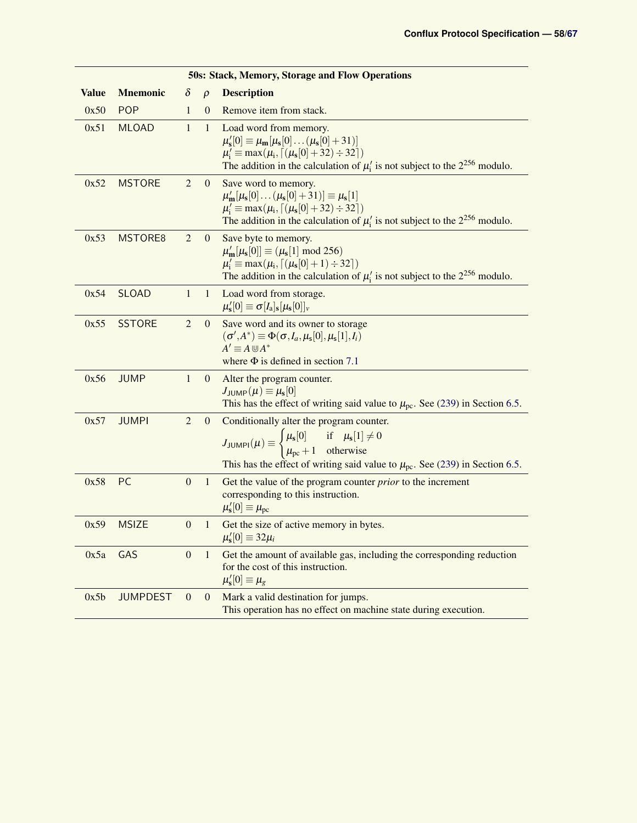<span id="page-57-2"></span><span id="page-57-1"></span><span id="page-57-0"></span>

| <b>50s: Stack, Memory, Storage and Flow Operations</b> |                 |                  |                  |                                                                                                                                                                                                                                                                                                      |  |  |  |  |
|--------------------------------------------------------|-----------------|------------------|------------------|------------------------------------------------------------------------------------------------------------------------------------------------------------------------------------------------------------------------------------------------------------------------------------------------------|--|--|--|--|
| <b>Value</b>                                           | <b>Mnemonic</b> | $\delta$         | $\rho$           | <b>Description</b>                                                                                                                                                                                                                                                                                   |  |  |  |  |
| 0x50                                                   | <b>POP</b>      | 1                | $\mathbf{0}$     | Remove item from stack.                                                                                                                                                                                                                                                                              |  |  |  |  |
| 0x51                                                   | <b>MLOAD</b>    | 1                | 1                | Load word from memory.<br>$\mu'_s[0] \equiv \mu_{\mathbf{m}}[\mu_s[0] \dots (\mu_s[0] + 31)]$<br>$\mu'_i \equiv \max(\mu_i, \lceil (\mu_s[0] + 32) \div 32 \rceil)$<br>The addition in the calculation of $\mu_i'$ is not subject to the $2^{256}$ modulo.                                           |  |  |  |  |
| 0x52                                                   | <b>MSTORE</b>   | $\overline{2}$   | $\mathbf{0}$     | Save word to memory.<br>$\mu'_{\mathbf{m}}[\mu_{\mathbf{s}}[0] \dots (\mu_{\mathbf{s}}[0] + 31)] \equiv \mu_{\mathbf{s}}[1]$<br>$\mu'_i \equiv \max(\mu_i, \lceil (\mu_s[0] + 32) \div 32 \rceil)$<br>The addition in the calculation of $\mu_i$ is not subject to the $2^{256}$ modulo.             |  |  |  |  |
| 0x53                                                   | MSTORE8         | 2                | $\boldsymbol{0}$ | Save byte to memory.<br>$\mu_{\mathbf{m}}'[\mu_{\mathbf{s}}[0]] \equiv (\mu_{\mathbf{s}}[1] \text{ mod } 256)$<br>$\mu'_i \equiv \max(\mu_i, \lceil (\mu_s[0]+1) \div 32 \rceil)$<br>The addition in the calculation of $\mu'_i$ is not subject to the $2^{256}$ modulo.                             |  |  |  |  |
| 0x54                                                   | <b>SLOAD</b>    | $\mathbf{1}$     | $\mathbf{1}$     | Load word from storage.<br>$\mu'_{s}[0] \equiv \sigma[I_{a}]_{s}[\mu_{s}[0]]_{\nu}$                                                                                                                                                                                                                  |  |  |  |  |
| 0x55                                                   | <b>SSTORE</b>   | $\overline{2}$   | $\mathbf{0}$     | Save word and its owner to storage<br>$(\sigma', A^*) \equiv \Phi(\sigma, I_a, \mu_s[0], \mu_s[1], I_i)$<br>$A' \equiv A \cup A^*$<br>where $\Phi$ is defined in section 7.1                                                                                                                         |  |  |  |  |
| 0x56                                                   | <b>JUMP</b>     | $\mathbf{1}$     | $\mathbf{0}$     | Alter the program counter.<br>$J_{\mathsf{JUMP}}(\mu) \equiv \mu_{\mathbf{s}}[0]$<br>This has the effect of writing said value to $\mu_{\text{pc}}$ . See (239) in Section 6.5.                                                                                                                      |  |  |  |  |
| 0x57                                                   | <b>JUMPI</b>    | $\overline{2}$   | $\mathbf{0}$     | Conditionally alter the program counter.<br>$J_{\text{JUMPI}}(\mu) \equiv \begin{cases} \mu_{\text{s}}[0] & \text{if } \mu_{\text{s}}[1] \neq 0 \\ \mu_{\text{pc}} + 1 & \text{otherwise} \end{cases}$<br>This has the effect of writing said value to $\mu_{\text{pc}}$ . See (239) in Section 6.5. |  |  |  |  |
| 0x58                                                   | PC              | $\boldsymbol{0}$ | $1\,$            | Get the value of the program counter <i>prior</i> to the increment<br>corresponding to this instruction.<br>$\mu'_{s}[0] \equiv \mu_{pc}$                                                                                                                                                            |  |  |  |  |
| 0x59                                                   | <b>MSIZE</b>    | $\boldsymbol{0}$ | 1                | Get the size of active memory in bytes.<br>$\mu'_s[0] \equiv 32\mu_i$                                                                                                                                                                                                                                |  |  |  |  |
| 0x5a                                                   | GAS             | $\mathbf{0}$     | $\mathbf{1}$     | Get the amount of available gas, including the corresponding reduction<br>for the cost of this instruction.<br>$\mu'_{s}[0] \equiv \mu_{g}$                                                                                                                                                          |  |  |  |  |
| 0x5b                                                   | <b>JUMPDEST</b> | $\boldsymbol{0}$ | $\mathbf{0}$     | Mark a valid destination for jumps.<br>This operation has no effect on machine state during execution.                                                                                                                                                                                               |  |  |  |  |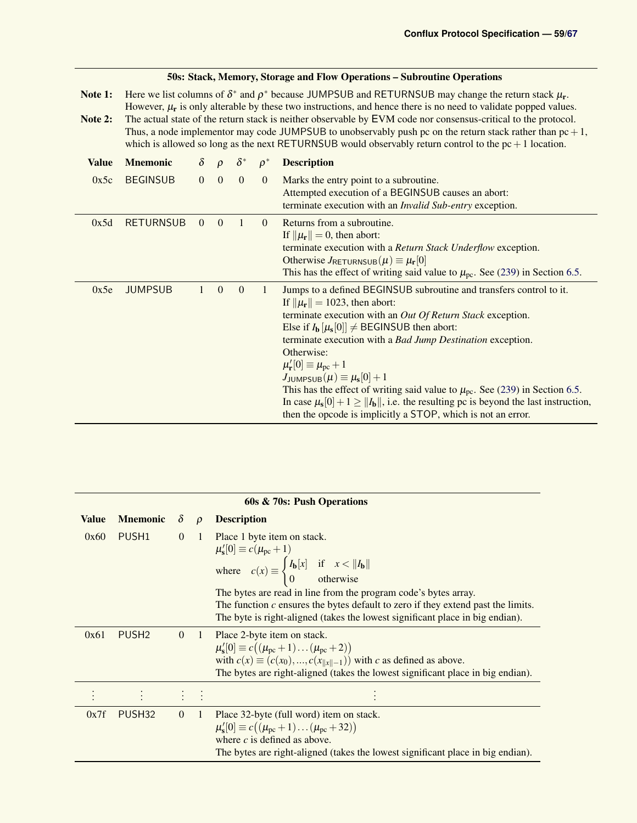<span id="page-58-1"></span>

|                    | 50s: Stack, Memory, Storage and Flow Operations – Subroutine Operations |                                                                                                                                                                                                                                                                                                                                                                                                                                                                                                                                                                                          |                |                |                |                                                                                                                                                                                                                                                                                                                                                                                                                                                                                                                                                                                                                                                                                                               |  |  |  |  |  |  |  |
|--------------------|-------------------------------------------------------------------------|------------------------------------------------------------------------------------------------------------------------------------------------------------------------------------------------------------------------------------------------------------------------------------------------------------------------------------------------------------------------------------------------------------------------------------------------------------------------------------------------------------------------------------------------------------------------------------------|----------------|----------------|----------------|---------------------------------------------------------------------------------------------------------------------------------------------------------------------------------------------------------------------------------------------------------------------------------------------------------------------------------------------------------------------------------------------------------------------------------------------------------------------------------------------------------------------------------------------------------------------------------------------------------------------------------------------------------------------------------------------------------------|--|--|--|--|--|--|--|
| Note 1:<br>Note 2: |                                                                         | Here we list columns of $\delta^*$ and $\rho^*$ because JUMPSUB and RETURNSUB may change the return stack $\mu_r$ .<br>However, $\mu_r$ is only alterable by these two instructions, and hence there is no need to validate popped values.<br>The actual state of the return stack is neither observable by EVM code nor consensus-critical to the protocol.<br>Thus, a node implementor may code JUMPSUB to unobservably push pc on the return stack rather than $pc + 1$ ,<br>which is allowed so long as the next RETURNSUB would observably return control to the $pc + 1$ location. |                |                |                |                                                                                                                                                                                                                                                                                                                                                                                                                                                                                                                                                                                                                                                                                                               |  |  |  |  |  |  |  |
| <b>Value</b>       | <b>Mnemonic</b>                                                         | $\delta$                                                                                                                                                                                                                                                                                                                                                                                                                                                                                                                                                                                 | $\rho$         | $\delta^*$     | $\rho^*$       | <b>Description</b>                                                                                                                                                                                                                                                                                                                                                                                                                                                                                                                                                                                                                                                                                            |  |  |  |  |  |  |  |
| 0x5c               | <b>BEGINSUB</b>                                                         | $\Omega$                                                                                                                                                                                                                                                                                                                                                                                                                                                                                                                                                                                 | $\overline{0}$ | $\theta$       | $\Omega$       | Marks the entry point to a subroutine.<br>Attempted execution of a BEGINSUB causes an abort:<br>terminate execution with an <i>Invalid Sub-entry</i> exception.                                                                                                                                                                                                                                                                                                                                                                                                                                                                                                                                               |  |  |  |  |  |  |  |
| 0x5d               | <b>RETURNSUB</b>                                                        | $\overline{0}$                                                                                                                                                                                                                                                                                                                                                                                                                                                                                                                                                                           | $\overline{0}$ | $\overline{1}$ | $\overline{0}$ | Returns from a subroutine.<br>If $\ \mu_{\mathbf{r}}\  = 0$ , then abort:<br>terminate execution with a Return Stack Underflow exception.<br>Otherwise $J_{\text{RETURNSUB}}(\mu) \equiv \mu_{\text{r}}[0]$<br>This has the effect of writing said value to $\mu_{\text{pc}}$ . See (239) in Section 6.5.                                                                                                                                                                                                                                                                                                                                                                                                     |  |  |  |  |  |  |  |
| 0x5e               | <b>JUMPSUB</b>                                                          | $\mathbf{1}$                                                                                                                                                                                                                                                                                                                                                                                                                                                                                                                                                                             | $\theta$       | $\theta$       | $\mathbf{1}$   | Jumps to a defined BEGINSUB subroutine and transfers control to it.<br>If $\ \mu_{\mathbf{r}}\  = 1023$ , then abort:<br>terminate execution with an Out Of Return Stack exception.<br>Else if $I_b \left[ \mu_s[0] \right] \neq$ BEGINSUB then abort:<br>terminate execution with a Bad Jump Destination exception.<br>Otherwise:<br>$\mu_{\mathbf{r}}^{\prime}[0] \equiv \mu_{\rm pc} + 1$<br>$J_{\text{JUMPSUB}}(\mu) \equiv \mu_{\rm s}[0] + 1$<br>This has the effect of writing said value to $\mu_{\text{pc}}$ . See (239) in Section 6.5.<br>In case $\mu_s[0]+1 \ge   I_b  $ , i.e. the resulting pc is beyond the last instruction,<br>then the opcode is implicitly a STOP, which is not an error. |  |  |  |  |  |  |  |

<span id="page-58-0"></span>

|              | 60s & 70s: Push Operations |                |                                |                                                                                                                                                                                                                                                                                                                                                                                                                              |  |  |  |  |  |
|--------------|----------------------------|----------------|--------------------------------|------------------------------------------------------------------------------------------------------------------------------------------------------------------------------------------------------------------------------------------------------------------------------------------------------------------------------------------------------------------------------------------------------------------------------|--|--|--|--|--|
| <b>Value</b> | <b>Mnemonic</b> $\delta$   |                | $\rho$                         | <b>Description</b>                                                                                                                                                                                                                                                                                                                                                                                                           |  |  |  |  |  |
| 0x60         | PUSH1 0                    |                |                                | 1 Place 1 byte item on stack.<br>$\mu'_{s}[0] \equiv c(\mu_{pc} + 1)$<br>where $c(x) \equiv \begin{cases} I_{b}[x] & \text{if } x <   I_{b}   \\ 0 & \text{otherwise} \end{cases}$<br>The bytes are read in line from the program code's bytes array.<br>The function $c$ ensures the bytes default to zero if they extend past the limits.<br>The byte is right-aligned (takes the lowest significant place in big endian). |  |  |  |  |  |
| 0x61         | PUSH <sub>2</sub>          | $\overline{0}$ | -1                             | Place 2-byte item on stack.<br>$\mu_{\rm s}'[0] \equiv c((\mu_{\rm pc}+1)\dots(\mu_{\rm pc}+2))$<br>with $c(x) \equiv (c(x_0),,c(x_{\ x\ -1}))$ with c as defined as above.<br>The bytes are right-aligned (takes the lowest significant place in big endian).                                                                                                                                                               |  |  |  |  |  |
|              |                            |                |                                |                                                                                                                                                                                                                                                                                                                                                                                                                              |  |  |  |  |  |
| 0x7f         | PUSH32                     | $\overline{0}$ | $\left\langle 1 \right\rangle$ | Place 32-byte (full word) item on stack.<br>$\mu'_{s}[0] \equiv c((\mu_{pc} + 1) \dots (\mu_{pc} + 32))$<br>where $c$ is defined as above.<br>The bytes are right-aligned (takes the lowest significant place in big endian).                                                                                                                                                                                                |  |  |  |  |  |

# 50s: Stack, Memory, Storage and Flow Operations – Subroutine Operations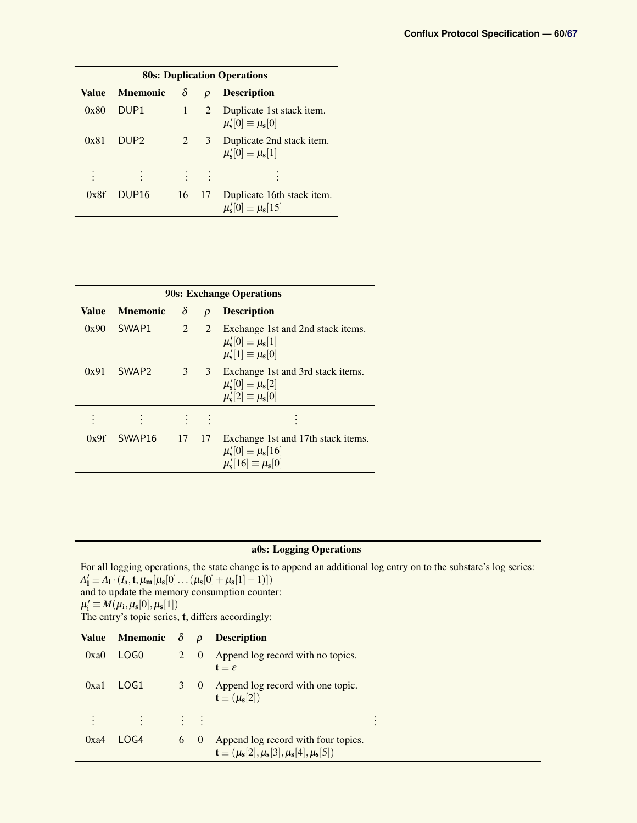|       | <b>80s: Duplication Operations</b> |           |                     |                                                                        |  |  |  |  |  |  |  |
|-------|------------------------------------|-----------|---------------------|------------------------------------------------------------------------|--|--|--|--|--|--|--|
| Value | <b>Mnemonic</b>                    | δ         | $\boldsymbol{\rho}$ | <b>Description</b>                                                     |  |  |  |  |  |  |  |
| 0x80  | DUP <sub>1</sub>                   | $1 \quad$ |                     | 2 Duplicate 1st stack item.<br>$\mu_{\rm s}'[0] \equiv \mu_{\rm s}[0]$ |  |  |  |  |  |  |  |
| 0x81  | DUP <sub>2</sub>                   | 2         |                     | 3 Duplicate 2nd stack item.<br>$\mu_{\rm s}'[0] \equiv \mu_{\rm s}[1]$ |  |  |  |  |  |  |  |
|       |                                    |           |                     |                                                                        |  |  |  |  |  |  |  |
| 0x8f  | DUP <sub>16</sub>                  | 16        | 17                  | Duplicate 16th stack item.<br>$\mu_{\rm s}'[0] \equiv \mu_{\rm s}[15]$ |  |  |  |  |  |  |  |

|              | <b>90s: Exchange Operations</b> |                |        |                                                                                                            |  |  |  |  |  |  |  |
|--------------|---------------------------------|----------------|--------|------------------------------------------------------------------------------------------------------------|--|--|--|--|--|--|--|
| <b>Value</b> | <b>Mnemonic</b>                 | $\delta$       | $\rho$ | <b>Description</b>                                                                                         |  |  |  |  |  |  |  |
| 0x90         | SWAP1                           | $\overline{2}$ | 2      | Exchange 1st and 2nd stack items.<br>$\mu_{s}'[0] \equiv \mu_{s}[1]$<br>$\mu'_{s}[1] \equiv \mu_{s}[0]$    |  |  |  |  |  |  |  |
| 0x91         | SWAP <sub>2</sub>               | 3              | 3      | Exchange 1st and 3rd stack items.<br>$\mu'_{s}[0] \equiv \mu_{s}[2]$<br>$\mu'_{s}[2] \equiv \mu_{s}[0]$    |  |  |  |  |  |  |  |
|              |                                 |                |        |                                                                                                            |  |  |  |  |  |  |  |
| 0x9f         | SWAP <sub>16</sub>              | 17             | 17     | Exchange 1st and 17th stack items.<br>$\mu_{s}'[0] \equiv \mu_{s}[16]$<br>$\mu'_{s}[16] \equiv \mu_{s}[0]$ |  |  |  |  |  |  |  |

### a0s: Logging Operations

For all logging operations, the state change is to append an additional log entry on to the substate's log series:  $A'_1 \equiv A_1 \cdot (I_a, t, \mu_m[\mu_s[0] \dots (\mu_s[0] + \mu_s[1]-1)])$ and to update the memory consumption counter:  $\mu'_i \equiv M(\mu_i, \mu_s[0], \mu_s[1])$ The entry's topic series, t, differs accordingly:  $\overline{\mathbf{v}}$  M  $\overline{\mathbf{v}}$   $\overline{\mathbf{v}}$ 

| Value | <b>Mnemonic</b> $\delta$ |   | $\rho$                   | <b>Description</b>                                                                                                                              |  |
|-------|--------------------------|---|--------------------------|-------------------------------------------------------------------------------------------------------------------------------------------------|--|
| 0xa0  | LOG <sub>0</sub>         | 2 | $\overline{0}$           | Append log record with no topics.<br>$t \equiv \varepsilon$                                                                                     |  |
| 0xa1  | LOG1                     |   | $\theta$                 | Append log record with one topic.<br>$\mathbf{t} \equiv (\mu_{\mathbf{s}}[2])$                                                                  |  |
|       | $\sim$                   |   | <b>Contract Contract</b> |                                                                                                                                                 |  |
| 0xa4  | LOG4                     | 6 | $\sim 0$                 | Append log record with four topics.<br>$\mathbf{t} \equiv (\mu_{\mathbf{s}}[2], \mu_{\mathbf{s}}[3], \mu_{\mathbf{s}}[4], \mu_{\mathbf{s}}[5])$ |  |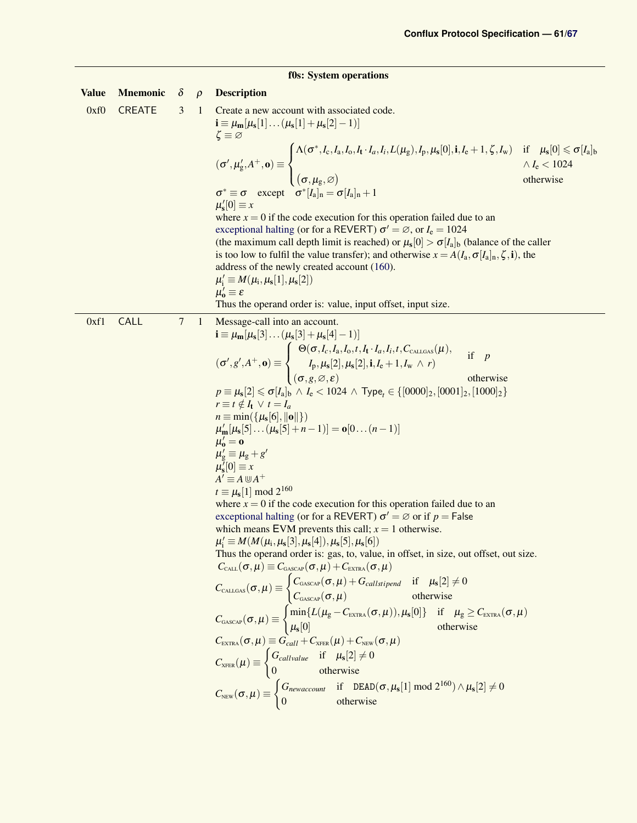### f0s: System operations

<span id="page-60-0"></span>

| <b>Value</b> | <b>Mnemonic</b> | $\delta$ | $\rho$ | <b>Description</b>                                                                                                                                                                                                                                                                                                                                                                                                                                                                                                                                                                                                                                                                                                                                                                                                                                                                                                                                                                                                                                                                                                                                                                                                                                                                                                                                                                                                                                                                                                                                                                                                                                                                                                                                                                                                                                                                                                                                                                                                                                                                                                                                                                                                                                       |
|--------------|-----------------|----------|--------|----------------------------------------------------------------------------------------------------------------------------------------------------------------------------------------------------------------------------------------------------------------------------------------------------------------------------------------------------------------------------------------------------------------------------------------------------------------------------------------------------------------------------------------------------------------------------------------------------------------------------------------------------------------------------------------------------------------------------------------------------------------------------------------------------------------------------------------------------------------------------------------------------------------------------------------------------------------------------------------------------------------------------------------------------------------------------------------------------------------------------------------------------------------------------------------------------------------------------------------------------------------------------------------------------------------------------------------------------------------------------------------------------------------------------------------------------------------------------------------------------------------------------------------------------------------------------------------------------------------------------------------------------------------------------------------------------------------------------------------------------------------------------------------------------------------------------------------------------------------------------------------------------------------------------------------------------------------------------------------------------------------------------------------------------------------------------------------------------------------------------------------------------------------------------------------------------------------------------------------------------------|
| 0xf0         | <b>CREATE</b>   | 3        | 1      | Create a new account with associated code.<br>$\mathbf{i} \equiv \mu_{\mathbf{m}}[\mu_{\mathbf{s}}[1] \dots (\mu_{\mathbf{s}}[1] + \mu_{\mathbf{s}}[2] - 1)]$<br>$\zeta \equiv \varnothing$<br>$(\sigma', \mu'_g, A^+, \mathbf{o}) \equiv \begin{cases} \Lambda(\sigma^*, I_c, I_a, I_0, I_t \cdot I_a, I_i, L(\mu_g), I_p, \mu_s[0], \mathbf{i}, I_e + 1, \zeta, I_w) & \text{if } \mu_s[0] \leq \sigma[I_a]_b \\ (\sigma, \mu_g, \varnothing) & \wedge I_e < 1024 \\ (\sigma, \mu_g, \varnothing) & \text{otherwise} \end{cases}$<br>$\sigma^* \equiv \sigma$ except $\sigma^* [I_a]_n = \sigma [I_a]_n + 1$                                                                                                                                                                                                                                                                                                                                                                                                                                                                                                                                                                                                                                                                                                                                                                                                                                                                                                                                                                                                                                                                                                                                                                                                                                                                                                                                                                                                                                                                                                                                                                                                                                           |
|              |                 |          |        | $\mu'_{s}[0] \equiv x$<br>where $x = 0$ if the code execution for this operation failed due to an<br>exceptional halting (or for a REVERT) $\sigma' = \emptyset$ , or $I_e = 1024$<br>(the maximum call depth limit is reached) or $\mu_s[0] > \sigma[I_a]_b$ (balance of the caller<br>is too low to fulfil the value transfer); and otherwise $x = A(I_a, \sigma[I_a]_n, \zeta, i)$ , the<br>address of the newly created account (160).<br>$\mu'_i \equiv M(\mu_i, \mu_s[1], \mu_s[2])$<br>$\mu'_{o} \equiv \varepsilon$<br>Thus the operand order is: value, input offset, input size.                                                                                                                                                                                                                                                                                                                                                                                                                                                                                                                                                                                                                                                                                                                                                                                                                                                                                                                                                                                                                                                                                                                                                                                                                                                                                                                                                                                                                                                                                                                                                                                                                                                               |
| 0xf1         | CALL            | $\tau$   | 1      | Message-call into an account.                                                                                                                                                                                                                                                                                                                                                                                                                                                                                                                                                                                                                                                                                                                                                                                                                                                                                                                                                                                                                                                                                                                                                                                                                                                                                                                                                                                                                                                                                                                                                                                                                                                                                                                                                                                                                                                                                                                                                                                                                                                                                                                                                                                                                            |
|              |                 |          |        | $\mathbf{i} \equiv \mu_{\mathbf{m}}[\mu_{\mathbf{s}}[3] \dots (\mu_{\mathbf{s}}[3] + \mu_{\mathbf{s}}[4] - 1)]$<br>$(\sigma', g', A^+, \mathbf{0}) \equiv \begin{cases} \Theta(\sigma, I_c, I_a, I_0, t, I_t \cdot I_a, I_i, t, C_{\text{CALGAS}}(\mu)), & \text{if } p \\ I_p, \mu_s[2], \mu_s[2], \mathbf{i}, I_e + 1, I_w \wedge r) & \text{otherwise} \end{cases}$<br>$p \equiv \mu_{\rm s}[2] \leqslant \sigma[I_{\rm a}]_{\rm b} \, \wedge \, I_{\rm e} < 1024 \, \wedge \, {\rm Type}_{\it f} \in \{[0000]_2, [0001]_2, [1000]_2\}$<br>$r \equiv t \notin I_{t} \vee t = I_{a}$<br>$n \equiv \min(\{\mu_s[6],   \mathbf{o}  \})$<br>$\mu'_m[\mu_s[5] \dots (\mu_s[5] + n - 1)] = o[0 \dots (n-1)]$<br>$\mu'_{o} = \mathbf{0}$<br>$\mu'_{\rm g} \equiv \mu_{\rm g} + g'$<br>$\mu_s^{\overline{\jmath}}[0] \equiv x$<br>$A' \equiv A \cup A^+$<br>$t \equiv \mu_s[1] \bmod 2^{160}$<br>where $x = 0$ if the code execution for this operation failed due to an<br>exceptional halting (or for a REVERT) $\sigma' = \emptyset$ or if $p =$ False<br>which means EVM prevents this call; $x = 1$ otherwise.<br>$\mu'_{i} \equiv M(M(\mu_{i}, \mu_{s}[3], \mu_{s}[4]), \mu_{s}[5], \mu_{s}[6])$<br>Thus the operand order is: gas, to, value, in offset, in size, out offset, out size.<br>$C_{\text{call}}(\sigma, \mu) \equiv C_{\text{GASCAP}}(\sigma, \mu) + C_{\text{EXTRA}}(\sigma, \mu)$<br>$\begin{aligned} C_{\textsc{cal}}(\sigma,\mu) & \equiv \begin{cases} C_{\textsc{cal}}(\sigma,\mu) + G_{\textsc{cal}}(\sigma,\mu) & \text{if} \quad \mu_{\text{s}}[2] \neq 0 \\ C_{\textsc{cal}}(\sigma,\mu) & \text{otherwise} \end{cases} \\ C_{\textsc{cascap}}(\sigma,\mu) & \equiv \begin{cases} \min\{L(\mu_{\text{g}}-C_{\textsc{extra}}(\sigma,\mu)), \mu_{\text{s}}[0]\} & \text{if} \quad \mu_{\text{g}} \geq C_{\textsc{extra}}(\sigma,\mu) \\ \mu_{\text{s}}[0] & \text{otherwise} \end{cases} \\ C_{$<br>$C_{\text{XFER}}(\mu) \equiv \begin{cases} G_{callvalue} & \text{if } \mu_s[2] \neq 0 \\ 0 & \text{otherwise} \end{cases}$<br>$C_{\text{NEW}}(\sigma, \mu) \equiv \begin{cases} G_{\text{newaccount}} & \text{if} \quad \text{DEAD}(\sigma, \mu_s[1] \mod 2^{160}) \wedge \mu_s[2] \neq 0 \\ 0 & \text{otherwise} \end{cases}$ |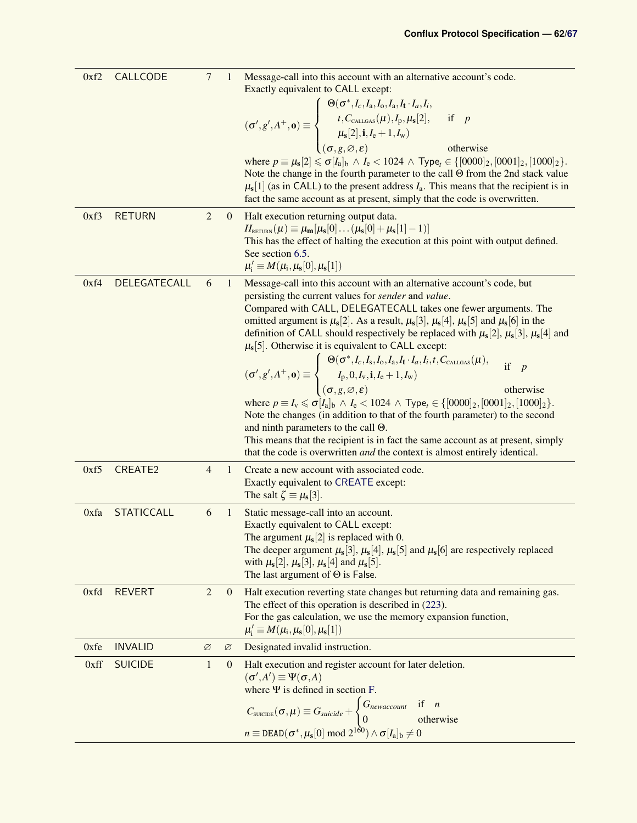<span id="page-61-1"></span><span id="page-61-0"></span>

| 0xf2 | <b>CALLCODE</b>   | $\overline{7}$ | 1            | Message-call into this account with an alternative account's code.<br>Exactly equivalent to CALL except:<br>Exactly equivalent to $C_1 = 1, 1, 1, 1, 1, 1, $<br>$(\sigma', g', A^+, \mathbf{0}) \equiv \begin{cases} \Theta(\sigma^*, I_c, I_a, I_0, I_a, I_t \cdot I_a, I_i, \\ t, C_{\text{CALIGSAS}}(\mu), I_p, \mu_s[2], & \text{if } p \\ \mu_s[2], \mathbf{i}, I_e + 1, I_w) \\ (\sigma, g, \emptyset, \varepsilon) & \text{otherwise} \end{cases}$<br>where $p \equiv \mu_s[2] \le \sigma[I_a]_b \wedge I_e < 1024 \wedge \text{Type}_t \in \{[0000]_2, [0001]_2, [1000]_2\}.$<br>Note the change in the fourth parameter to the call $\Theta$ from the 2nd stack value<br>$\mu$ <sub>s</sub> [1] (as in CALL) to the present address $I_a$ . This means that the recipient is in<br>fact the same account as at present, simply that the code is overwritten.                                                                                                                                                                                                                                                                                   |
|------|-------------------|----------------|--------------|---------------------------------------------------------------------------------------------------------------------------------------------------------------------------------------------------------------------------------------------------------------------------------------------------------------------------------------------------------------------------------------------------------------------------------------------------------------------------------------------------------------------------------------------------------------------------------------------------------------------------------------------------------------------------------------------------------------------------------------------------------------------------------------------------------------------------------------------------------------------------------------------------------------------------------------------------------------------------------------------------------------------------------------------------------------------------------------------------------------------------------------------------------|
| 0xf3 | <b>RETURN</b>     | $\overline{2}$ | $\mathbf{0}$ | Halt execution returning output data.<br>$H_{\text{RETURN}}(\mu) \equiv \mu_{\mathbf{m}}[\mu_{\mathbf{s}}[0] \dots (\mu_{\mathbf{s}}[0] + \mu_{\mathbf{s}}[1]-1)]$<br>This has the effect of halting the execution at this point with output defined.<br>See section 6.5.<br>$\mu'_i \equiv M(\mu_i, \mu_s[0], \mu_s[1])$                                                                                                                                                                                                                                                                                                                                                                                                                                                                                                                                                                                                                                                                                                                                                                                                                               |
| 0xf4 | DELEGATECALL      | 6              | $\mathbf{1}$ | Message-call into this account with an alternative account's code, but<br>persisting the current values for sender and value.<br>Compared with CALL, DELEGATECALL takes one fewer arguments. The<br>omitted argument is $\mu_s[2]$ . As a result, $\mu_s[3]$ , $\mu_s[4]$ , $\mu_s[5]$ and $\mu_s[6]$ in the<br>definition of CALL should respectively be replaced with $\mu_s[2], \mu_s[3], \mu_s[4]$ and<br>$\mu$ <sub>s</sub> [5]. Otherwise it is equivalent to CALL except:<br>$(\sigma', g', A^+, \mathbf{o}) \equiv \begin{cases} \Theta(\sigma^*, I_c, I_s, I_0, I_a, I_t \cdot I_a, I_i, t, C_{\text{CALGAS}}(\mu)), & \text{if } p \\ I_p, 0, I_v, \mathbf{i}, I_e + 1, I_w) & \text{otherwise} \end{cases}$<br>where $p \equiv I_v \leq \sigma[I_a]_b \wedge I_e < 1024 \wedge \text{Type}_t \in \{ [0000]_2, [0001]_2, [1000]_2 \}.$<br>Note the changes (in addition to that of the fourth parameter) to the second<br>and ninth parameters to the call $\Theta$ .<br>This means that the recipient is in fact the same account as at present, simply<br>that the code is overwritten <i>and</i> the context is almost entirely identical. |
| 0xf5 | <b>CREATE2</b>    | $\overline{4}$ | 1            | Create a new account with associated code.<br>Exactly equivalent to CREATE except:<br>The salt $\zeta \equiv \mu_s[3]$ .                                                                                                                                                                                                                                                                                                                                                                                                                                                                                                                                                                                                                                                                                                                                                                                                                                                                                                                                                                                                                                |
| 0xfa | <b>STATICCALL</b> | 6              | $\mathbf{1}$ | Static message-call into an account.<br>Exactly equivalent to CALL except:<br>The argument $\mu_s[2]$ is replaced with 0.<br>The deeper argument $\mu_s[3], \mu_s[4], \mu_s[5]$ and $\mu_s[6]$ are respectively replaced<br>with $\mu_s[2], \mu_s[3], \mu_s[4]$ and $\mu_s[5]$ .<br>The last argument of $\Theta$ is False.                                                                                                                                                                                                                                                                                                                                                                                                                                                                                                                                                                                                                                                                                                                                                                                                                             |
| 0xfd | <b>REVERT</b>     | $\overline{2}$ | $\mathbf{0}$ | Halt execution reverting state changes but returning data and remaining gas.<br>The effect of this operation is described in (223).<br>For the gas calculation, we use the memory expansion function,<br>$\mu'_i \equiv M(\mu_i, \mu_s[0], \mu_s[1])$                                                                                                                                                                                                                                                                                                                                                                                                                                                                                                                                                                                                                                                                                                                                                                                                                                                                                                   |
| 0xfe | <b>INVALID</b>    | $\varnothing$  | Ø            | Designated invalid instruction.                                                                                                                                                                                                                                                                                                                                                                                                                                                                                                                                                                                                                                                                                                                                                                                                                                                                                                                                                                                                                                                                                                                         |
| 0xff | <b>SUICIDE</b>    | $\mathbf{1}$   | $\mathbf{0}$ | Halt execution and register account for later deletion.<br>$(\sigma', A') \equiv \Psi(\sigma, A)$<br>where $\Psi$ is defined in section F.<br>$C_{\text{success}}(\sigma, \mu) \equiv G_{\text{suicide}} + \begin{cases} G_{\text{newaccount}} & \text{if } n \\ 0 & \text{otherwise} \end{cases}$<br>$n \equiv \text{DEAD}(\sigma^*, \mu_s[0] \bmod 2^{1\delta_0}) \wedge \sigma[I_a]_b \neq 0$                                                                                                                                                                                                                                                                                                                                                                                                                                                                                                                                                                                                                                                                                                                                                        |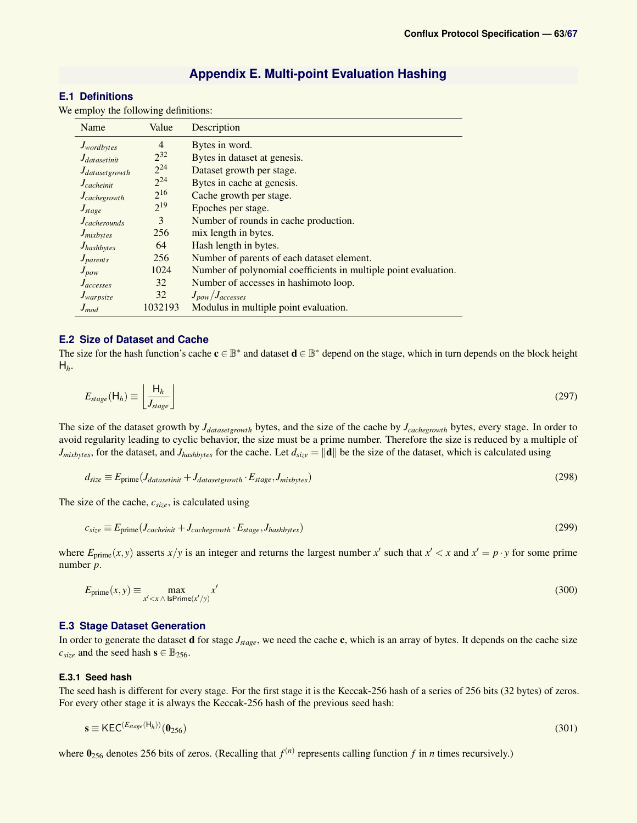### **Appendix E. Multi-point Evaluation Hashing**

### <span id="page-62-1"></span><span id="page-62-0"></span>**E.1 Definitions**

We employ the following definitions:

| Name                     | Value          | Description                                                     |
|--------------------------|----------------|-----------------------------------------------------------------|
| J <sub>wordbytes</sub>   | $\overline{4}$ | Bytes in word.                                                  |
| $J_{datasetinit}$        | $2^{32}$       | Bytes in dataset at genesis.                                    |
| $J_{dataset growth}$     | $2^{24}$       | Dataset growth per stage.                                       |
| $J_{\text{c}acheinit}$   | $2^{24}$       | Bytes in cache at genesis.                                      |
| $J_{cache growth}$       | $2^{16}$       | Cache growth per stage.                                         |
| $J_{stage}$              | $2^{19}$       | Epoches per stage.                                              |
| $J_{\text{cacherounds}}$ | 3              | Number of rounds in cache production.                           |
| J <sub>mixbytes</sub>    | 256            | mix length in bytes.                                            |
| $J_{hashbytes}$          | 64             | Hash length in bytes.                                           |
| $J_{parents}$            | 256            | Number of parents of each dataset element.                      |
| $J_{pow}$                | 1024           | Number of polynomial coefficients in multiple point evaluation. |
| $J_{accesses}$           | 32             | Number of accesses in hashimoto loop.                           |
| $J_{warpsize}$           | 32             | $J_{pow}/J_{accesses}$                                          |
| $J_{mod}$                | 1032193        | Modulus in multiple point evaluation.                           |

### <span id="page-62-2"></span>**E.2 Size of Dataset and Cache**

The size for the hash function's cache  $c \in \mathbb{B}^*$  and dataset  $d \in \mathbb{B}^*$  depend on the stage, which in turn depends on the block height  $H_h$ .

$$
E_{stage}(\mathsf{H}_h) \equiv \left\lfloor \frac{\mathsf{H}_h}{J_{stage}} \right\rfloor \tag{297}
$$

The size of the dataset growth by *Jdatasetgrowth* bytes, and the size of the cache by *Jcachegrowth* bytes, every stage. In order to avoid regularity leading to cyclic behavior, the size must be a prime number. Therefore the size is reduced by a multiple of  $J_{mixbytes}$ , for the dataset, and  $J_{hashbytes}$  for the cache. Let  $d_{size} = ||\mathbf{d}||$  be the size of the dataset, which is calculated using

$$
d_{size} \equiv E_{prime}(J_{datasetinit} + J_{datasetgrowth} \cdot E_{stage}, J_{mixbytes})
$$
\n(298)

The size of the cache, *csize*, is calculated using

$$
c_{size} \equiv E_{prime}(J_{cacheinit} + J_{cache growth} \cdot E_{stage}, J_{hashbytes})
$$
\n(299)

where  $E_{\text{prime}}(x, y)$  asserts  $x/y$  is an integer and returns the largest number  $x'$  such that  $x' < x$  and  $x' = p \cdot y$  for some prime number *p*.

$$
E_{\text{prime}}(x, y) \equiv \max_{x' < x \land \text{ IsPrime}(x'/y)} x'
$$
\n(300)

### <span id="page-62-3"></span>**E.3 Stage Dataset Generation**

In order to generate the dataset d for stage *Jstage*, we need the cache c, which is an array of bytes. It depends on the cache size  $c_{size}$  and the seed hash  $\mathbf{s} \in \mathbb{B}_{256}$ .

### <span id="page-62-4"></span>**E.3.1 Seed hash**

The seed hash is different for every stage. For the first stage it is the Keccak-256 hash of a series of 256 bits (32 bytes) of zeros. For every other stage it is always the Keccak-256 hash of the previous seed hash:

$$
\mathbf{s} \equiv \mathsf{KEC}^{(E_{stage}(\mathsf{H}_h))}(\mathbf{0}_{256}) \tag{301}
$$

where  $\mathbf{0}_{256}$  denotes 256 bits of zeros. (Recalling that  $f^{(n)}$  represents calling function  $f$  in  $n$  times recursively.)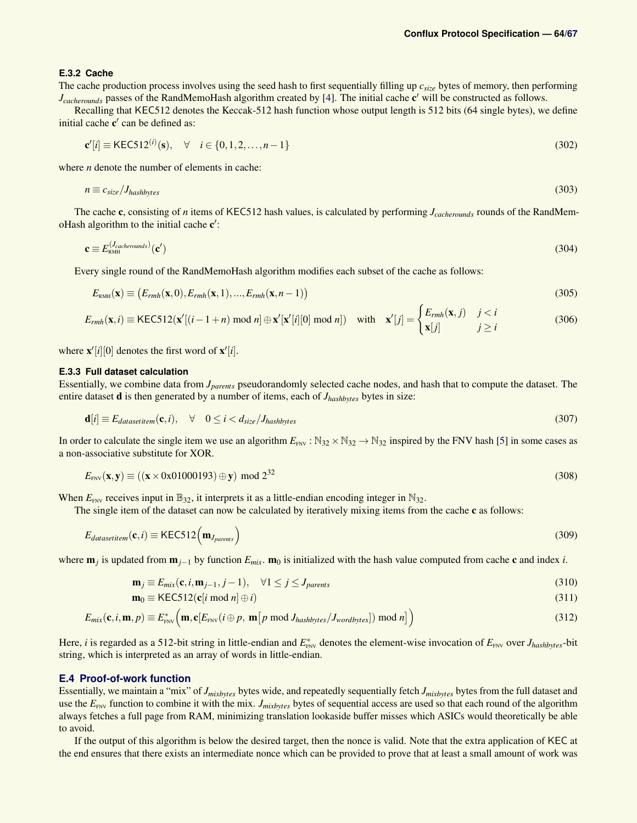### <span id="page-63-0"></span>**E.3.2 Cache**

The cache production process involves using the seed hash to first sequentially filling up *csize* bytes of memory, then performing *J<sub>cacherounds* passes of the RandMemoHash algorithm created by [\[4\]](#page-45-2). The initial cache c' will be constructed as follows.</sub>

Recalling that KEC512 denotes the Keccak-512 hash function whose output length is 512 bits (64 single bytes), we define initial cache  $c'$  can be defined as:

$$
\mathbf{c}'[i] \equiv \text{KEC512}^{(i)}(\mathbf{s}), \quad \forall \quad i \in \{0, 1, 2, \dots, n - 1\} \tag{302}
$$

where *n* denote the number of elements in cache:

$$
n \equiv c_{\text{size}} / J_{\text{hashbytes}} \tag{303}
$$

The cache c, consisting of *n* items of KEC512 hash values, is calculated by performing *Jcacherounds* rounds of the RandMemoHash algorithm to the initial cache  $c'$ :

$$
\mathbf{c} \equiv E_{\text{RMH}}^{(J_{\text{cacherounds}})}(\mathbf{c}') \tag{304}
$$

Every single round of the RandMemoHash algorithm modifies each subset of the cache as follows:

$$
E_{\text{RMH}}(\mathbf{x}) \equiv \big(E_{rm}(x,0), E_{rm}(x,1), ..., E_{rm}(x,n-1)\big) \tag{305}
$$

$$
E_{rmh}(\mathbf{x},i) \equiv \text{KEC512}(\mathbf{x}'[(i-1+n) \mod n] \oplus \mathbf{x}'[\mathbf{x}'[i][0] \mod n]) \quad \text{with} \quad \mathbf{x}'[j] = \begin{cases} E_{rmh}(\mathbf{x},j) & j < i \\ \mathbf{x}[j] & j \ge i \end{cases} \tag{306}
$$

where  $\mathbf{x}'[i][0]$  denotes the first word of  $\mathbf{x}'[i]$ .

### <span id="page-63-1"></span>**E.3.3 Full dataset calculation**

Essentially, we combine data from *Jparents* pseudorandomly selected cache nodes, and hash that to compute the dataset. The entire dataset d is then generated by a number of items, each of *Jhashbytes* bytes in size:

$$
\mathbf{d}[i] \equiv E_{datasetitem}(\mathbf{c},i), \quad \forall \quad 0 \le i < d_{size}/J_{hashbytes} \tag{307}
$$

In order to calculate the single item we use an algorithm  $E_{\text{FNV}}$ :  $\mathbb{N}_{32} \times \mathbb{N}_{32} \rightarrow \mathbb{N}_{32}$  inspired by the FNV hash [\[5\]](#page-45-3) in some cases as a non-associative substitute for XOR.

$$
E_{\text{FNV}}(\mathbf{x}, \mathbf{y}) \equiv ((\mathbf{x} \times 0 \times 01000193) \oplus \mathbf{y}) \mod 2^{32}
$$
\n(308)

When  $E_{\text{FNV}}$  receives input in  $\mathbb{B}_{32}$ , it interprets it as a little-endian encoding integer in  $\mathbb{N}_{32}$ .

The single item of the dataset can now be calculated by iteratively mixing items from the cache c as follows:

$$
E_{datasetitem}(\mathbf{c},i) \equiv \text{KEC512}(\mathbf{m}_{J_{parents}})
$$
\n(309)

where m*<sup>j</sup>* is updated from m*j*−<sup>1</sup> by function *Emix*. m<sup>0</sup> is initialized with the hash value computed from cache c and index *i*.

$$
\mathbf{m}_j \equiv E_{mix}(\mathbf{c}, i, \mathbf{m}_{j-1}, j-1), \quad \forall 1 \le j \le J_{parents}
$$
\n(310)

$$
\mathbf{m}_0 \equiv \text{KEC512}(\mathbf{c}[i \bmod n] \oplus i) \tag{311}
$$

$$
E_{mix}(\mathbf{c}, i, \mathbf{m}, p) \equiv E_{\text{FNV}}^* \Big( \mathbf{m}, \mathbf{c} [E_{\text{FNV}} (i \oplus p, \mathbf{m} [p \bmod J_{hashbytes}/J_{wordbytes}]) \bmod n] \Big)
$$
(312)

Here, *i* is regarded as a 512-bit string in little-endian and  $E_{\text{FNV}}^*$  denotes the element-wise invocation of  $E_{\text{FNV}}$  over  $J_{hashbytes}$ -bit string, which is interpreted as an array of words in little-endian.

#### <span id="page-63-2"></span>**E.4 Proof-of-work function**

Essentially, we maintain a "mix" of *Jmixbytes* bytes wide, and repeatedly sequentially fetch *Jmixbytes* bytes from the full dataset and use the  $E_{\text{FNV}}$  function to combine it with the mix. *J<sub>mixbytes</sub>* bytes of sequential access are used so that each round of the algorithm always fetches a full page from RAM, minimizing translation lookaside buffer misses which ASICs would theoretically be able to avoid.

If the output of this algorithm is below the desired target, then the nonce is valid. Note that the extra application of KEC at the end ensures that there exists an intermediate nonce which can be provided to prove that at least a small amount of work was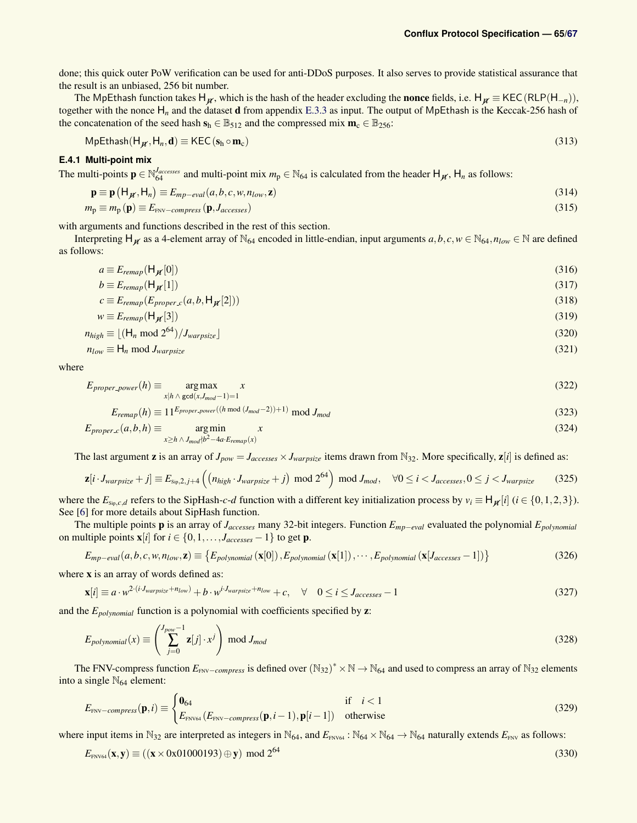done; this quick outer PoW verification can be used for anti-DDoS purposes. It also serves to provide statistical assurance that the result is an unbiased, 256 bit number.

The MpEthash function takes H<sub>*n*</sub>, which is the hash of the header excluding the **nonce** fields, i.e. H<sub>*n*</sub> ≡ KEC(RLP(H<sub>−*n*</sub>)), together with the nonce H*<sup>n</sup>* and the dataset d from appendix [E.3.3](#page-63-1) as input. The output of MpEthash is the Keccak-256 hash of the concatenation of the seed hash  $s_h \in \mathbb{B}_{512}$  and the compressed mix  $\mathbf{m}_c \in \mathbb{B}_{256}$ :

$$
MpEthash(H_{\jmath\ell}, H_n, \mathbf{d}) \equiv \text{KEC}(\mathbf{s}_h \circ \mathbf{m}_c) \tag{313}
$$

### <span id="page-64-0"></span>**E.4.1 Multi-point mix**

The multi-points  $\mathbf{p} \in \mathbb{N}_{64}^{Jaccesses}$  and multi-point mix  $m_p \in \mathbb{N}_{64}$  is calculated from the header  $H_{\mathcal{H}}$ ,  $H_n$  as follows:

$$
\mathbf{p} \equiv \mathbf{p} \left( \mathsf{H}_{\mathcal{H}}, \mathsf{H}_{n} \right) \equiv E_{mp-eval}(a, b, c, w, n_{low}, \mathbf{z}) \tag{314}
$$

$$
m_{\rm p} \equiv m_{\rm p}(\mathbf{p}) \equiv E_{\rm FNV-compress}(\mathbf{p}, J_{accesses})
$$
\n(315)

with arguments and functions described in the rest of this section.

Interpreting  $H_{\boldsymbol{M}}$  as a 4-element array of N<sub>64</sub> encoded in little-endian, input arguments  $a, b, c, w \in N_{64}, n_{low} \in \mathbb{N}$  are defined as follows:

$$
a \equiv E_{remap}(\mathsf{H}_{\mathcal{H}}[0]) \tag{316}
$$

$$
b \equiv E_{remap}(\mathsf{H}_{\mathcal{H}}[1]) \tag{317}
$$

$$
c \equiv E_{\text{remap}}(E_{\text{proper.c}}(a, b, \mathsf{H}_{\mathcal{H}}[2])) \tag{318}
$$

$$
w \equiv E_{\text{remap}}(\mathsf{H}_{\mathcal{H}}[3]) \tag{319}
$$

$$
n_{high} \equiv \lfloor (\mathsf{H}_n \bmod 2^{64}) / J_{warpsize} \rfloor \tag{320}
$$

$$
n_{low} \equiv H_n \bmod J_{warpsize} \tag{321}
$$

where

$$
E_{proper-power}(h) \equiv \underset{x|h \wedge \gcd(x, J_{mod}-1)=1}{\arg\max} x
$$
\n(322)

$$
E_{\text{remap}}(h) \equiv 11^{E_{\text{proper-power}}((h \mod (J_{\text{mod}}-2))+1)} \mod J_{\text{mod}}
$$
\n(323)

$$
E_{proper.c}(a,b,h) \equiv \underset{x \ge h \land J_{mod}/b^2 - 4a \cdot E_{remap}(x)}{\text{arg min}} x
$$
\n(324)

The last argument **z** is an array of  $J_{pow} = J_{accesses} \times J_{warpsize}$  items drawn from  $\mathbb{N}_{32}$ . More specifically,  $\mathbf{z}[i]$  is defined as:

$$
\mathbf{z}[i \cdot J_{warpsize} + j] \equiv E_{\text{sip},2,j+4} \left( \left( n_{high} \cdot J_{warpsize} + j \right) \mod 2^{64} \right) \mod J_{mod}, \quad \forall 0 \le i < J_{accesses}, 0 \le j < J_{warpsize} \tag{325}
$$

where the  $E_{\text{si}_p,c,d}$  refers to the SipHash-*c*-*d* function with a different key initialization process by  $v_i \equiv H_{\mathcal{H}}[i]$  ( $i \in \{0,1,2,3\}$ ). See [\[6\]](#page-45-4) for more details about SipHash function.

The multiple points p is an array of *Jaccesses* many 32-bit integers. Function *Emp*−*eval* evaluated the polynomial *Epolynomial* on multiple points  $\mathbf{x}[i]$  for  $i \in \{0, 1, \ldots, J_{accesses} - 1\}$  to get **p**.

$$
E_{mp-eval}(a,b,c,w,n_{low},\mathbf{z}) \equiv \{E_{polynomial}(\mathbf{x}[0]), E_{polynomial}(\mathbf{x}[1]),\cdots,E_{polynomial}(\mathbf{x}[J_{accesses}-1])\}
$$
(326)

where **x** is an array of words defined as:

$$
\mathbf{x}[i] \equiv a \cdot w^{2 \cdot (i \cdot J_{warpsize} + n_{low})} + b \cdot w^{i \cdot J_{warpsize} + n_{low}} + c, \quad \forall \quad 0 \le i \le J_{accesses} - 1 \tag{327}
$$

and the *Epolynomial* function is a polynomial with coefficients specified by z:

$$
E_{polynomial}(x) \equiv \left(\sum_{j=0}^{J_{pow}-1} \mathbf{z}[j] \cdot x^j\right) \text{ mod } J_{mod}
$$
\n(328)

The FNV-compress function  $E_{\text{FNV}-compress}$  is defined over  $(N_{32})^* \times N \to N_{64}$  and used to compress an array of  $N_{32}$  elements into a single  $\mathbb{N}_{64}$  element:

$$
E_{\text{FNV}-compress}(\mathbf{p},i) \equiv \begin{cases} \mathbf{0}_{64} & \text{if } i < 1\\ E_{\text{FNV64}}(E_{\text{FNV}-compress}(\mathbf{p},i-1),\mathbf{p}[i-1]) & \text{otherwise} \end{cases} \tag{329}
$$

where input items in N<sub>32</sub> are interpreted as integers in N<sub>64</sub>, and  $E_{FNV64}$  : N<sub>64</sub>  $\times$  N<sub>64</sub>  $\rightarrow$  N<sub>64</sub> naturally extends  $E_{FNV}$  as follows:

$$
E_{\text{FNV64}}(\mathbf{x}, \mathbf{y}) \equiv ((\mathbf{x} \times 0 \times 01000193) \oplus \mathbf{y}) \mod 2^{64} \tag{330}
$$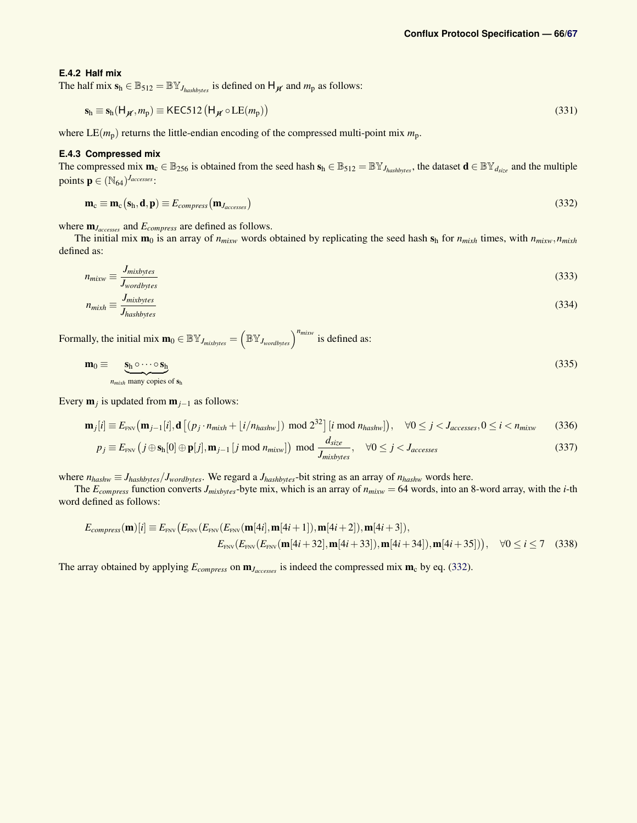#### <span id="page-65-0"></span>**E.4.2 Half mix**

The half mix  $s_h \in \mathbb{B}_{512} = \mathbb{BV}_{J_{hashbytes}}$  is defined on  $H_{\mathcal{H}}$  and  $m_p$  as follows:

$$
\mathbf{s}_{\mathsf{h}} \equiv \mathbf{s}_{\mathsf{h}}(\mathsf{H}_{\boldsymbol{\mathcal{H}}}, m_{\mathsf{p}}) \equiv \mathsf{KEC512}(\mathsf{H}_{\boldsymbol{\mathcal{H}}} \circ \mathsf{LE}(m_{\mathsf{p}}))
$$
(331)

where  $LE(m_p)$  returns the little-endian encoding of the compressed multi-point mix  $m_p$ .

### <span id="page-65-1"></span>**E.4.3 Compressed mix**

The compressed mix  $\mathbf{m}_c \in \mathbb{B}_{256}$  is obtained from the seed hash  $\mathbf{s}_h \in \mathbb{B}_{512} = \mathbb{B}\mathbb{Y}_{J_{hashbytes}}$ , the dataset  $\mathbf{d} \in \mathbb{B}\mathbb{Y}_{d_{size}}$  and the multiple points  $\mathbf{p} \in (\mathbb{N}_{64})^{J_{accesses}}$ :

<span id="page-65-2"></span>
$$
\mathbf{m}_{\rm c} \equiv \mathbf{m}_{\rm c}(\mathbf{s}_{\rm h}, \mathbf{d}, \mathbf{p}) \equiv E_{compress}(\mathbf{m}_{J_{accesses}})
$$
(332)

where m*Jaccesses* and *Ecompress* are defined as follows.

The initial mix  $m_0$  is an array of  $n_{mixw}$  words obtained by replicating the seed hash  $s_h$  for  $n_{mixh}$  times, with  $n_{mixw}$ ,  $n_{mixw}$ defined as:

$$
n_{mixw} \equiv \frac{J_{mixbytes}}{J_{wordbytes}} \tag{333}
$$

$$
n_{\text{mixh}} \equiv \frac{J_{\text{mixbytes}}}{J_{\text{hashbytes}}} \tag{334}
$$

Formally, the initial mix  $\mathbf{m}_0 \in \mathbb{BY}_{J_{mixbytes}} = \left(\mathbb{BY}_{J_{wordbytes}}\right)^{n_{mixw}}$  is defined as:

$$
\mathbf{m}_0 \equiv \underbrace{\mathbf{s}_h \circ \cdots \circ \mathbf{s}_h}_{n_{\text{mixh}} \text{ many copies of } \mathbf{s}_h} \tag{335}
$$

Every m*<sup>j</sup>* is updated from m*j*−<sup>1</sup> as follows:

$$
\mathbf{m}_{j}[i] \equiv E_{\text{FNV}}(\mathbf{m}_{j-1}[i], \mathbf{d}\left[ (p_j \cdot n_{\text{mixh}} + \lfloor i/n_{\text{hashw}} \rfloor) \mod 2^{32} \right] [i \mod n_{\text{hashw}}] \text{, } \forall 0 \le j < J_{accesses}, 0 \le i < n_{\text{mixw}} \tag{336}
$$

$$
p_j \equiv E_{\text{FNV}} \left( j \oplus \mathbf{s}_h[0] \oplus \mathbf{p}[j], \mathbf{m}_{j-1} \left[ j \bmod n_{mixw} \right] \right) \bmod \frac{d_{size}}{J_{mixbytes}}, \quad \forall 0 \le j < J_{accesses}
$$
\n
$$
(337)
$$

where  $n_{hashw} \equiv J_{hashbytes}/J_{wordbytes}$ . We regard a  $J_{hashbytes}$ -bit string as an array of  $n_{hashw}$  words here.

The  $E_{compress}$  function converts  $J_{mixbytes}$ -byte mix, which is an array of  $n_{mixw} = 64$  words, into an 8-word array, with the *i*-th word defined as follows:

$$
E_{compress}(\mathbf{m})[i] \equiv E_{\text{FNV}}(E_{\text{FNV}}(E_{\text{FNV}}(\mathbf{m}[4i], \mathbf{m}[4i+1]), \mathbf{m}[4i+2]), \mathbf{m}[4i+3]),
$$
  

$$
E_{\text{FNV}}(E_{\text{FNV}}(\mathbf{m}[4i+32], \mathbf{m}[4i+33]), \mathbf{m}[4i+34]), \mathbf{m}[4i+35]))
$$
,  $\forall 0 \le i \le 7$  (338)

The array obtained by applying  $E_{compress}$  on  $\mathbf{m}_{Jaccess}$  is indeed the compressed mix  $\mathbf{m}_{c}$  by eq. [\(332\)](#page-65-2).